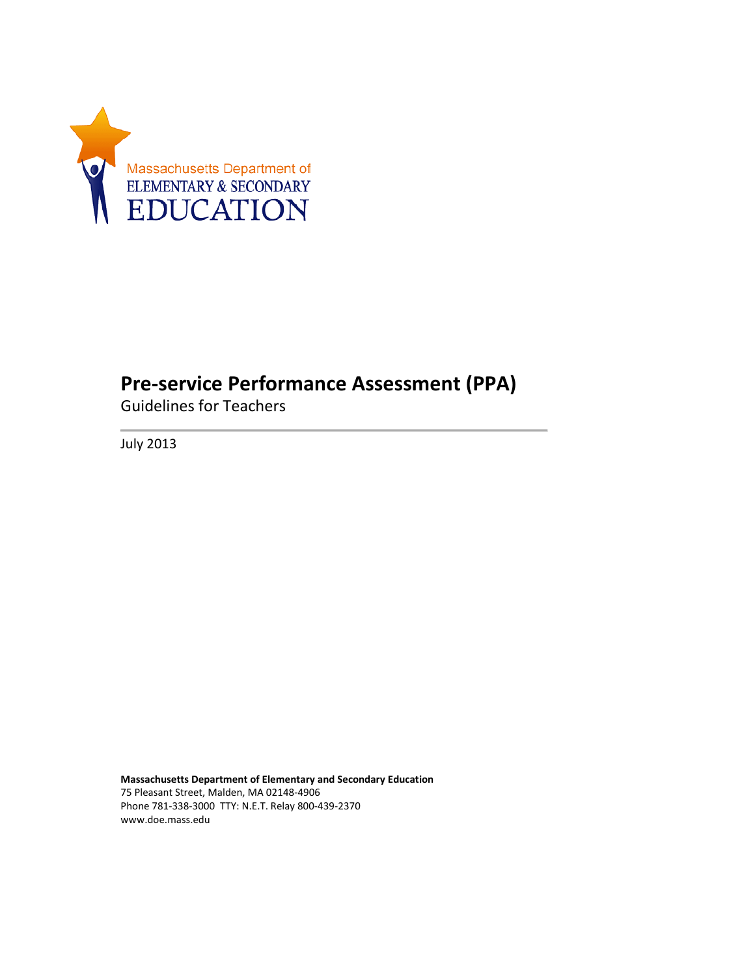

## **Pre-service Performance Assessment (PPA)**

Guidelines for Teachers

July 2013

**Massachusetts Department of Elementary and Secondary Education** 75 Pleasant Street, Malden, MA 02148-4906 Phone 781-338-3000 TTY: N.E.T. Relay 800-439-2370 www.doe.mass.edu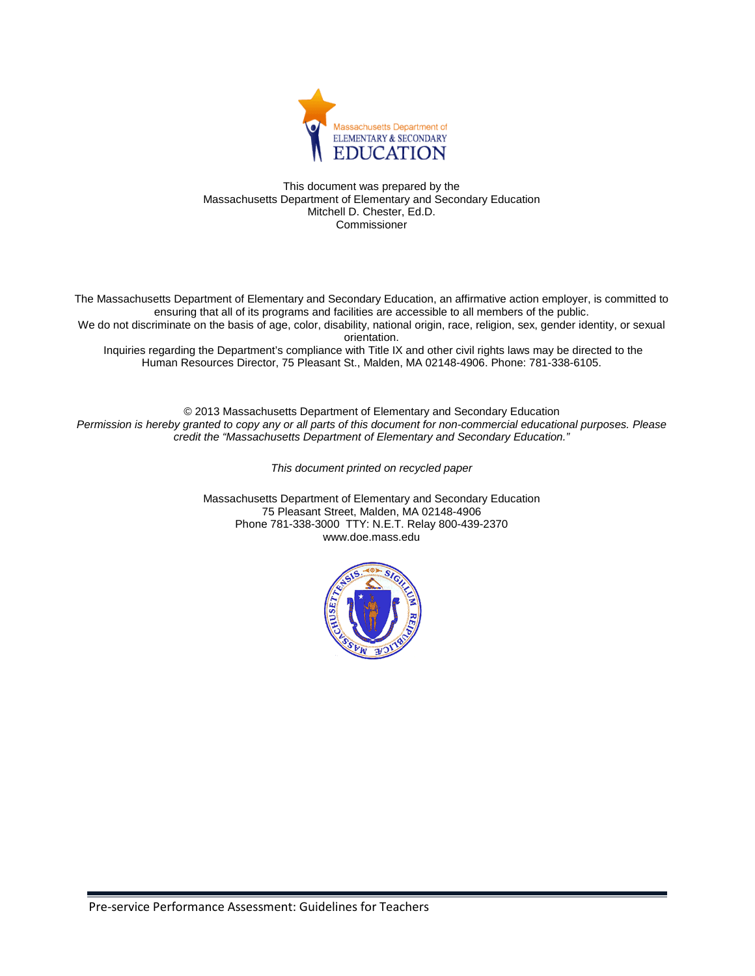

This document was prepared by the Massachusetts Department of Elementary and Secondary Education Mitchell D. Chester, Ed.D. Commissioner

The Massachusetts Department of Elementary and Secondary Education, an affirmative action employer, is committed to ensuring that all of its programs and facilities are accessible to all members of the public. We do not discriminate on the basis of age, color, disability, national origin, race, religion, sex, gender identity, or sexual orientation.

Inquiries regarding the Department's compliance with Title IX and other civil rights laws may be directed to the Human Resources Director, 75 Pleasant St., Malden, MA 02148-4906. Phone: 781-338-6105.

© 2013 Massachusetts Department of Elementary and Secondary Education *Permission is hereby granted to copy any or all parts of this document for non-commercial educational purposes. Please credit the "Massachusetts Department of Elementary and Secondary Education."*

*This document printed on recycled paper*

Massachusetts Department of Elementary and Secondary Education 75 Pleasant Street, Malden, MA 02148-4906 Phone 781-338-3000 TTY: N.E.T. Relay 800-439-2370 www.doe.mass.edu

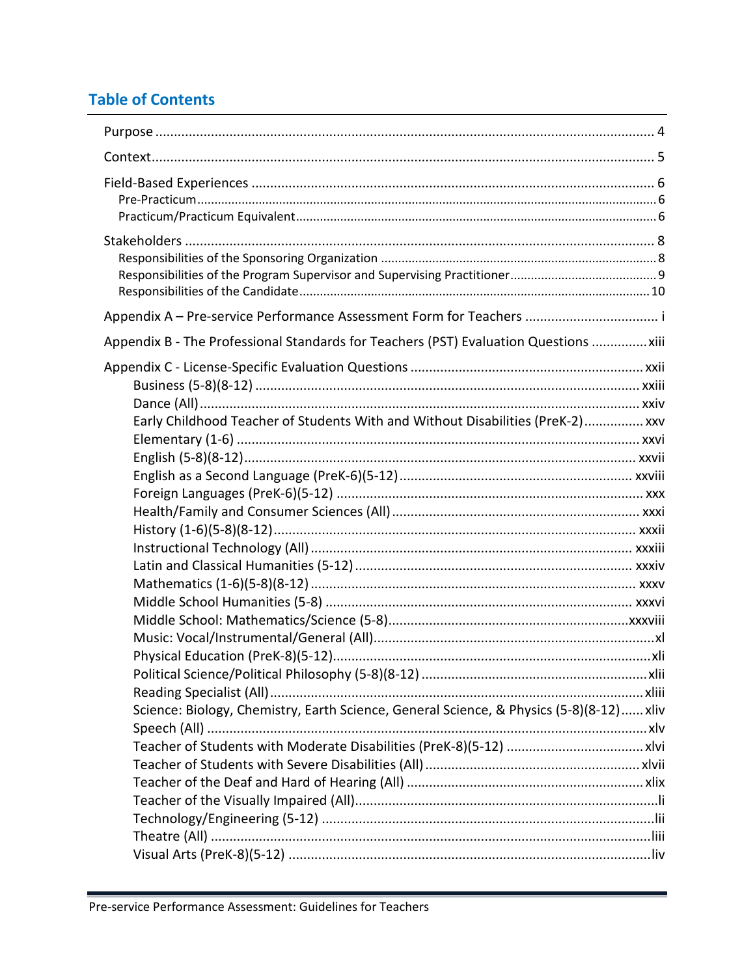## **Table of Contents**

<u> Listo de la contrada de la contrada de la contrada de la contrada de la contrada de la contrada de la contrad</u>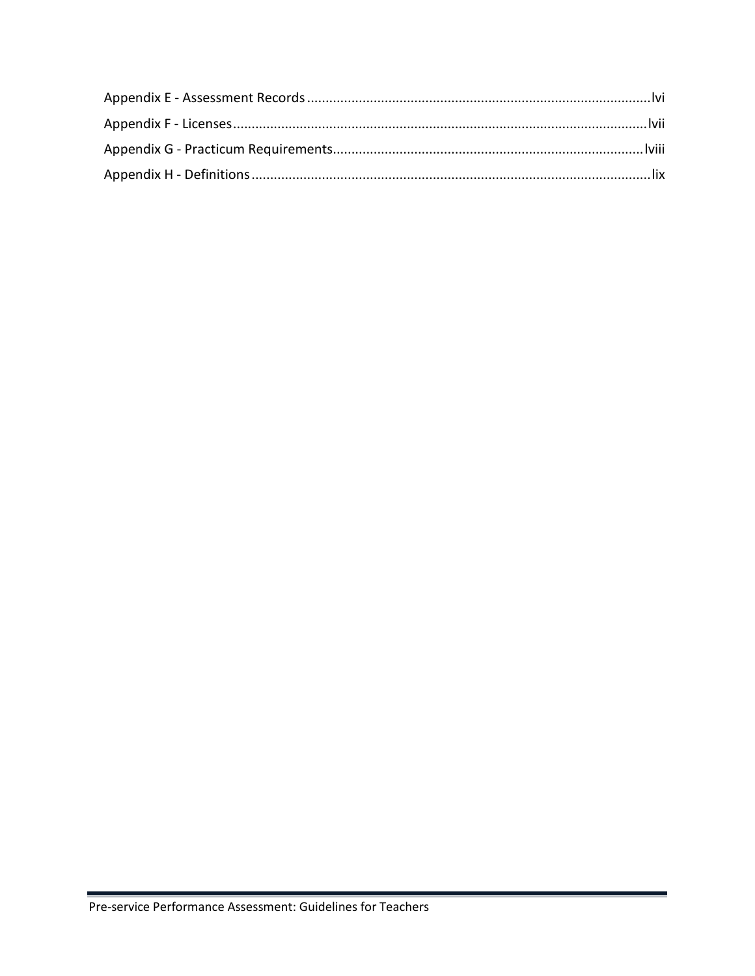<u> 1989 - Johann Stein, marka</u>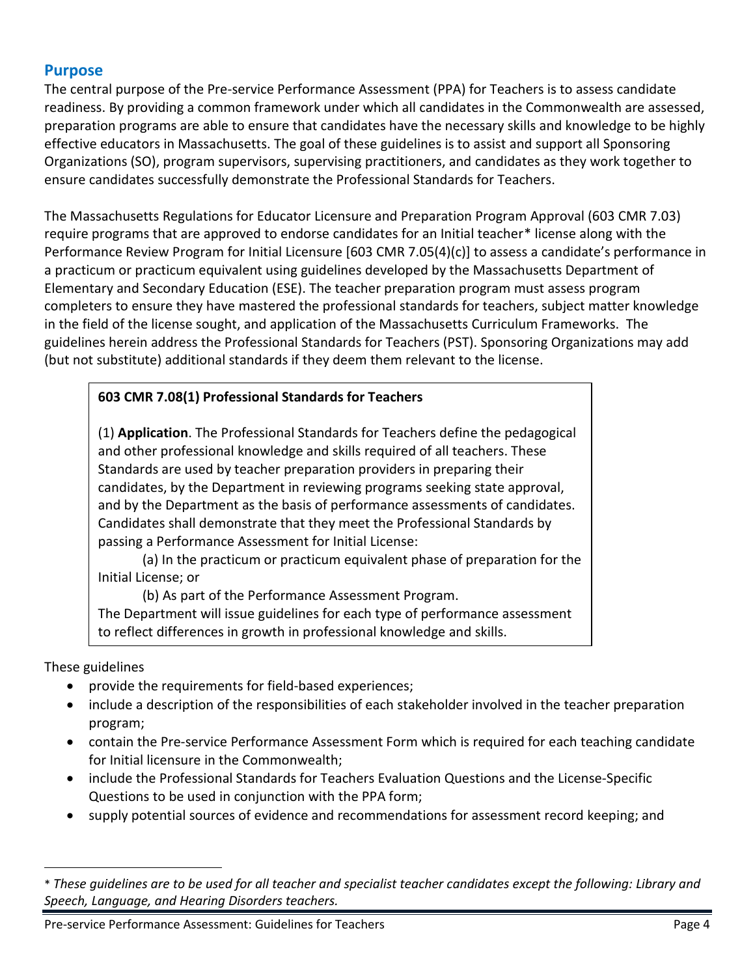### <span id="page-4-0"></span>**Purpose**

The central purpose of the Pre-service Performance Assessment (PPA) for Teachers is to assess candidate readiness. By providing a common framework under which all candidates in the Commonwealth are assessed, preparation programs are able to ensure that candidates have the necessary skills and knowledge to be highly effective educators in Massachusetts. The goal of these guidelines is to assist and support all Sponsoring Organizations (SO), program supervisors, supervising practitioners, and candidates as they work together to ensure candidates successfully demonstrate the Professional Standards for Teachers.

The Massachusetts Regulations for Educator Licensure and Preparation Program Approval (603 CMR 7.03) require programs that are approved to endorse candidates for an Initial teacher[\\* l](#page-4-1)icense along with the Performance Review Program for Initial Licensure [603 CMR 7.05(4)(c)] to assess a candidate's performance in a practicum or practicum equivalent using guidelines developed by the Massachusetts Department of Elementary and Secondary Education (ESE). The teacher preparation program must assess program completers to ensure they have mastered the professional standards for teachers, subject matter knowledge in the field of the license sought, and application of the Massachusetts Curriculum Frameworks. The guidelines herein address the Professional Standards for Teachers (PST). Sponsoring Organizations may add (but not substitute) additional standards if they deem them relevant to the license.

### **603 CMR 7.08(1) Professional Standards for Teachers**

(1) **Application**. The Professional Standards for Teachers define the pedagogical and other professional knowledge and skills required of all teachers. These Standards are used by teacher preparation providers in preparing their candidates, by the Department in reviewing programs seeking state approval, and by the Department as the basis of performance assessments of candidates. Candidates shall demonstrate that they meet the Professional Standards by passing a Performance Assessment for Initial License:

(a) In the practicum or practicum equivalent phase of preparation for the Initial License; or

(b) As part of the Performance Assessment Program.

The Department will issue guidelines for each type of performance assessment to reflect differences in growth in professional knowledge and skills.

These guidelines

 $\overline{a}$ 

- provide the requirements for field-based experiences;
- include a description of the responsibilities of each stakeholder involved in the teacher preparation program;
- contain the Pre-service Performance Assessment Form which is required for each teaching candidate for Initial licensure in the Commonwealth;
- include the Professional Standards for Teachers Evaluation Questions and the License-Specific Questions to be used in conjunction with the PPA form;
- supply potential sources of evidence and recommendations for assessment record keeping; and

<span id="page-4-1"></span><sup>\*</sup> *These guidelines are to be used for all teacher and specialist teacher candidates except the following: Library and Speech, Language, and Hearing Disorders teachers.*

Pre-service Performance Assessment: Guidelines for Teachers **Page 4** and the service Performance Assessment: Guidelines for Teachers **Page 4**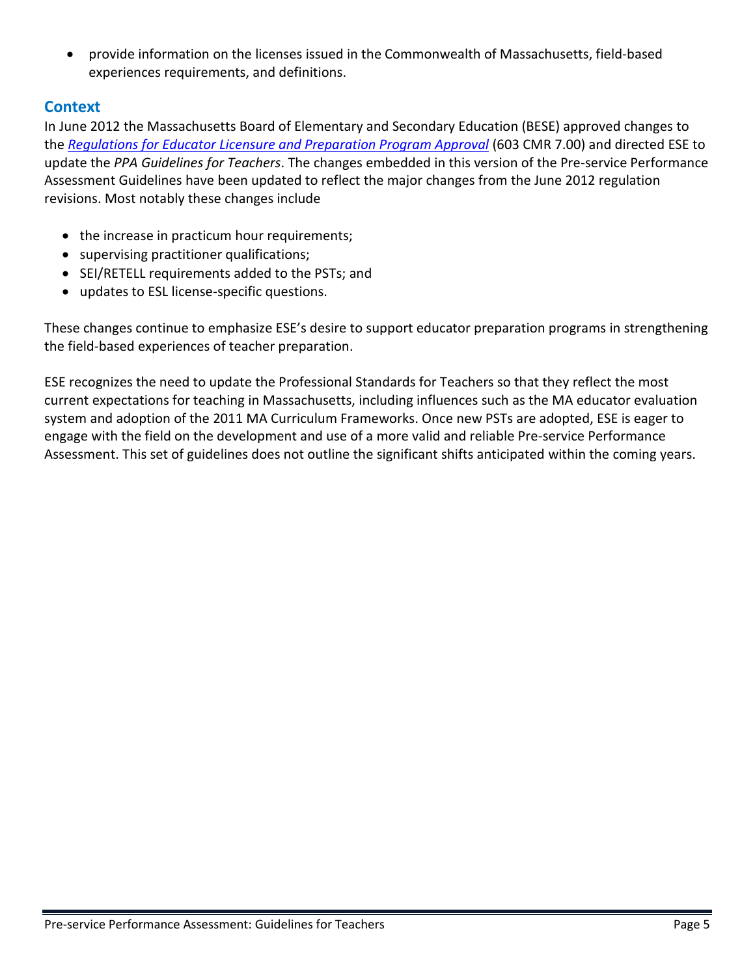• provide information on the licenses issued in the Commonwealth of Massachusetts, field-based experiences requirements, and definitions.

### <span id="page-5-0"></span>**Context**

In June 2012 the Massachusetts Board of Elementary and Secondary Education (BESE) approved changes to the *[Regulations for Educator Licensure and Preparation Program Approval](http://www.doe.mass.edu/lawsregs/603cmr7.html?section=03)* (603 CMR 7.00) and directed ESE to update the *PPA Guidelines for Teachers*. The changes embedded in this version of the Pre-service Performance Assessment Guidelines have been updated to reflect the major changes from the June 2012 regulation revisions. Most notably these changes include

- the increase in practicum hour requirements;
- supervising practitioner qualifications;
- SEI/RETELL requirements added to the PSTs; and
- updates to ESL license-specific questions.

These changes continue to emphasize ESE's desire to support educator preparation programs in strengthening the field-based experiences of teacher preparation.

ESE recognizes the need to update the Professional Standards for Teachers so that they reflect the most current expectations for teaching in Massachusetts, including influences such as the MA educator evaluation system and adoption of the 2011 MA Curriculum Frameworks. Once new PSTs are adopted, ESE is eager to engage with the field on the development and use of a more valid and reliable Pre-service Performance Assessment. This set of guidelines does not outline the significant shifts anticipated within the coming years.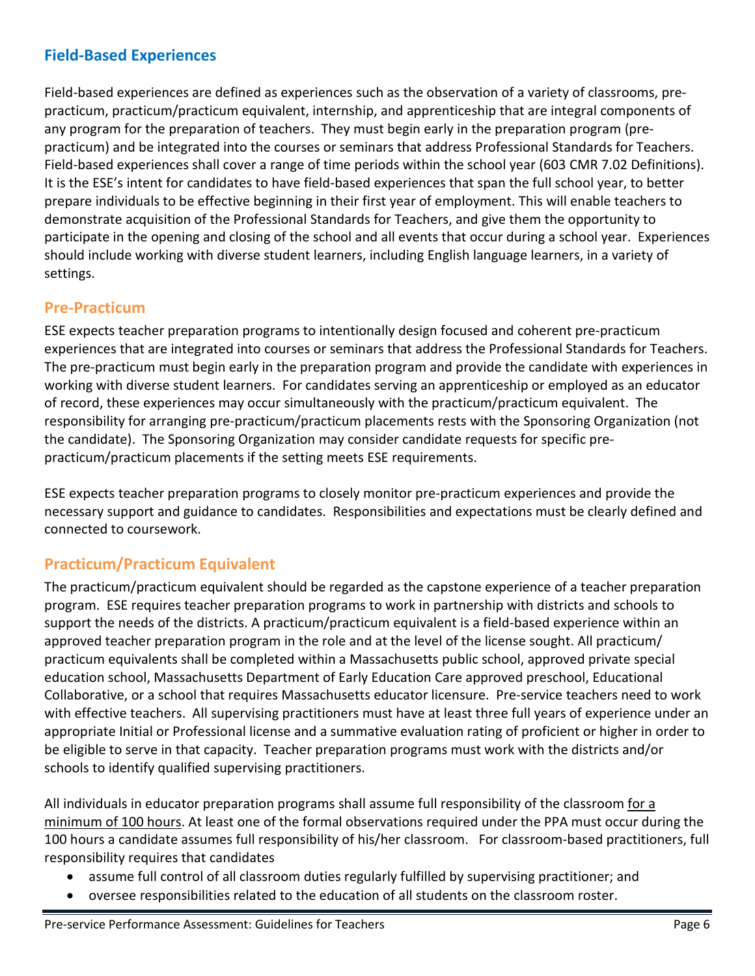### <span id="page-6-0"></span>**Field-Based Experiences**

Field-based experiences are defined as experiences such as the observation of a variety of classrooms, prepracticum, practicum/practicum equivalent, internship, and apprenticeship that are integral components of any program for the preparation of teachers. They must begin early in the preparation program (prepracticum) and be integrated into the courses or seminars that address Professional Standards for Teachers. Field-based experiences shall cover a range of time periods within the school year (603 CMR 7.02 Definitions). It is the ESE's intent for candidates to have field-based experiences that span the full school year, to better prepare individuals to be effective beginning in their first year of employment. This will enable teachers to demonstrate acquisition of the Professional Standards for Teachers, and give them the opportunity to participate in the opening and closing of the school and all events that occur during a school year. Experiences should include working with diverse student learners, including English language learners, in a variety of settings.

### <span id="page-6-1"></span>**Pre-Practicum**

ESE expects teacher preparation programs to intentionally design focused and coherent pre-practicum experiences that are integrated into courses or seminars that address the Professional Standards for Teachers. The pre-practicum must begin early in the preparation program and provide the candidate with experiences in working with diverse student learners. For candidates serving an apprenticeship or employed as an educator of record, these experiences may occur simultaneously with the practicum/practicum equivalent. The responsibility for arranging pre-practicum/practicum placements rests with the Sponsoring Organization (not the candidate). The Sponsoring Organization may consider candidate requests for specific prepracticum/practicum placements if the setting meets ESE requirements.

ESE expects teacher preparation programs to closely monitor pre-practicum experiences and provide the necessary support and guidance to candidates. Responsibilities and expectations must be clearly defined and connected to coursework.

### <span id="page-6-2"></span>**Practicum/Practicum Equivalent**

The practicum/practicum equivalent should be regarded as the capstone experience of a teacher preparation program. ESE requires teacher preparation programs to work in partnership with districts and schools to support the needs of the districts. A practicum/practicum equivalent is a field-based experience within an approved teacher preparation program in the role and at the level of the license sought. All practicum/ practicum equivalents shall be completed within a Massachusetts public school, approved private special education school, Massachusetts Department of Early Education Care approved preschool, Educational Collaborative, or a school that requires Massachusetts educator licensure. Pre-service teachers need to work with effective teachers. All supervising practitioners must have at least three full years of experience under an appropriate Initial or Professional license and a summative evaluation rating of proficient or higher in order to be eligible to serve in that capacity. Teacher preparation programs must work with the districts and/or schools to identify qualified supervising practitioners.

All individuals in educator preparation programs shall assume full responsibility of the classroom for a minimum of 100 hours. At least one of the formal observations required under the PPA must occur during the 100 hours a candidate assumes full responsibility of his/her classroom. For classroom-based practitioners, full responsibility requires that candidates

- assume full control of all classroom duties regularly fulfilled by supervising practitioner; and
- oversee responsibilities related to the education of all students on the classroom roster.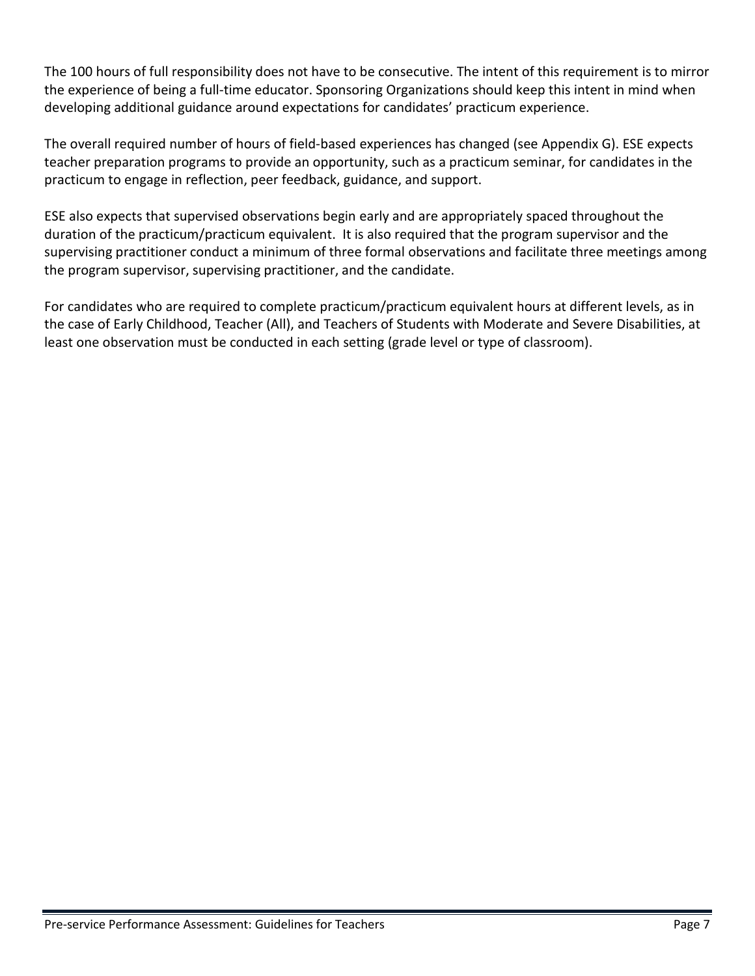The 100 hours of full responsibility does not have to be consecutive. The intent of this requirement is to mirror the experience of being a full-time educator. Sponsoring Organizations should keep this intent in mind when developing additional guidance around expectations for candidates' practicum experience.

The overall required number of hours of field-based experiences has changed (see Appendix G). ESE expects teacher preparation programs to provide an opportunity, such as a practicum seminar, for candidates in the practicum to engage in reflection, peer feedback, guidance, and support.

ESE also expects that supervised observations begin early and are appropriately spaced throughout the duration of the practicum/practicum equivalent. It is also required that the program supervisor and the supervising practitioner conduct a minimum of three formal observations and facilitate three meetings among the program supervisor, supervising practitioner, and the candidate.

For candidates who are required to complete practicum/practicum equivalent hours at different levels, as in the case of Early Childhood, Teacher (All), and Teachers of Students with Moderate and Severe Disabilities, at least one observation must be conducted in each setting (grade level or type of classroom).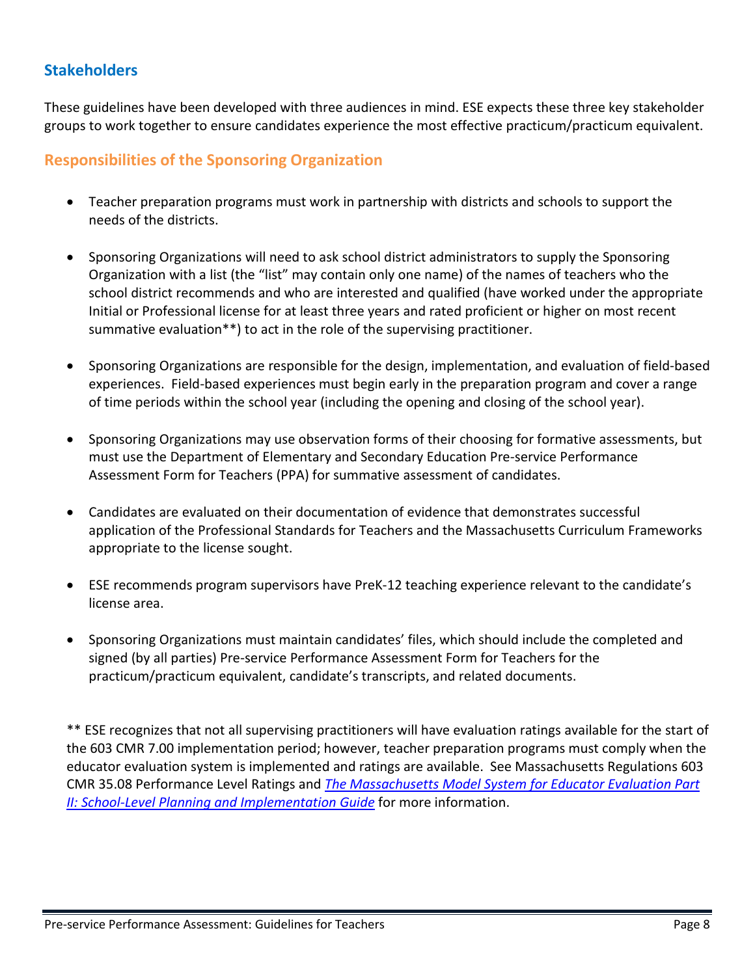### <span id="page-8-0"></span>**Stakeholders**

These guidelines have been developed with three audiences in mind. ESE expects these three key stakeholder groups to work together to ensure candidates experience the most effective practicum/practicum equivalent.

### <span id="page-8-1"></span>**Responsibilities of the Sponsoring Organization**

- Teacher preparation programs must work in partnership with districts and schools to support the needs of the districts.
- Sponsoring Organizations will need to ask school district administrators to supply the Sponsoring Organization with a list (the "list" may contain only one name) of the names of teachers who the school district recommends and who are interested and qualified (have worked under the appropriate Initial or Professional license for at least three years and rated proficient or higher on most recent summative evaluation\*\*) to act in the role of the supervising practitioner.
- Sponsoring Organizations are responsible for the design, implementation, and evaluation of field-based experiences. Field-based experiences must begin early in the preparation program and cover a range of time periods within the school year (including the opening and closing of the school year).
- Sponsoring Organizations may use observation forms of their choosing for formative assessments, but must use the Department of Elementary and Secondary Education Pre-service Performance Assessment Form for Teachers (PPA) for summative assessment of candidates.
- Candidates are evaluated on their documentation of evidence that demonstrates successful application of the Professional Standards for Teachers and the Massachusetts Curriculum Frameworks appropriate to the license sought.
- ESE recommends program supervisors have PreK-12 teaching experience relevant to the candidate's license area.
- Sponsoring Organizations must maintain candidates' files, which should include the completed and signed (by all parties) Pre-service Performance Assessment Form for Teachers for the practicum/practicum equivalent, candidate's transcripts, and related documents.

\*\* ESE recognizes that not all supervising practitioners will have evaluation ratings available for the start of the 603 CMR 7.00 implementation period; however, teacher preparation programs must comply when the educator evaluation system is implemented and ratings are available. See Massachusetts Regulations 603 CMR 35.08 Performance Level Ratings and *[The Massachusetts Model System for Educator Evaluation Part](http://www.doe.mass.edu/edeval/model/PartII.pdf)  [II: School-Level Planning and Implementation Guide](http://www.doe.mass.edu/edeval/model/PartII.pdf)* for more information.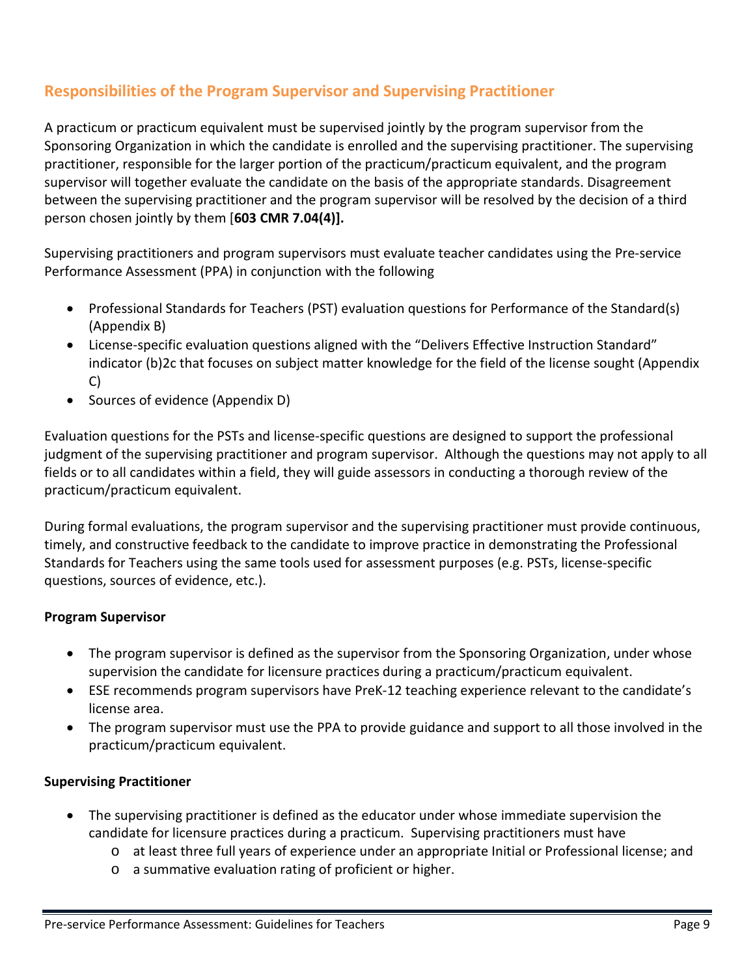### <span id="page-9-0"></span>**Responsibilities of the Program Supervisor and Supervising Practitioner**

A practicum or practicum equivalent must be supervised jointly by the program supervisor from the Sponsoring Organization in which the candidate is enrolled and the supervising practitioner. The supervising practitioner, responsible for the larger portion of the practicum/practicum equivalent, and the program supervisor will together evaluate the candidate on the basis of the appropriate standards. Disagreement between the supervising practitioner and the program supervisor will be resolved by the decision of a third person chosen jointly by them [**603 CMR 7.04(4)].** 

Supervising practitioners and program supervisors must evaluate teacher candidates using the Pre-service Performance Assessment (PPA) in conjunction with the following

- Professional Standards for Teachers (PST) evaluation questions for Performance of the Standard(s) (Appendix B)
- License-specific evaluation questions aligned with the "Delivers Effective Instruction Standard" indicator (b)2c that focuses on subject matter knowledge for the field of the license sought (Appendix C)
- Sources of evidence (Appendix D)

Evaluation questions for the PSTs and license-specific questions are designed to support the professional judgment of the supervising practitioner and program supervisor. Although the questions may not apply to all fields or to all candidates within a field, they will guide assessors in conducting a thorough review of the practicum/practicum equivalent.

During formal evaluations, the program supervisor and the supervising practitioner must provide continuous, timely, and constructive feedback to the candidate to improve practice in demonstrating the Professional Standards for Teachers using the same tools used for assessment purposes (e.g. PSTs, license-specific questions, sources of evidence, etc.).

#### **Program Supervisor**

- The program supervisor is defined as the supervisor from the Sponsoring Organization, under whose supervision the candidate for licensure practices during a practicum/practicum equivalent.
- ESE recommends program supervisors have PreK-12 teaching experience relevant to the candidate's license area.
- The program supervisor must use the PPA to provide guidance and support to all those involved in the practicum/practicum equivalent.

#### **Supervising Practitioner**

- The supervising practitioner is defined as the educator under whose immediate supervision the candidate for licensure practices during a practicum. Supervising practitioners must have
	- o at least three full years of experience under an appropriate Initial or Professional license; and
	- o a summative evaluation rating of proficient or higher.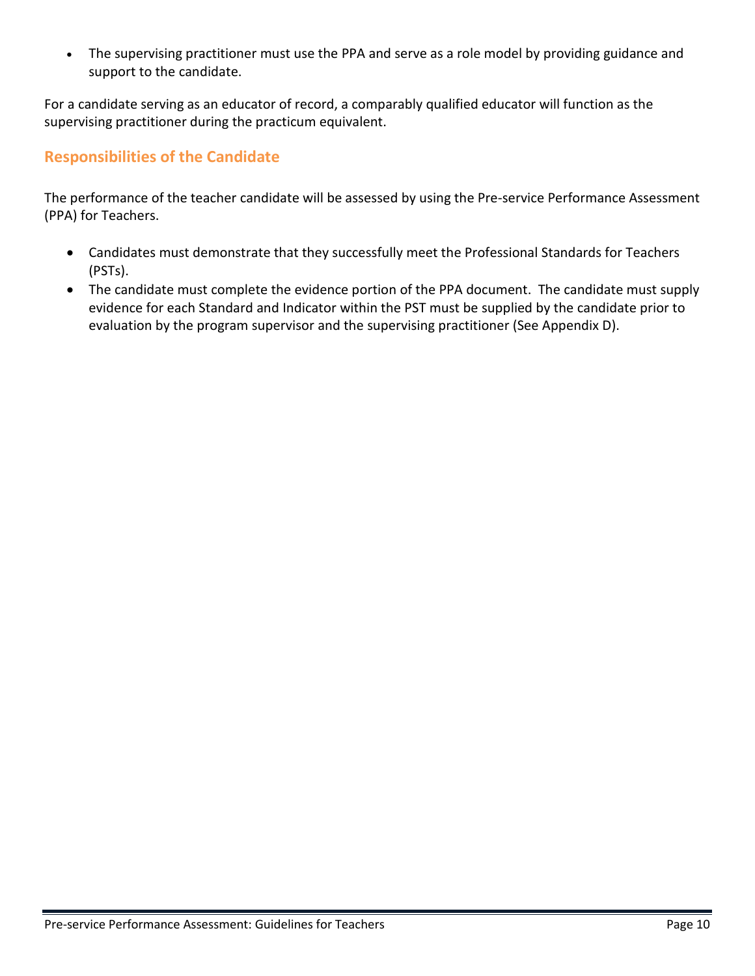• The supervising practitioner must use the PPA and serve as a role model by providing guidance and support to the candidate.

For a candidate serving as an educator of record, a comparably qualified educator will function as the supervising practitioner during the practicum equivalent.

### <span id="page-10-0"></span>**Responsibilities of the Candidate**

The performance of the teacher candidate will be assessed by using the Pre-service Performance Assessment (PPA) for Teachers.

- Candidates must demonstrate that they successfully meet the Professional Standards for Teachers (PSTs).
- The candidate must complete the evidence portion of the PPA document. The candidate must supply evidence for each Standard and Indicator within the PST must be supplied by the candidate prior to evaluation by the program supervisor and the supervising practitioner (See Appendix D).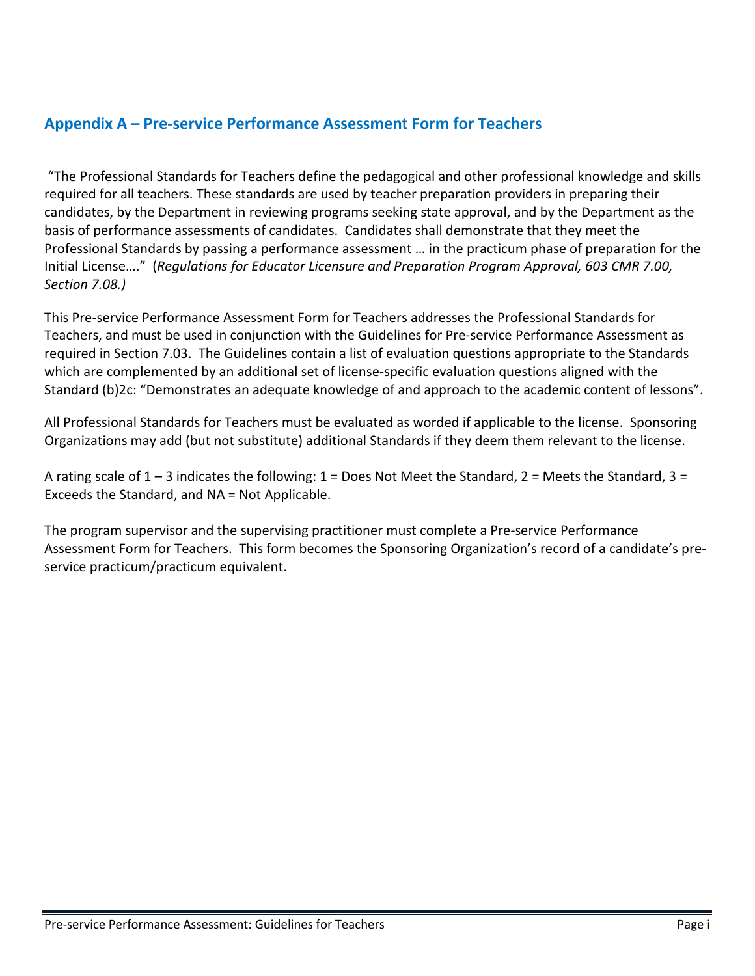### <span id="page-11-0"></span>**Appendix A – Pre-service Performance Assessment Form for Teachers**

"The Professional Standards for Teachers define the pedagogical and other professional knowledge and skills required for all teachers. These standards are used by teacher preparation providers in preparing their candidates, by the Department in reviewing programs seeking state approval, and by the Department as the basis of performance assessments of candidates. Candidates shall demonstrate that they meet the Professional Standards by passing a performance assessment … in the practicum phase of preparation for the Initial License…." (*Regulations for Educator Licensure and Preparation Program Approval, 603 CMR 7.00, Section 7.08.)*

This Pre-service Performance Assessment Form for Teachers addresses the Professional Standards for Teachers, and must be used in conjunction with the Guidelines for Pre-service Performance Assessment as required in Section 7.03. The Guidelines contain a list of evaluation questions appropriate to the Standards which are complemented by an additional set of license-specific evaluation questions aligned with the Standard (b)2c: "Demonstrates an adequate knowledge of and approach to the academic content of lessons".

All Professional Standards for Teachers must be evaluated as worded if applicable to the license. Sponsoring Organizations may add (but not substitute) additional Standards if they deem them relevant to the license.

A rating scale of  $1 - 3$  indicates the following:  $1 =$  Does Not Meet the Standard,  $2 =$  Meets the Standard,  $3 =$ Exceeds the Standard, and NA = Not Applicable.

The program supervisor and the supervising practitioner must complete a Pre-service Performance Assessment Form for Teachers. This form becomes the Sponsoring Organization's record of a candidate's preservice practicum/practicum equivalent.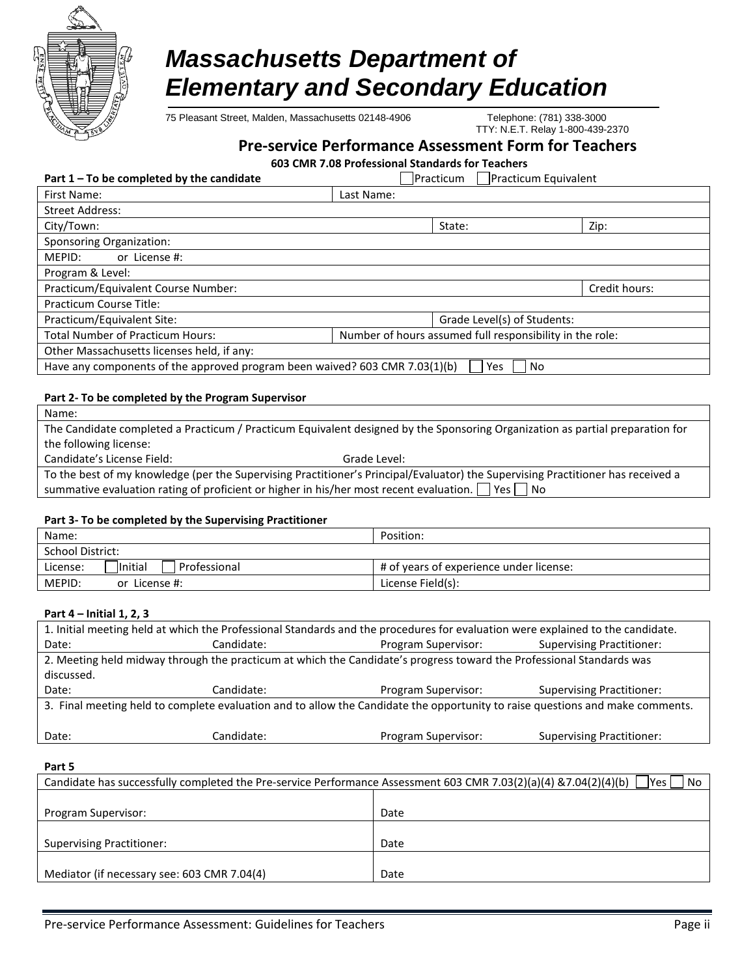

# *Massachusetts Department of Elementary and Secondary Education*

75 Pleasant Street, Malden, Massachusetts 02148-4906 Telephone: (781) 338-3000

TTY: N.E.T. Relay 1-800-439-2370

#### **Pre-service Performance Assessment Form for Teachers**

**603 CMR 7.08 Professional Standards for Teachers**

| Part $1 - To$ be completed by the candidate                                               |            | <b>Practicum</b> | Practicum Equivalent                                     |               |
|-------------------------------------------------------------------------------------------|------------|------------------|----------------------------------------------------------|---------------|
| First Name:                                                                               | Last Name: |                  |                                                          |               |
| <b>Street Address:</b>                                                                    |            |                  |                                                          |               |
| City/Town:                                                                                |            | State:           |                                                          | Zip:          |
| <b>Sponsoring Organization:</b>                                                           |            |                  |                                                          |               |
| MEPID:<br>or License #:                                                                   |            |                  |                                                          |               |
| Program & Level:                                                                          |            |                  |                                                          |               |
| Practicum/Equivalent Course Number:                                                       |            |                  |                                                          | Credit hours: |
| Practicum Course Title:                                                                   |            |                  |                                                          |               |
| Practicum/Equivalent Site:                                                                |            |                  | Grade Level(s) of Students:                              |               |
| <b>Total Number of Practicum Hours:</b>                                                   |            |                  | Number of hours assumed full responsibility in the role: |               |
| Other Massachusetts licenses held, if any:                                                |            |                  |                                                          |               |
| Have any components of the approved program been waived? 603 CMR 7.03(1)(b)<br>Yes<br>No. |            |                  |                                                          |               |
|                                                                                           |            |                  |                                                          |               |
| Part 2- To be completed by the Program Supervisor                                         |            |                  |                                                          |               |
| Name:                                                                                     |            |                  |                                                          |               |

The Candidate completed a Practicum / Practicum Equivalent designed by the Sponsoring Organization as partial preparation for the following license:

Candidate's License Field: Grade Level:

To the best of my knowledge (per the Supervising Practitioner's Principal/Evaluator) the Supervising Practitioner has received a summative evaluation rating of proficient or higher in his/her most recent evaluation.  $\Box$  Yes  $\Box$  No

#### **Part 3- To be completed by the Supervising Practitioner**

| Name:                                | Position:                               |
|--------------------------------------|-----------------------------------------|
| School District:                     |                                         |
| lInitial<br>Professional<br>License: | # of years of experience under license: |
| MEPID:<br>or License #:              | License Field(s):                       |

#### **Part 4 – Initial 1, 2, 3**

| 1. Initial meeting held at which the Professional Standards and the procedures for evaluation were explained to the candidate. |                                                                                                                               |                                                         |                                  |  |
|--------------------------------------------------------------------------------------------------------------------------------|-------------------------------------------------------------------------------------------------------------------------------|---------------------------------------------------------|----------------------------------|--|
| Date:                                                                                                                          | Candidate:                                                                                                                    | <b>Supervising Practitioner:</b><br>Program Supervisor: |                                  |  |
| 2. Meeting held midway through the practicum at which the Candidate's progress toward the Professional Standards was           |                                                                                                                               |                                                         |                                  |  |
| discussed.                                                                                                                     |                                                                                                                               |                                                         |                                  |  |
|                                                                                                                                |                                                                                                                               |                                                         |                                  |  |
| Date:                                                                                                                          | Candidate:                                                                                                                    | Program Supervisor:                                     | <b>Supervising Practitioner:</b> |  |
|                                                                                                                                | 3. Final meeting held to complete evaluation and to allow the Candidate the opportunity to raise questions and make comments. |                                                         |                                  |  |
|                                                                                                                                |                                                                                                                               |                                                         |                                  |  |

#### **Part 5**

| Candidate has successfully completed the Pre-service Performance Assessment 603 CMR 7.03(2)(a)(4) & 7.04(2)(4)(b)<br>l No<br>lYes l |      |  |  |
|-------------------------------------------------------------------------------------------------------------------------------------|------|--|--|
|                                                                                                                                     |      |  |  |
| Program Supervisor:                                                                                                                 | Date |  |  |
|                                                                                                                                     |      |  |  |
| <b>Supervising Practitioner:</b>                                                                                                    | Date |  |  |
|                                                                                                                                     |      |  |  |
| Mediator (if necessary see: 603 CMR 7.04(4)                                                                                         | Date |  |  |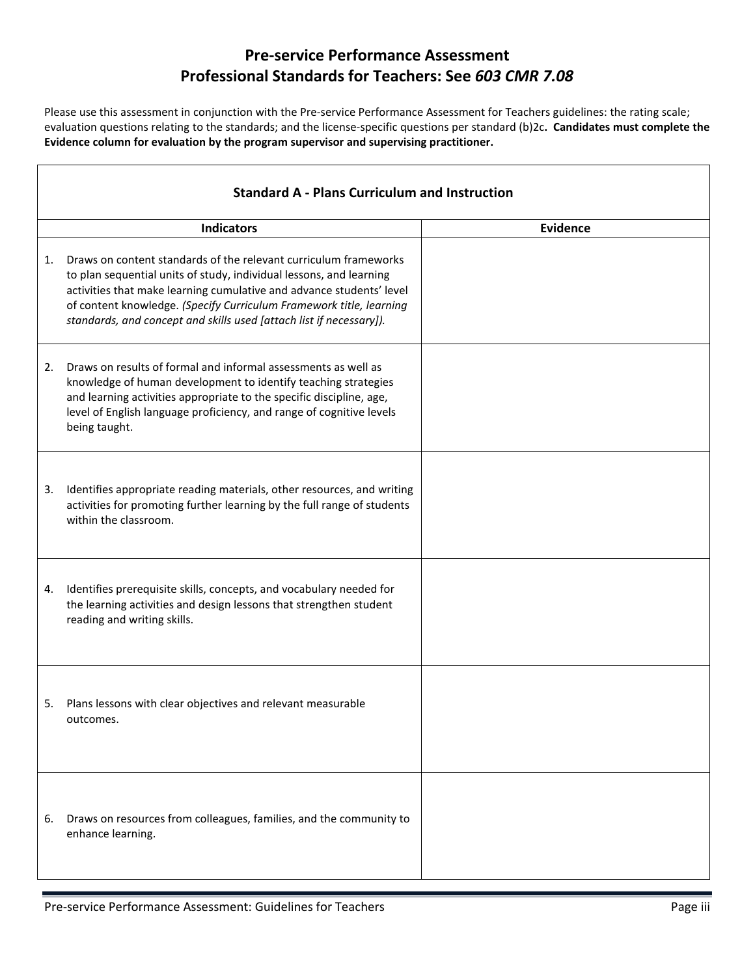### **Pre-service Performance Assessment Professional Standards for Teachers: See** *603 CMR 7.08*

Please use this assessment in conjunction with the Pre-service Performance Assessment for Teachers guidelines: the rating scale; evaluation questions relating to the standards; and the license-specific questions per standard (b)2c**. Candidates must complete the Evidence column for evaluation by the program supervisor and supervising practitioner.**

|    | <b>Standard A - Plans Curriculum and Instruction</b>                                                                                                                                                                                                                                                                                                          |                 |  |  |
|----|---------------------------------------------------------------------------------------------------------------------------------------------------------------------------------------------------------------------------------------------------------------------------------------------------------------------------------------------------------------|-----------------|--|--|
|    | <b>Indicators</b>                                                                                                                                                                                                                                                                                                                                             | <b>Evidence</b> |  |  |
| 1. | Draws on content standards of the relevant curriculum frameworks<br>to plan sequential units of study, individual lessons, and learning<br>activities that make learning cumulative and advance students' level<br>of content knowledge. (Specify Curriculum Framework title, learning<br>standards, and concept and skills used [attach list if necessary]). |                 |  |  |
| 2. | Draws on results of formal and informal assessments as well as<br>knowledge of human development to identify teaching strategies<br>and learning activities appropriate to the specific discipline, age,<br>level of English language proficiency, and range of cognitive levels<br>being taught.                                                             |                 |  |  |
| 3. | Identifies appropriate reading materials, other resources, and writing<br>activities for promoting further learning by the full range of students<br>within the classroom.                                                                                                                                                                                    |                 |  |  |
| 4. | Identifies prerequisite skills, concepts, and vocabulary needed for<br>the learning activities and design lessons that strengthen student<br>reading and writing skills.                                                                                                                                                                                      |                 |  |  |
| 5. | Plans lessons with clear objectives and relevant measurable<br>outcomes.                                                                                                                                                                                                                                                                                      |                 |  |  |
| 6. | Draws on resources from colleagues, families, and the community to<br>enhance learning.                                                                                                                                                                                                                                                                       |                 |  |  |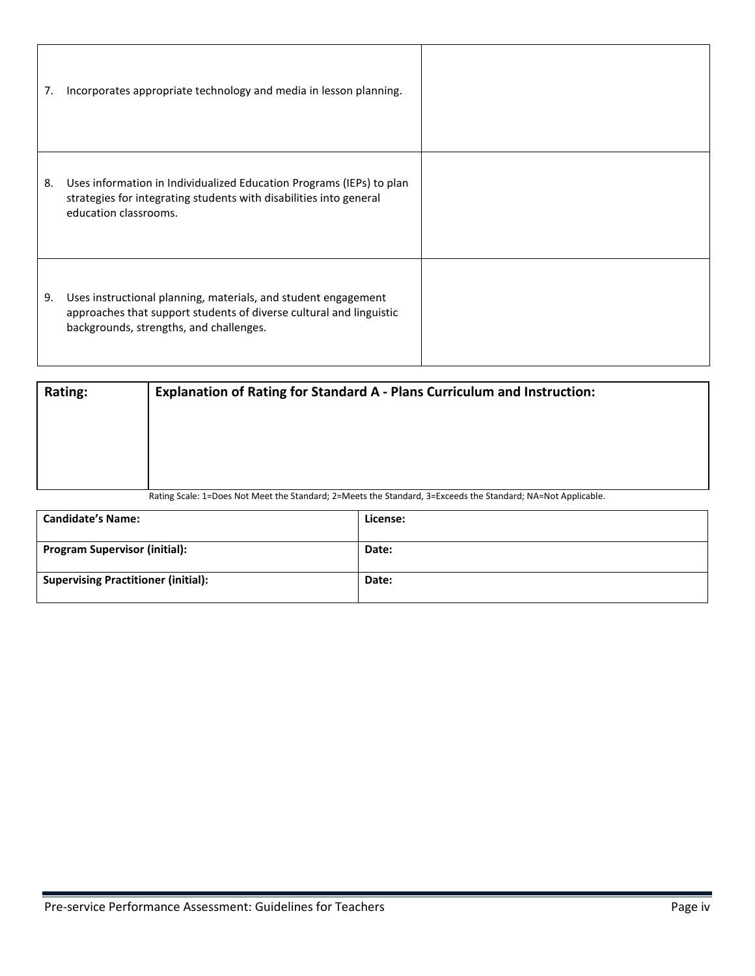| 7. | Incorporates appropriate technology and media in lesson planning.                                                                                                                |  |
|----|----------------------------------------------------------------------------------------------------------------------------------------------------------------------------------|--|
| 8. | Uses information in Individualized Education Programs (IEPs) to plan<br>strategies for integrating students with disabilities into general<br>education classrooms.              |  |
| 9. | Uses instructional planning, materials, and student engagement<br>approaches that support students of diverse cultural and linguistic<br>backgrounds, strengths, and challenges. |  |

| Rating: | <b>Explanation of Rating for Standard A - Plans Curriculum and Instruction:</b>                              |
|---------|--------------------------------------------------------------------------------------------------------------|
|         |                                                                                                              |
|         |                                                                                                              |
|         |                                                                                                              |
|         |                                                                                                              |
|         | Rating Scale: 1=Does Not Meet the Standard; 2=Meets the Standard, 3=Exceeds the Standard; NA=Not Applicable. |

| <b>Candidate's Name:</b>                   | License: |
|--------------------------------------------|----------|
| <b>Program Supervisor (initial):</b>       | Date:    |
| <b>Supervising Practitioner (initial):</b> | Date:    |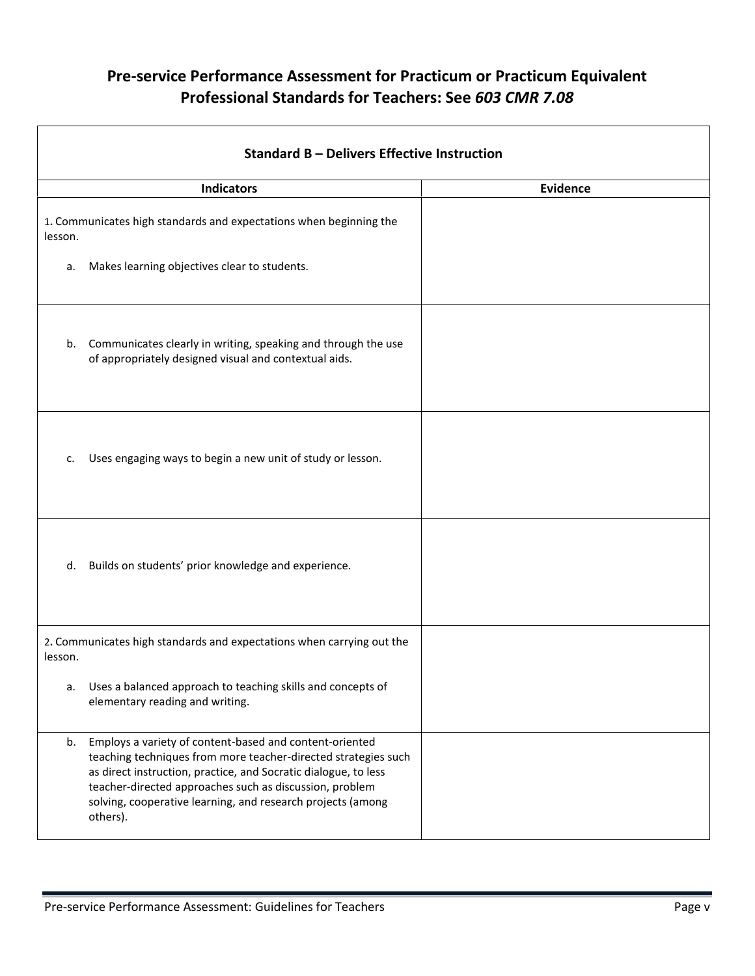| Standard B - Delivers Effective Instruction |                                                                                                                                                                                                                                                                                                                                    |                 |  |
|---------------------------------------------|------------------------------------------------------------------------------------------------------------------------------------------------------------------------------------------------------------------------------------------------------------------------------------------------------------------------------------|-----------------|--|
|                                             | <b>Indicators</b>                                                                                                                                                                                                                                                                                                                  | <b>Evidence</b> |  |
| lesson.                                     | 1. Communicates high standards and expectations when beginning the                                                                                                                                                                                                                                                                 |                 |  |
| а.                                          | Makes learning objectives clear to students.                                                                                                                                                                                                                                                                                       |                 |  |
| b.                                          | Communicates clearly in writing, speaking and through the use<br>of appropriately designed visual and contextual aids.                                                                                                                                                                                                             |                 |  |
| c.                                          | Uses engaging ways to begin a new unit of study or lesson.                                                                                                                                                                                                                                                                         |                 |  |
| d.                                          | Builds on students' prior knowledge and experience.                                                                                                                                                                                                                                                                                |                 |  |
| lesson.                                     | 2. Communicates high standards and expectations when carrying out the                                                                                                                                                                                                                                                              |                 |  |
| a.                                          | Uses a balanced approach to teaching skills and concepts of<br>elementary reading and writing.                                                                                                                                                                                                                                     |                 |  |
| b.                                          | Employs a variety of content-based and content-oriented<br>teaching techniques from more teacher-directed strategies such<br>as direct instruction, practice, and Socratic dialogue, to less<br>teacher-directed approaches such as discussion, problem<br>solving, cooperative learning, and research projects (among<br>others). |                 |  |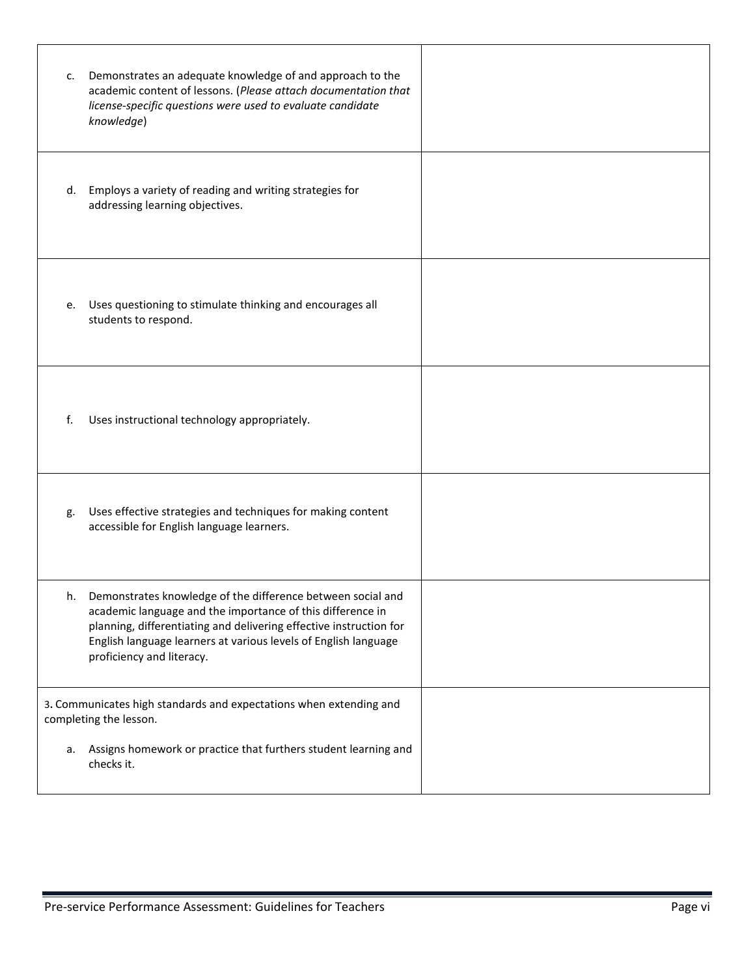| c. | Demonstrates an adequate knowledge of and approach to the<br>academic content of lessons. (Please attach documentation that<br>license-specific questions were used to evaluate candidate<br>knowledge)                                                                                         |  |
|----|-------------------------------------------------------------------------------------------------------------------------------------------------------------------------------------------------------------------------------------------------------------------------------------------------|--|
| d. | Employs a variety of reading and writing strategies for<br>addressing learning objectives.                                                                                                                                                                                                      |  |
| e. | Uses questioning to stimulate thinking and encourages all<br>students to respond.                                                                                                                                                                                                               |  |
| f. | Uses instructional technology appropriately.                                                                                                                                                                                                                                                    |  |
| g. | Uses effective strategies and techniques for making content<br>accessible for English language learners.                                                                                                                                                                                        |  |
| h. | Demonstrates knowledge of the difference between social and<br>academic language and the importance of this difference in<br>planning, differentiating and delivering effective instruction for<br>English language learners at various levels of English language<br>proficiency and literacy. |  |
|    | 3. Communicates high standards and expectations when extending and<br>completing the lesson.                                                                                                                                                                                                    |  |
| а. | Assigns homework or practice that furthers student learning and<br>checks it.                                                                                                                                                                                                                   |  |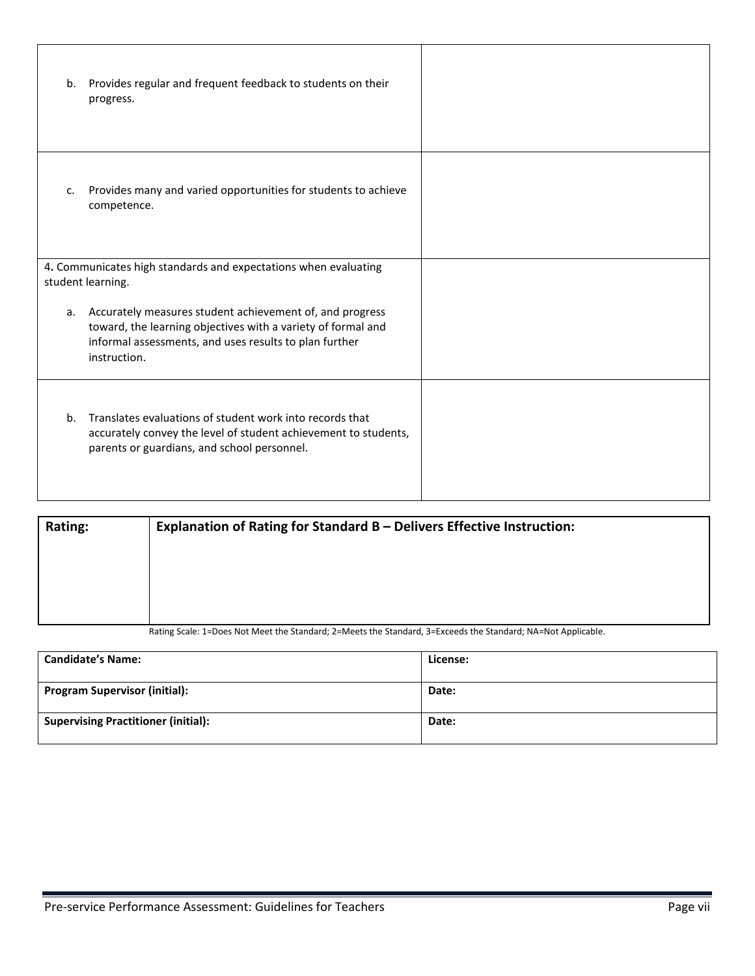| b.                                                                                   | Provides regular and frequent feedback to students on their<br>progress.                                                                                                                           |  |
|--------------------------------------------------------------------------------------|----------------------------------------------------------------------------------------------------------------------------------------------------------------------------------------------------|--|
| c.                                                                                   | Provides many and varied opportunities for students to achieve<br>competence.                                                                                                                      |  |
| 4. Communicates high standards and expectations when evaluating<br>student learning. |                                                                                                                                                                                                    |  |
|                                                                                      |                                                                                                                                                                                                    |  |
| а.                                                                                   | Accurately measures student achievement of, and progress<br>toward, the learning objectives with a variety of formal and<br>informal assessments, and uses results to plan further<br>instruction. |  |
| b.                                                                                   | Translates evaluations of student work into records that<br>accurately convey the level of student achievement to students,<br>parents or guardians, and school personnel.                         |  |

| Rating: | Explanation of Rating for Standard B - Delivers Effective Instruction:                                       |  |  |
|---------|--------------------------------------------------------------------------------------------------------------|--|--|
|         |                                                                                                              |  |  |
|         |                                                                                                              |  |  |
|         |                                                                                                              |  |  |
|         | Rating Scale: 1=Does Not Meet the Standard; 2=Meets the Standard, 3=Exceeds the Standard; NA=Not Applicable. |  |  |

| <b>Candidate's Name:</b>                   | License: |
|--------------------------------------------|----------|
| <b>Program Supervisor (initial):</b>       | Date:    |
| <b>Supervising Practitioner (initial):</b> | Date:    |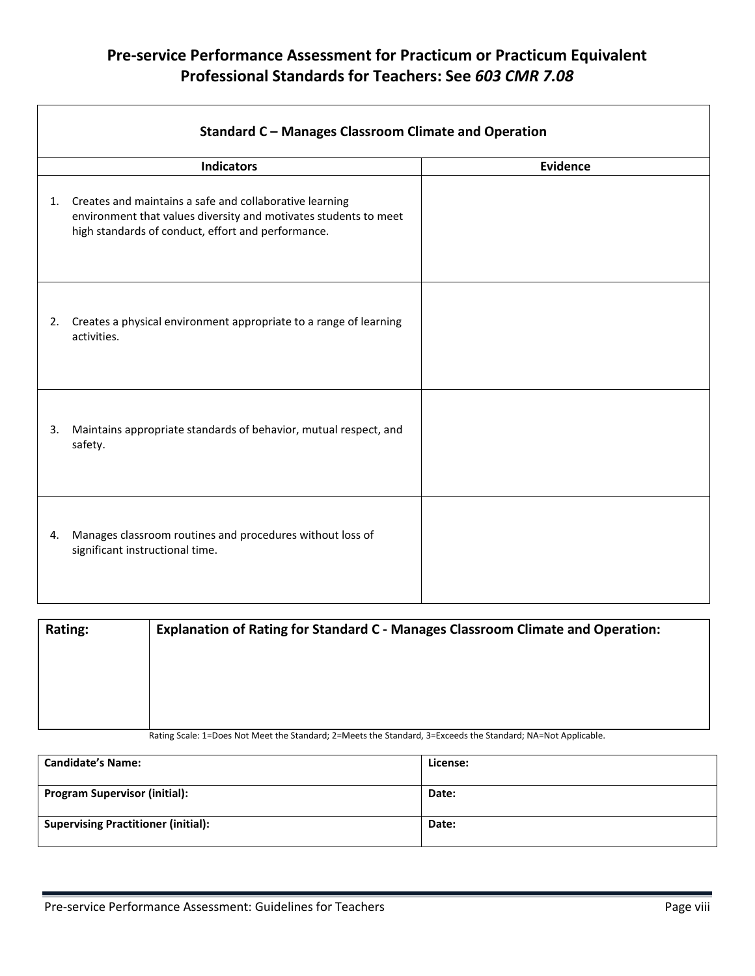|    | <b>Standard C - Manages Classroom Climate and Operation</b>                                                                                                                       |          |
|----|-----------------------------------------------------------------------------------------------------------------------------------------------------------------------------------|----------|
|    | <b>Indicators</b>                                                                                                                                                                 | Evidence |
| 1. | Creates and maintains a safe and collaborative learning<br>environment that values diversity and motivates students to meet<br>high standards of conduct, effort and performance. |          |
| 2. | Creates a physical environment appropriate to a range of learning<br>activities.                                                                                                  |          |
| 3. | Maintains appropriate standards of behavior, mutual respect, and<br>safety.                                                                                                       |          |
| 4. | Manages classroom routines and procedures without loss of<br>significant instructional time.                                                                                      |          |

| Rating: | Explanation of Rating for Standard C - Manages Classroom Climate and Operation:                              |
|---------|--------------------------------------------------------------------------------------------------------------|
|         |                                                                                                              |
|         |                                                                                                              |
|         |                                                                                                              |
|         |                                                                                                              |
|         | Dettee Carlor 4. Dean Mat Martille Chamberle 3. Marti the Chamberl 3. Funnabelle Chamberl MA, Mat Martinelle |

Rating Scale: 1=Does Not Meet the Standard; 2=Meets the Standard, 3=Exceeds the Standard; NA=Not Applicable.

| <b>Candidate's Name:</b>                   | License: |
|--------------------------------------------|----------|
| <b>Program Supervisor (initial):</b>       | Date:    |
| <b>Supervising Practitioner (initial):</b> | Date:    |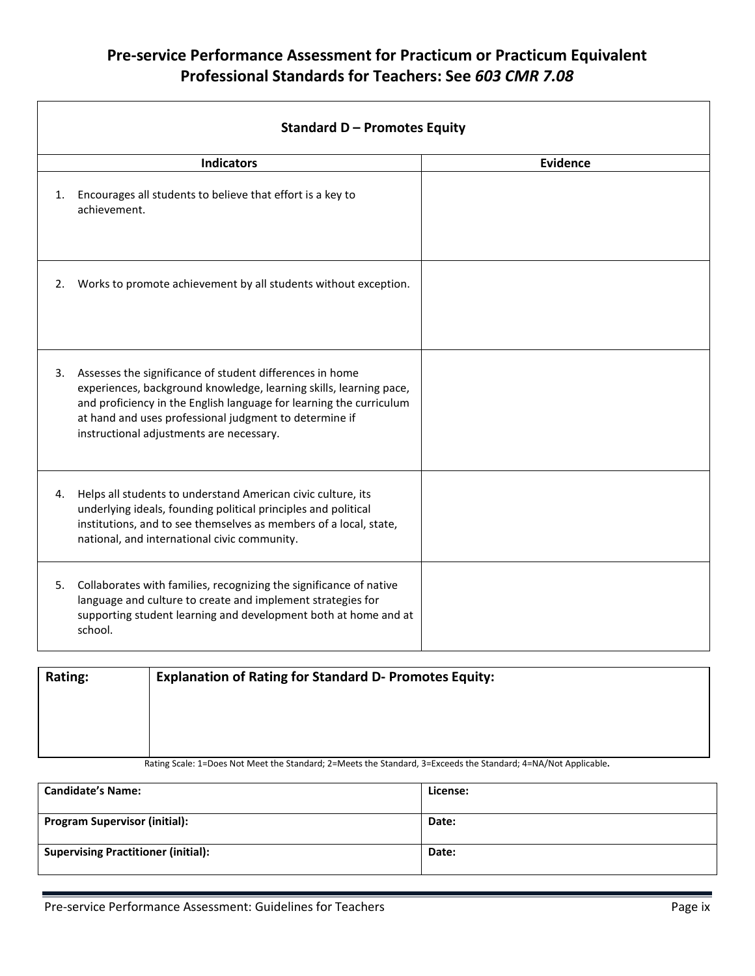|    | <b>Indicators</b>                                                                                                                                                                                                                                                                                              | <b>Evidence</b> |
|----|----------------------------------------------------------------------------------------------------------------------------------------------------------------------------------------------------------------------------------------------------------------------------------------------------------------|-----------------|
| 1. | Encourages all students to believe that effort is a key to<br>achievement.                                                                                                                                                                                                                                     |                 |
| 2. | Works to promote achievement by all students without exception.                                                                                                                                                                                                                                                |                 |
|    | 3. Assesses the significance of student differences in home<br>experiences, background knowledge, learning skills, learning pace,<br>and proficiency in the English language for learning the curriculum<br>at hand and uses professional judgment to determine if<br>instructional adjustments are necessary. |                 |
| 4. | Helps all students to understand American civic culture, its<br>underlying ideals, founding political principles and political<br>institutions, and to see themselves as members of a local, state,<br>national, and international civic community.                                                            |                 |
| 5. | Collaborates with families, recognizing the significance of native<br>language and culture to create and implement strategies for<br>supporting student learning and development both at home and at<br>school.                                                                                                |                 |

| <b>Rating:</b> | <b>Explanation of Rating for Standard D- Promotes Equity:</b>                                                 |
|----------------|---------------------------------------------------------------------------------------------------------------|
|                |                                                                                                               |
|                |                                                                                                               |
|                |                                                                                                               |
|                | Doting Cooler 1-Dage Net Meat the Ctanderd: 3-Meate the Ctanderd 3-Evenede the Ctanderd: 4-NA (Net Applicable |

Rating Scale: 1=Does Not Meet the Standard; 2=Meets the Standard, 3=Exceeds the Standard; 4=NA/Not Applicable**.**

| <b>Candidate's Name:</b>                   | License: |
|--------------------------------------------|----------|
| <b>Program Supervisor (initial):</b>       | Date:    |
| <b>Supervising Practitioner (initial):</b> | Date:    |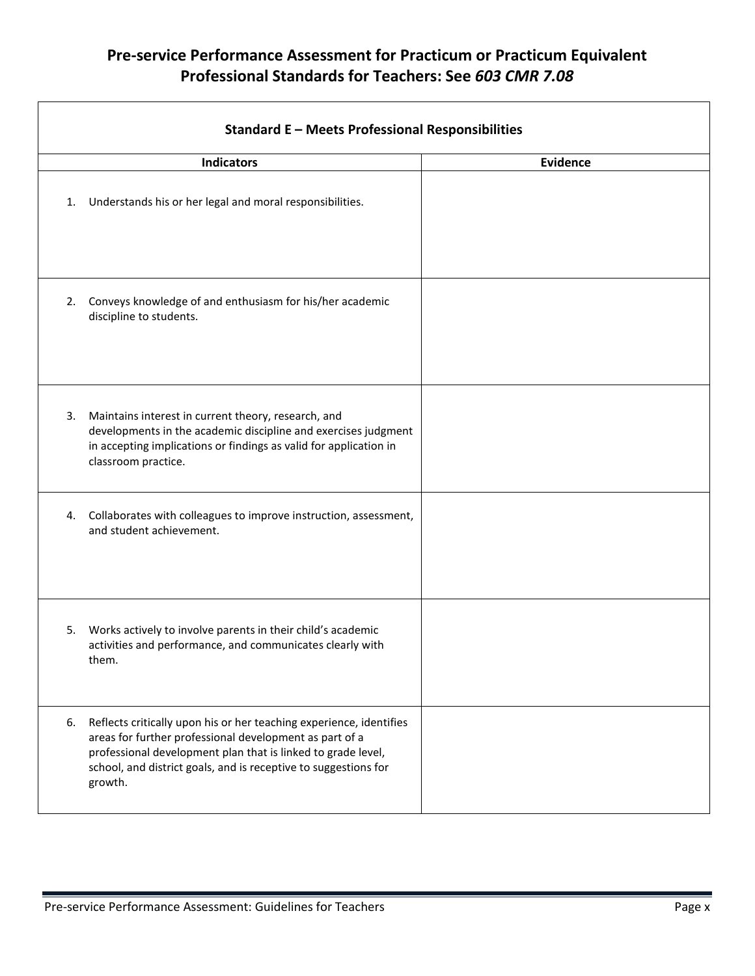|    | <b>Standard E - Meets Professional Responsibilities</b>                                                                                                                                                                                                                      |                 |
|----|------------------------------------------------------------------------------------------------------------------------------------------------------------------------------------------------------------------------------------------------------------------------------|-----------------|
|    | <b>Indicators</b>                                                                                                                                                                                                                                                            | <b>Evidence</b> |
| 1. | Understands his or her legal and moral responsibilities.                                                                                                                                                                                                                     |                 |
|    | 2. Conveys knowledge of and enthusiasm for his/her academic<br>discipline to students.                                                                                                                                                                                       |                 |
| 3. | Maintains interest in current theory, research, and<br>developments in the academic discipline and exercises judgment<br>in accepting implications or findings as valid for application in<br>classroom practice.                                                            |                 |
|    | 4. Collaborates with colleagues to improve instruction, assessment,<br>and student achievement.                                                                                                                                                                              |                 |
| 5. | Works actively to involve parents in their child's academic<br>activities and performance, and communicates clearly with<br>them.                                                                                                                                            |                 |
| 6. | Reflects critically upon his or her teaching experience, identifies<br>areas for further professional development as part of a<br>professional development plan that is linked to grade level,<br>school, and district goals, and is receptive to suggestions for<br>growth. |                 |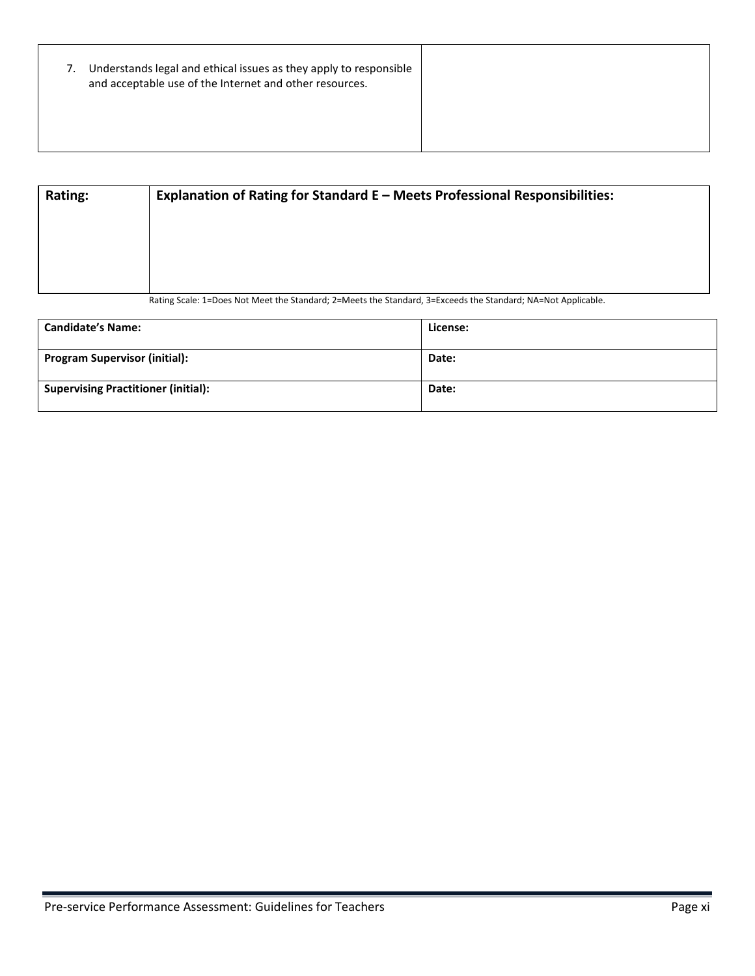| 7. | Understands legal and ethical issues as they apply to responsible<br>and acceptable use of the Internet and other resources. |  |
|----|------------------------------------------------------------------------------------------------------------------------------|--|
|    |                                                                                                                              |  |

| <b>Rating:</b> | Explanation of Rating for Standard E - Meets Professional Responsibilities:                                  |
|----------------|--------------------------------------------------------------------------------------------------------------|
|                |                                                                                                              |
|                |                                                                                                              |
|                |                                                                                                              |
|                | Rating Scale: 1=Does Not Meet the Standard; 2=Meets the Standard, 3=Exceeds the Standard; NA=Not Applicable. |

| <b>Candidate's Name:</b>                   | License: |
|--------------------------------------------|----------|
| <b>Program Supervisor (initial):</b>       | Date:    |
| <b>Supervising Practitioner (initial):</b> | Date:    |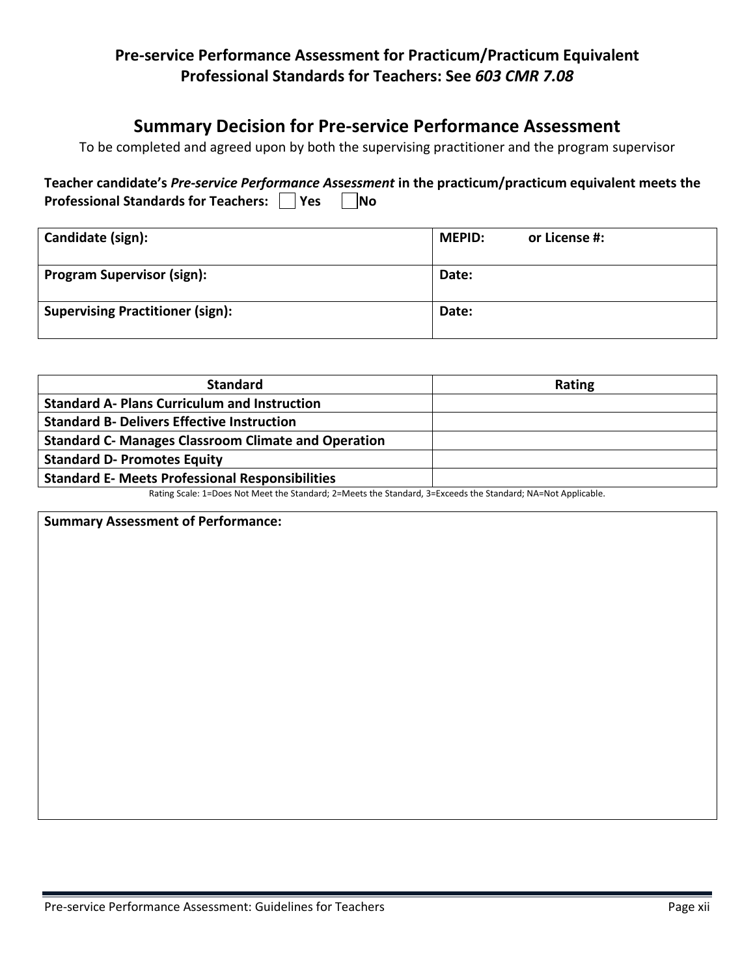## **Summary Decision for Pre-service Performance Assessment**

To be completed and agreed upon by both the supervising practitioner and the program supervisor

|                                                 | Teacher candidate's Pre-service Performance Assessment in the practicum/practicum equivalent meets the |
|-------------------------------------------------|--------------------------------------------------------------------------------------------------------|
| Professional Standards for Teachers: □ Yes □ No |                                                                                                        |

| Candidate (sign):                       | <b>MEPID:</b><br>or License #: |
|-----------------------------------------|--------------------------------|
| <b>Program Supervisor (sign):</b>       | Date:                          |
| <b>Supervising Practitioner (sign):</b> | Date:                          |

Rating Scale: 1=Does Not Meet the Standard; 2=Meets the Standard, 3=Exceeds the Standard; NA=Not Applicable.

**Summary Assessment of Performance:**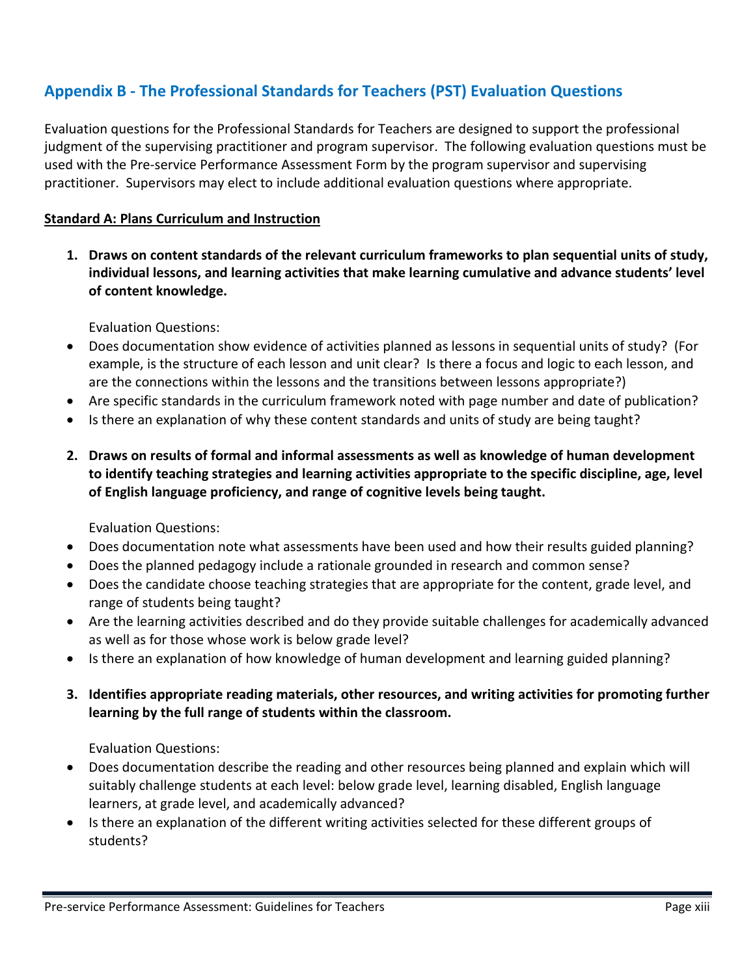## <span id="page-23-0"></span>**Appendix B - The Professional Standards for Teachers (PST) Evaluation Questions**

Evaluation questions for the Professional Standards for Teachers are designed to support the professional judgment of the supervising practitioner and program supervisor. The following evaluation questions must be used with the Pre-service Performance Assessment Form by the program supervisor and supervising practitioner. Supervisors may elect to include additional evaluation questions where appropriate.

#### **Standard A: Plans Curriculum and Instruction**

**1. Draws on content standards of the relevant curriculum frameworks to plan sequential units of study, individual lessons, and learning activities that make learning cumulative and advance students' level of content knowledge.**

Evaluation Questions:

- Does documentation show evidence of activities planned as lessons in sequential units of study? (For example, is the structure of each lesson and unit clear? Is there a focus and logic to each lesson, and are the connections within the lessons and the transitions between lessons appropriate?)
- Are specific standards in the curriculum framework noted with page number and date of publication?
- Is there an explanation of why these content standards and units of study are being taught?
- **2. Draws on results of formal and informal assessments as well as knowledge of human development to identify teaching strategies and learning activities appropriate to the specific discipline, age, level of English language proficiency, and range of cognitive levels being taught.**

Evaluation Questions:

- Does documentation note what assessments have been used and how their results guided planning?
- Does the planned pedagogy include a rationale grounded in research and common sense?
- Does the candidate choose teaching strategies that are appropriate for the content, grade level, and range of students being taught?
- Are the learning activities described and do they provide suitable challenges for academically advanced as well as for those whose work is below grade level?
- Is there an explanation of how knowledge of human development and learning guided planning?
- **3. Identifies appropriate reading materials, other resources, and writing activities for promoting further learning by the full range of students within the classroom.**

- Does documentation describe the reading and other resources being planned and explain which will suitably challenge students at each level: below grade level, learning disabled, English language learners, at grade level, and academically advanced?
- Is there an explanation of the different writing activities selected for these different groups of students?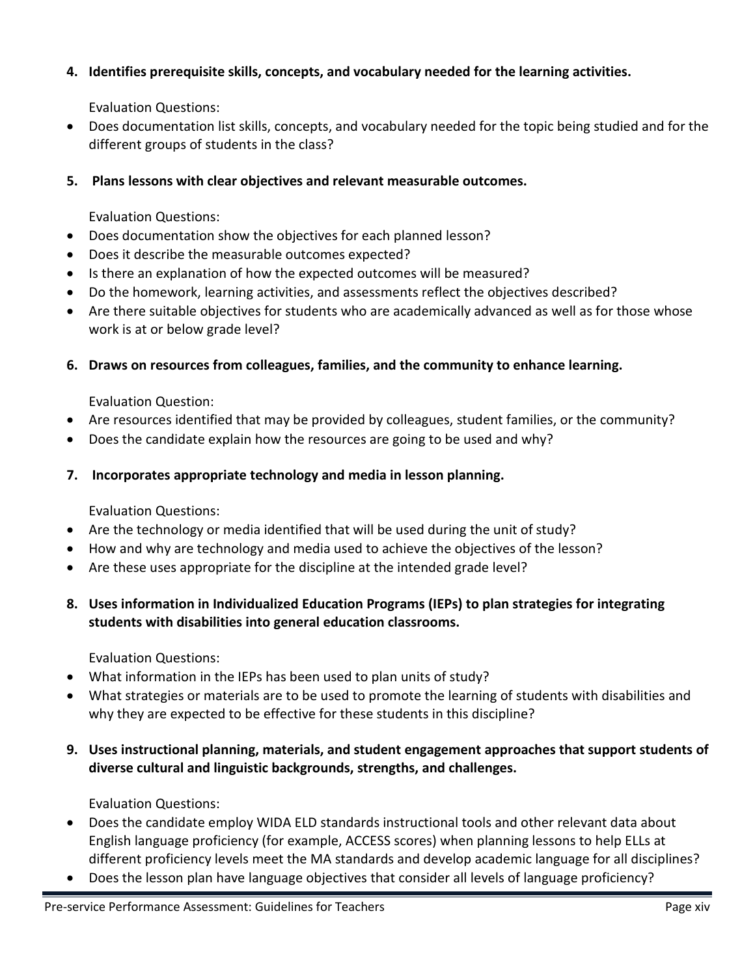### **4. Identifies prerequisite skills, concepts, and vocabulary needed for the learning activities.**

Evaluation Questions:

• Does documentation list skills, concepts, and vocabulary needed for the topic being studied and for the different groups of students in the class?

### **5. Plans lessons with clear objectives and relevant measurable outcomes.**

Evaluation Questions:

- Does documentation show the objectives for each planned lesson?
- Does it describe the measurable outcomes expected?
- Is there an explanation of how the expected outcomes will be measured?
- Do the homework, learning activities, and assessments reflect the objectives described?
- Are there suitable objectives for students who are academically advanced as well as for those whose work is at or below grade level?

### **6. Draws on resources from colleagues, families, and the community to enhance learning.**

Evaluation Question:

- Are resources identified that may be provided by colleagues, student families, or the community?
- Does the candidate explain how the resources are going to be used and why?

### **7. Incorporates appropriate technology and media in lesson planning.**

Evaluation Questions:

- Are the technology or media identified that will be used during the unit of study?
- How and why are technology and media used to achieve the objectives of the lesson?
- Are these uses appropriate for the discipline at the intended grade level?
- **8. Uses information in Individualized Education Programs (IEPs) to plan strategies for integrating students with disabilities into general education classrooms.**

Evaluation Questions:

- What information in the IEPs has been used to plan units of study?
- What strategies or materials are to be used to promote the learning of students with disabilities and why they are expected to be effective for these students in this discipline?
- **9. Uses instructional planning, materials, and student engagement approaches that support students of diverse cultural and linguistic backgrounds, strengths, and challenges.**

- Does the candidate employ WIDA ELD standards instructional tools and other relevant data about English language proficiency (for example, ACCESS scores) when planning lessons to help ELLs at different proficiency levels meet the MA standards and develop academic language for all disciplines?
- Does the lesson plan have language objectives that consider all levels of language proficiency?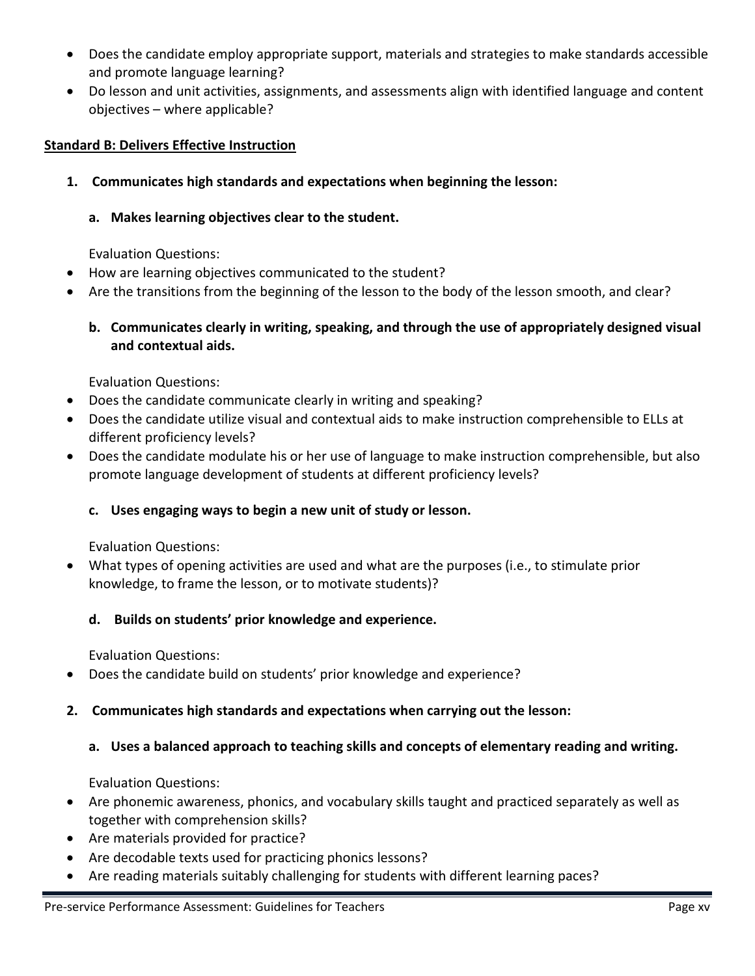- Does the candidate employ appropriate support, materials and strategies to make standards accessible and promote language learning?
- Do lesson and unit activities, assignments, and assessments align with identified language and content objectives – where applicable?

#### **Standard B: Delivers Effective Instruction**

**1. Communicates high standards and expectations when beginning the lesson:**

#### **a. Makes learning objectives clear to the student.**

Evaluation Questions:

- How are learning objectives communicated to the student?
- Are the transitions from the beginning of the lesson to the body of the lesson smooth, and clear?

#### **b. Communicates clearly in writing, speaking, and through the use of appropriately designed visual and contextual aids.**

Evaluation Questions:

- Does the candidate communicate clearly in writing and speaking?
- Does the candidate utilize visual and contextual aids to make instruction comprehensible to ELLs at different proficiency levels?
- Does the candidate modulate his or her use of language to make instruction comprehensible, but also promote language development of students at different proficiency levels?

#### **c. Uses engaging ways to begin a new unit of study or lesson.**

Evaluation Questions:

• What types of opening activities are used and what are the purposes (i.e., to stimulate prior knowledge, to frame the lesson, or to motivate students)?

### **d. Builds on students' prior knowledge and experience.**

Evaluation Questions:

• Does the candidate build on students' prior knowledge and experience?

#### **2. Communicates high standards and expectations when carrying out the lesson:**

#### **a. Uses a balanced approach to teaching skills and concepts of elementary reading and writing.**

- Are phonemic awareness, phonics, and vocabulary skills taught and practiced separately as well as together with comprehension skills?
- Are materials provided for practice?
- Are decodable texts used for practicing phonics lessons?
- Are reading materials suitably challenging for students with different learning paces?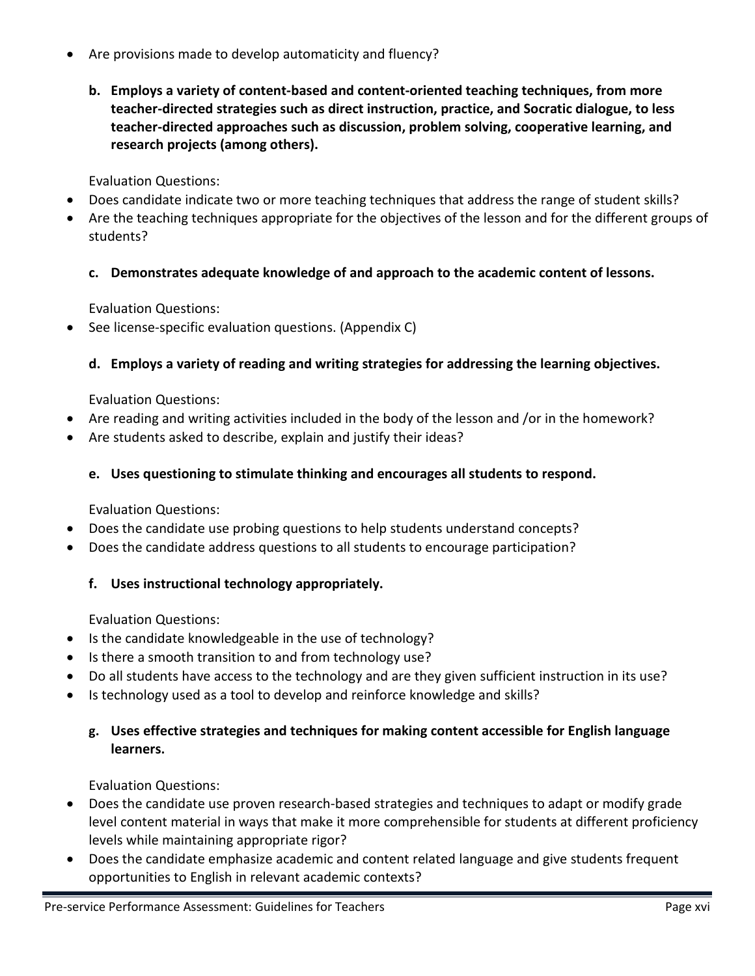- Are provisions made to develop automaticity and fluency?
	- **b. Employs a variety of content-based and content-oriented teaching techniques, from more teacher-directed strategies such as direct instruction, practice, and Socratic dialogue, to less teacher-directed approaches such as discussion, problem solving, cooperative learning, and research projects (among others).**

Evaluation Questions:

- Does candidate indicate two or more teaching techniques that address the range of student skills?
- Are the teaching techniques appropriate for the objectives of the lesson and for the different groups of students?
	- **c. Demonstrates adequate knowledge of and approach to the academic content of lessons.**

Evaluation Questions:

• See license-specific evaluation questions. (Appendix C)

### **d. Employs a variety of reading and writing strategies for addressing the learning objectives.**

Evaluation Questions:

- Are reading and writing activities included in the body of the lesson and /or in the homework?
- Are students asked to describe, explain and justify their ideas?

### **e. Uses questioning to stimulate thinking and encourages all students to respond.**

Evaluation Questions:

- Does the candidate use probing questions to help students understand concepts?
- Does the candidate address questions to all students to encourage participation?
	- **f. Uses instructional technology appropriately.**

Evaluation Questions:

- Is the candidate knowledgeable in the use of technology?
- Is there a smooth transition to and from technology use?
- Do all students have access to the technology and are they given sufficient instruction in its use?
- Is technology used as a tool to develop and reinforce knowledge and skills?

### **g. Uses effective strategies and techniques for making content accessible for English language learners.**

- Does the candidate use proven research-based strategies and techniques to adapt or modify grade level content material in ways that make it more comprehensible for students at different proficiency levels while maintaining appropriate rigor?
- Does the candidate emphasize academic and content related language and give students frequent opportunities to English in relevant academic contexts?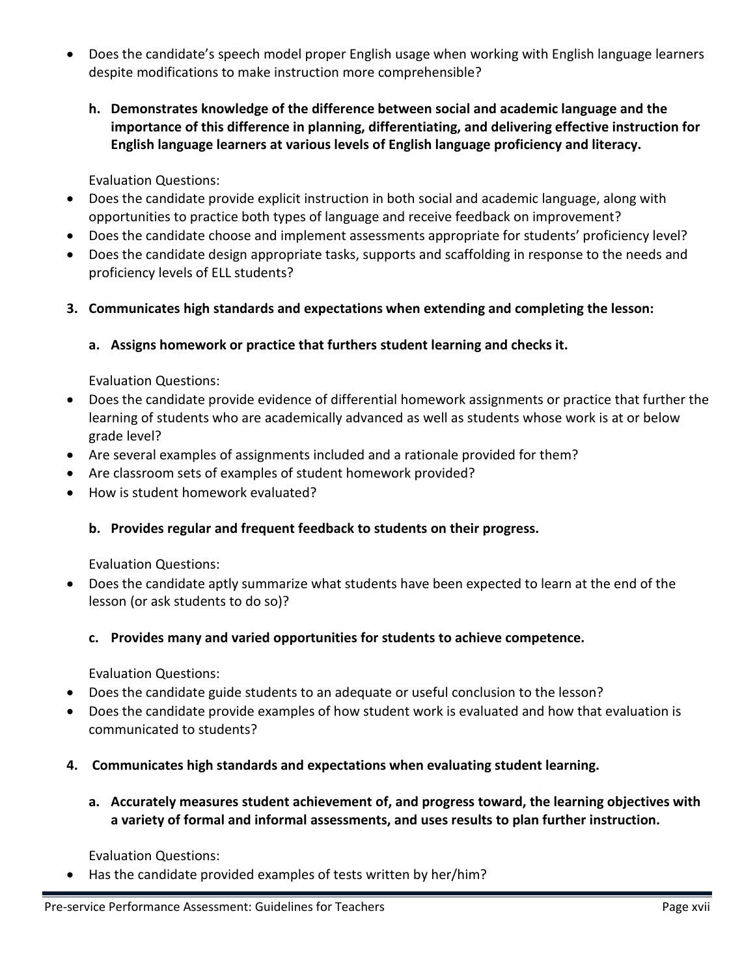- Does the candidate's speech model proper English usage when working with English language learners despite modifications to make instruction more comprehensible?
	- **h. Demonstrates knowledge of the difference between social and academic language and the importance of this difference in planning, differentiating, and delivering effective instruction for English language learners at various levels of English language proficiency and literacy.**

Evaluation Questions:

- Does the candidate provide explicit instruction in both social and academic language, along with opportunities to practice both types of language and receive feedback on improvement?
- Does the candidate choose and implement assessments appropriate for students' proficiency level?
- Does the candidate design appropriate tasks, supports and scaffolding in response to the needs and proficiency levels of ELL students?
- **3. Communicates high standards and expectations when extending and completing the lesson:**

### **a. Assigns homework or practice that furthers student learning and checks it.**

Evaluation Questions:

- Does the candidate provide evidence of differential homework assignments or practice that further the learning of students who are academically advanced as well as students whose work is at or below grade level?
- Are several examples of assignments included and a rationale provided for them?
- Are classroom sets of examples of student homework provided?
- How is student homework evaluated?

### **b. Provides regular and frequent feedback to students on their progress.**

Evaluation Questions:

• Does the candidate aptly summarize what students have been expected to learn at the end of the lesson (or ask students to do so)?

### **c. Provides many and varied opportunities for students to achieve competence.**

Evaluation Questions:

- Does the candidate guide students to an adequate or useful conclusion to the lesson?
- Does the candidate provide examples of how student work is evaluated and how that evaluation is communicated to students?
- **4. Communicates high standards and expectations when evaluating student learning.**
	- **a. Accurately measures student achievement of, and progress toward, the learning objectives with a variety of formal and informal assessments, and uses results to plan further instruction.**

Evaluation Questions:

• Has the candidate provided examples of tests written by her/him?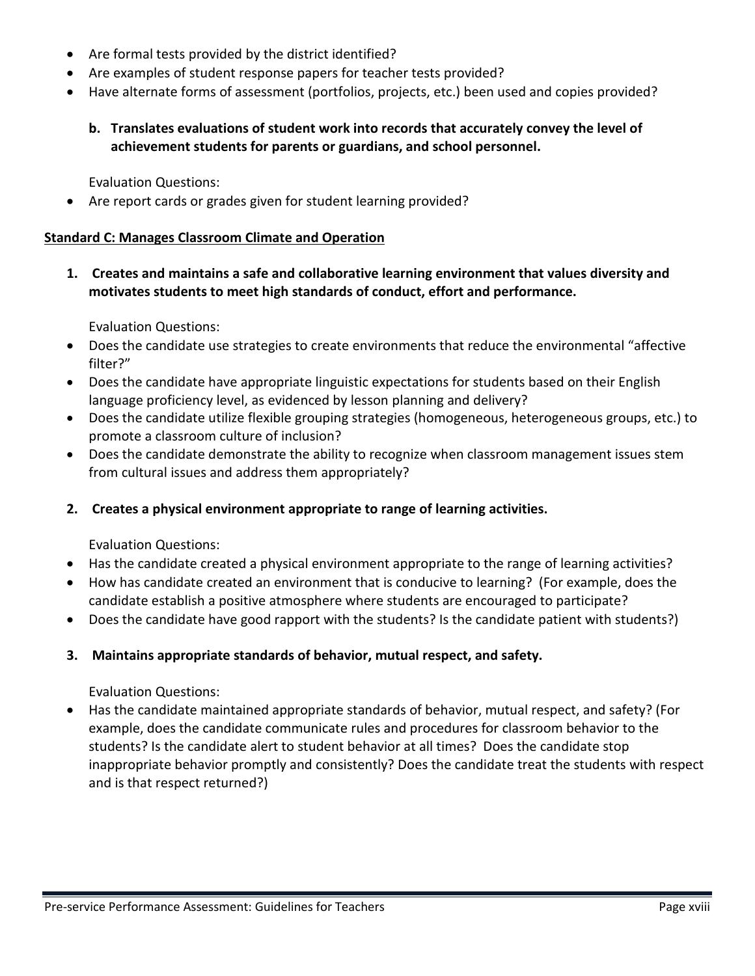- Are formal tests provided by the district identified?
- Are examples of student response papers for teacher tests provided?
- Have alternate forms of assessment (portfolios, projects, etc.) been used and copies provided?
	- **b. Translates evaluations of student work into records that accurately convey the level of achievement students for parents or guardians, and school personnel.**

Evaluation Questions:

• Are report cards or grades given for student learning provided?

#### **Standard C: Manages Classroom Climate and Operation**

**1. Creates and maintains a safe and collaborative learning environment that values diversity and motivates students to meet high standards of conduct, effort and performance.**

Evaluation Questions:

- Does the candidate use strategies to create environments that reduce the environmental "affective filter?"
- Does the candidate have appropriate linguistic expectations for students based on their English language proficiency level, as evidenced by lesson planning and delivery?
- Does the candidate utilize flexible grouping strategies (homogeneous, heterogeneous groups, etc.) to promote a classroom culture of inclusion?
- Does the candidate demonstrate the ability to recognize when classroom management issues stem from cultural issues and address them appropriately?
- **2. Creates a physical environment appropriate to range of learning activities.**

Evaluation Questions:

- Has the candidate created a physical environment appropriate to the range of learning activities?
- How has candidate created an environment that is conducive to learning? (For example, does the candidate establish a positive atmosphere where students are encouraged to participate?
- Does the candidate have good rapport with the students? Is the candidate patient with students?)

#### **3. Maintains appropriate standards of behavior, mutual respect, and safety.**

Evaluation Questions:

• Has the candidate maintained appropriate standards of behavior, mutual respect, and safety? (For example, does the candidate communicate rules and procedures for classroom behavior to the students? Is the candidate alert to student behavior at all times? Does the candidate stop inappropriate behavior promptly and consistently? Does the candidate treat the students with respect and is that respect returned?)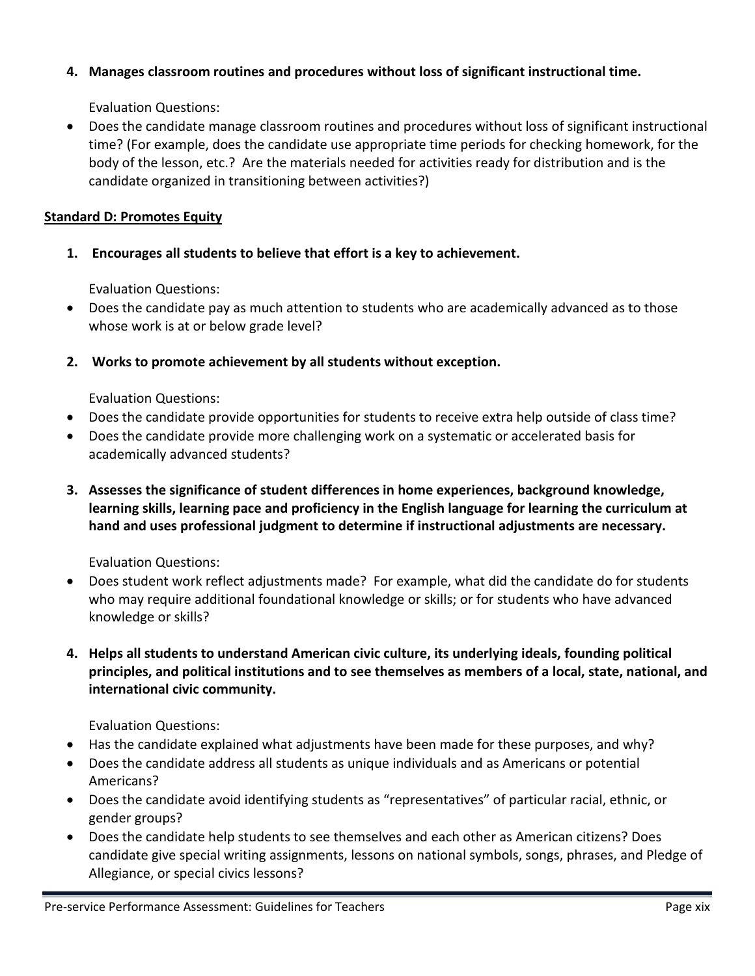### **4. Manages classroom routines and procedures without loss of significant instructional time.**

Evaluation Questions:

• Does the candidate manage classroom routines and procedures without loss of significant instructional time? (For example, does the candidate use appropriate time periods for checking homework, for the body of the lesson, etc.? Are the materials needed for activities ready for distribution and is the candidate organized in transitioning between activities?)

### **Standard D: Promotes Equity**

**1. Encourages all students to believe that effort is a key to achievement.**

Evaluation Questions:

- Does the candidate pay as much attention to students who are academically advanced as to those whose work is at or below grade level?
- **2. Works to promote achievement by all students without exception.**

Evaluation Questions:

- Does the candidate provide opportunities for students to receive extra help outside of class time?
- Does the candidate provide more challenging work on a systematic or accelerated basis for academically advanced students?
- **3. Assesses the significance of student differences in home experiences, background knowledge, learning skills, learning pace and proficiency in the English language for learning the curriculum at hand and uses professional judgment to determine if instructional adjustments are necessary.**

Evaluation Questions:

- Does student work reflect adjustments made? For example, what did the candidate do for students who may require additional foundational knowledge or skills; or for students who have advanced knowledge or skills?
- **4. Helps all students to understand American civic culture, its underlying ideals, founding political principles, and political institutions and to see themselves as members of a local, state, national, and international civic community.**

- Has the candidate explained what adjustments have been made for these purposes, and why?
- Does the candidate address all students as unique individuals and as Americans or potential Americans?
- Does the candidate avoid identifying students as "representatives" of particular racial, ethnic, or gender groups?
- Does the candidate help students to see themselves and each other as American citizens? Does candidate give special writing assignments, lessons on national symbols, songs, phrases, and Pledge of Allegiance, or special civics lessons?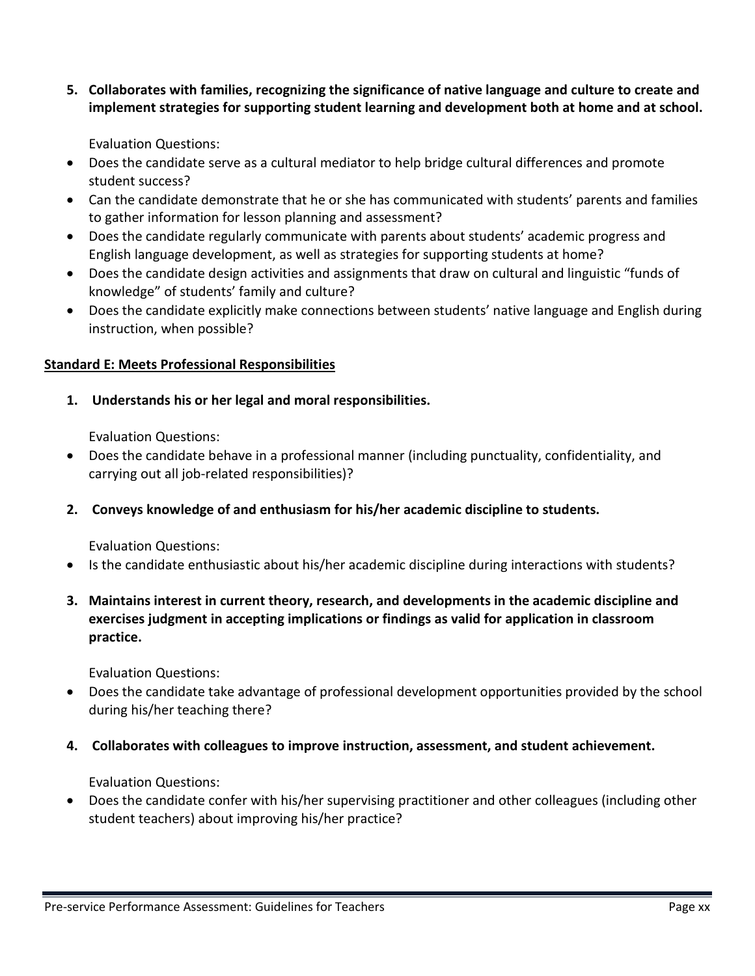**5. Collaborates with families, recognizing the significance of native language and culture to create and implement strategies for supporting student learning and development both at home and at school.** 

Evaluation Questions:

- Does the candidate serve as a cultural mediator to help bridge cultural differences and promote student success?
- Can the candidate demonstrate that he or she has communicated with students' parents and families to gather information for lesson planning and assessment?
- Does the candidate regularly communicate with parents about students' academic progress and English language development, as well as strategies for supporting students at home?
- Does the candidate design activities and assignments that draw on cultural and linguistic "funds of knowledge" of students' family and culture?
- Does the candidate explicitly make connections between students' native language and English during instruction, when possible?

### **Standard E: Meets Professional Responsibilities**

**1. Understands his or her legal and moral responsibilities.**

Evaluation Questions:

- Does the candidate behave in a professional manner (including punctuality, confidentiality, and carrying out all job-related responsibilities)?
- **2. Conveys knowledge of and enthusiasm for his/her academic discipline to students.**

Evaluation Questions:

- Is the candidate enthusiastic about his/her academic discipline during interactions with students?
- **3. Maintains interest in current theory, research, and developments in the academic discipline and exercises judgment in accepting implications or findings as valid for application in classroom practice.**

Evaluation Questions:

- Does the candidate take advantage of professional development opportunities provided by the school during his/her teaching there?
- **4. Collaborates with colleagues to improve instruction, assessment, and student achievement.**

Evaluation Questions:

• Does the candidate confer with his/her supervising practitioner and other colleagues (including other student teachers) about improving his/her practice?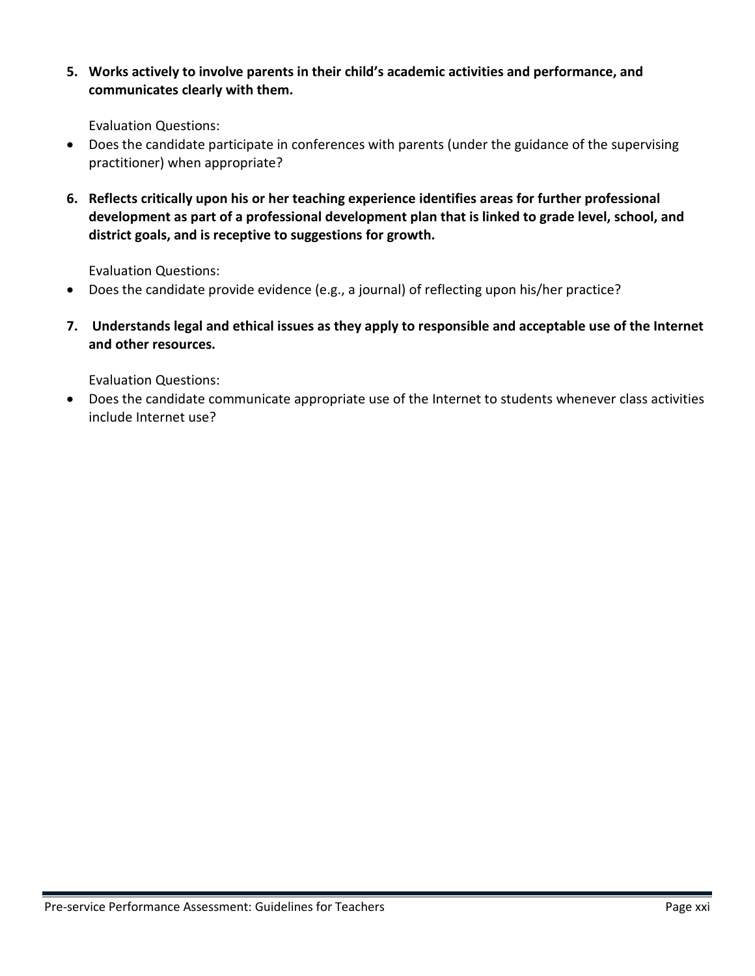**5. Works actively to involve parents in their child's academic activities and performance, and communicates clearly with them.**

Evaluation Questions:

- Does the candidate participate in conferences with parents (under the guidance of the supervising practitioner) when appropriate?
- **6. Reflects critically upon his or her teaching experience identifies areas for further professional development as part of a professional development plan that is linked to grade level, school, and district goals, and is receptive to suggestions for growth.**

Evaluation Questions:

- Does the candidate provide evidence (e.g., a journal) of reflecting upon his/her practice?
- **7. Understands legal and ethical issues as they apply to responsible and acceptable use of the Internet and other resources.**

Evaluation Questions:

• Does the candidate communicate appropriate use of the Internet to students whenever class activities include Internet use?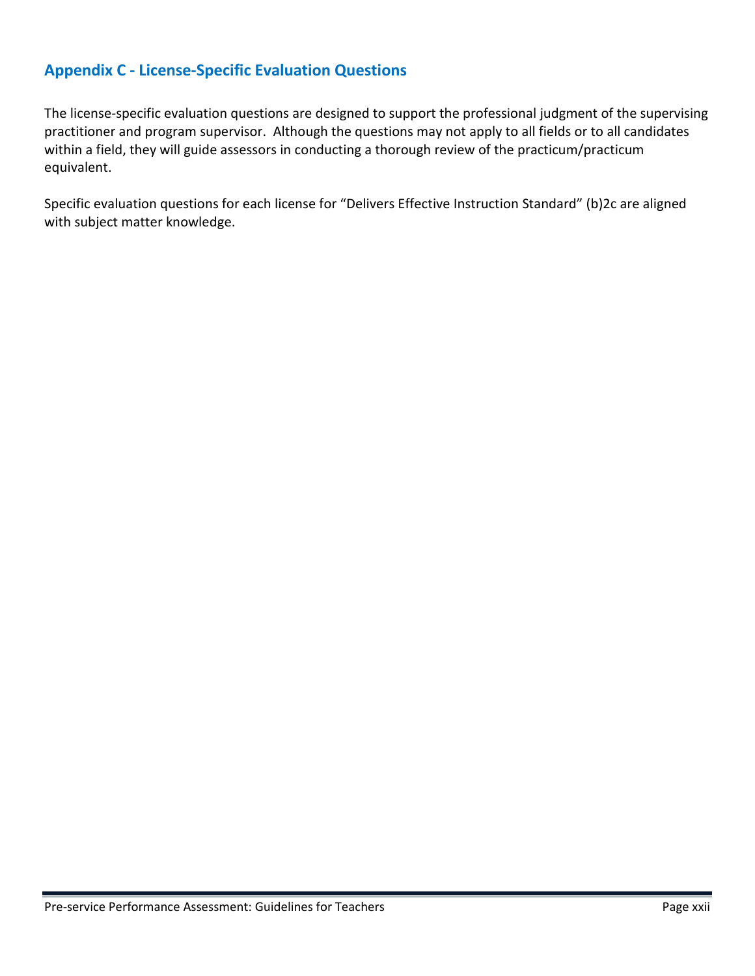### <span id="page-32-0"></span>**Appendix C - License-Specific Evaluation Questions**

The license-specific evaluation questions are designed to support the professional judgment of the supervising practitioner and program supervisor. Although the questions may not apply to all fields or to all candidates within a field, they will guide assessors in conducting a thorough review of the practicum/practicum equivalent.

Specific evaluation questions for each license for "Delivers Effective Instruction Standard" (b)2c are aligned with subject matter knowledge.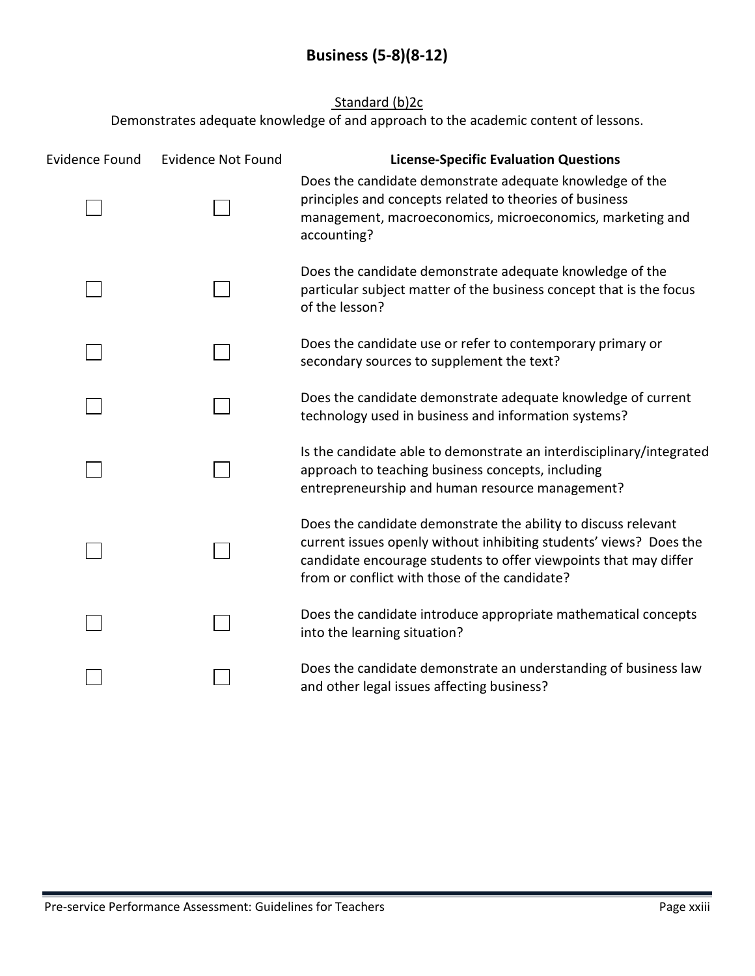### Standard (b)<sub>2c</sub>

<span id="page-33-0"></span>

| <b>Evidence Found</b> | <b>Evidence Not Found</b> | <b>License-Specific Evaluation Questions</b>                                                                                                                                                                                                              |
|-----------------------|---------------------------|-----------------------------------------------------------------------------------------------------------------------------------------------------------------------------------------------------------------------------------------------------------|
|                       |                           | Does the candidate demonstrate adequate knowledge of the<br>principles and concepts related to theories of business<br>management, macroeconomics, microeconomics, marketing and<br>accounting?                                                           |
|                       |                           | Does the candidate demonstrate adequate knowledge of the<br>particular subject matter of the business concept that is the focus<br>of the lesson?                                                                                                         |
|                       |                           | Does the candidate use or refer to contemporary primary or<br>secondary sources to supplement the text?                                                                                                                                                   |
|                       |                           | Does the candidate demonstrate adequate knowledge of current<br>technology used in business and information systems?                                                                                                                                      |
|                       |                           | Is the candidate able to demonstrate an interdisciplinary/integrated<br>approach to teaching business concepts, including<br>entrepreneurship and human resource management?                                                                              |
|                       |                           | Does the candidate demonstrate the ability to discuss relevant<br>current issues openly without inhibiting students' views? Does the<br>candidate encourage students to offer viewpoints that may differ<br>from or conflict with those of the candidate? |
|                       |                           | Does the candidate introduce appropriate mathematical concepts<br>into the learning situation?                                                                                                                                                            |
|                       |                           | Does the candidate demonstrate an understanding of business law<br>and other legal issues affecting business?                                                                                                                                             |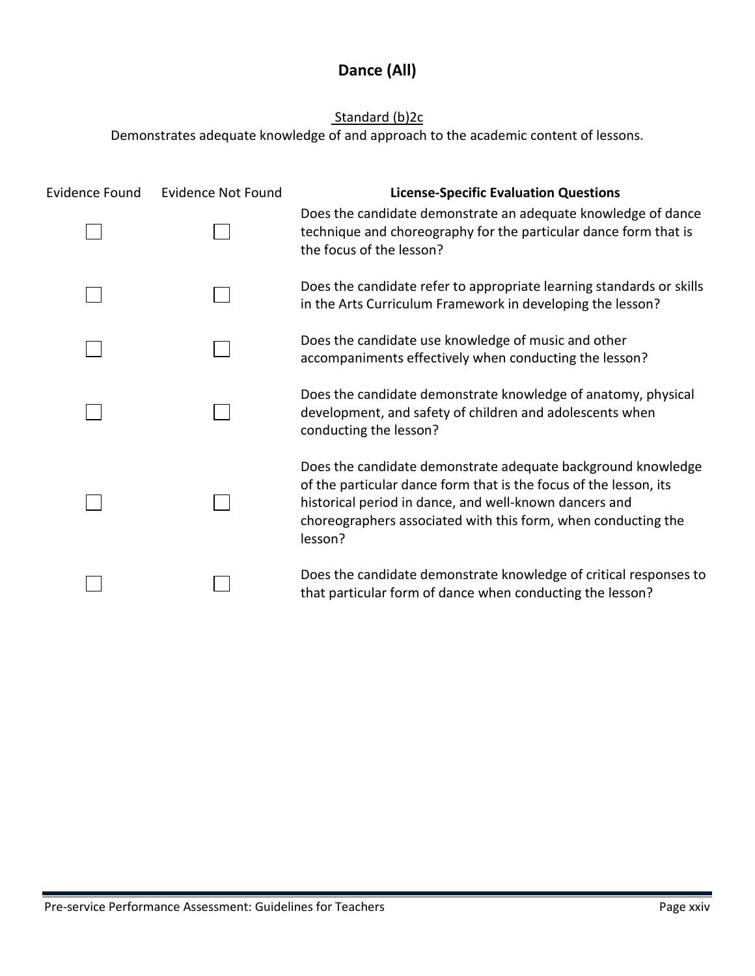## **Dance (All)**

### Standard (b)2c

<span id="page-34-0"></span>

| Evidence Found | Evidence Not Found | <b>License-Specific Evaluation Questions</b>                                                                                                                                                                                                                            |
|----------------|--------------------|-------------------------------------------------------------------------------------------------------------------------------------------------------------------------------------------------------------------------------------------------------------------------|
|                |                    | Does the candidate demonstrate an adequate knowledge of dance<br>technique and choreography for the particular dance form that is<br>the focus of the lesson?                                                                                                           |
|                |                    | Does the candidate refer to appropriate learning standards or skills<br>in the Arts Curriculum Framework in developing the lesson?                                                                                                                                      |
|                |                    | Does the candidate use knowledge of music and other<br>accompaniments effectively when conducting the lesson?                                                                                                                                                           |
|                |                    | Does the candidate demonstrate knowledge of anatomy, physical<br>development, and safety of children and adolescents when<br>conducting the lesson?                                                                                                                     |
|                |                    | Does the candidate demonstrate adequate background knowledge<br>of the particular dance form that is the focus of the lesson, its<br>historical period in dance, and well-known dancers and<br>choreographers associated with this form, when conducting the<br>lesson? |
|                |                    | Does the candidate demonstrate knowledge of critical responses to<br>that particular form of dance when conducting the lesson?                                                                                                                                          |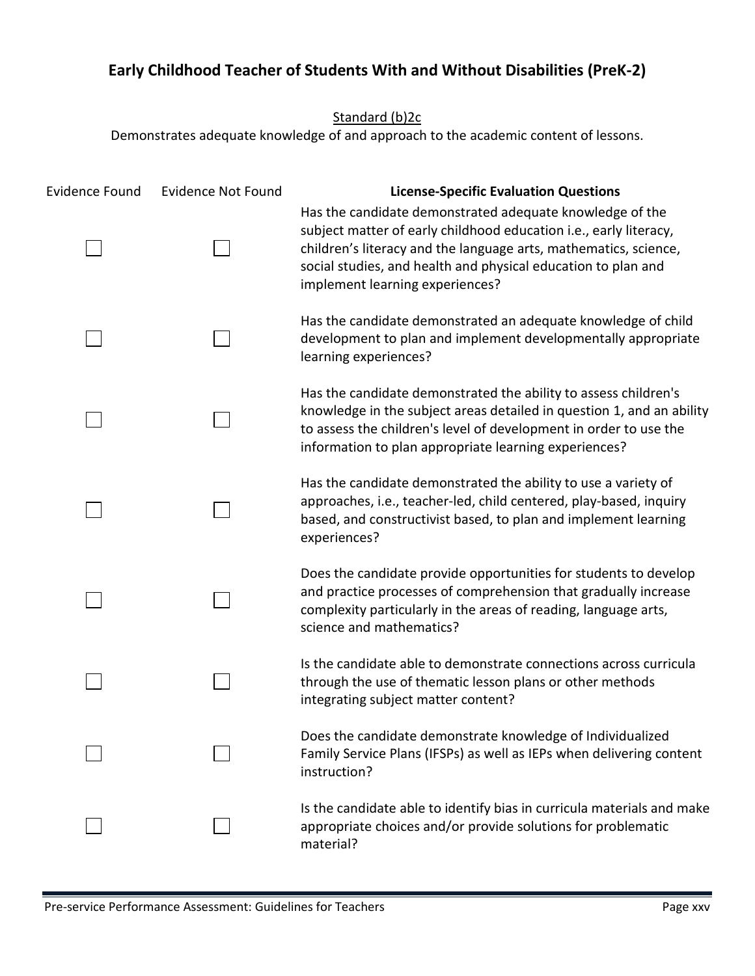## <span id="page-35-0"></span>**Early Childhood Teacher of Students With and Without Disabilities (PreK-2)**

Standard (b)<sub>2c</sub>

| <b>Evidence Found</b> | <b>Evidence Not Found</b> | <b>License-Specific Evaluation Questions</b>                                                                                                                                                                                                                                                          |
|-----------------------|---------------------------|-------------------------------------------------------------------------------------------------------------------------------------------------------------------------------------------------------------------------------------------------------------------------------------------------------|
|                       |                           | Has the candidate demonstrated adequate knowledge of the<br>subject matter of early childhood education i.e., early literacy,<br>children's literacy and the language arts, mathematics, science,<br>social studies, and health and physical education to plan and<br>implement learning experiences? |
|                       |                           | Has the candidate demonstrated an adequate knowledge of child<br>development to plan and implement developmentally appropriate<br>learning experiences?                                                                                                                                               |
|                       |                           | Has the candidate demonstrated the ability to assess children's<br>knowledge in the subject areas detailed in question 1, and an ability<br>to assess the children's level of development in order to use the<br>information to plan appropriate learning experiences?                                |
|                       |                           | Has the candidate demonstrated the ability to use a variety of<br>approaches, i.e., teacher-led, child centered, play-based, inquiry<br>based, and constructivist based, to plan and implement learning<br>experiences?                                                                               |
|                       |                           | Does the candidate provide opportunities for students to develop<br>and practice processes of comprehension that gradually increase<br>complexity particularly in the areas of reading, language arts,<br>science and mathematics?                                                                    |
|                       |                           | Is the candidate able to demonstrate connections across curricula<br>through the use of thematic lesson plans or other methods<br>integrating subject matter content?                                                                                                                                 |
|                       |                           | Does the candidate demonstrate knowledge of Individualized<br>Family Service Plans (IFSPs) as well as IEPs when delivering content<br>instruction?                                                                                                                                                    |
|                       |                           | Is the candidate able to identify bias in curricula materials and make<br>appropriate choices and/or provide solutions for problematic<br>material?                                                                                                                                                   |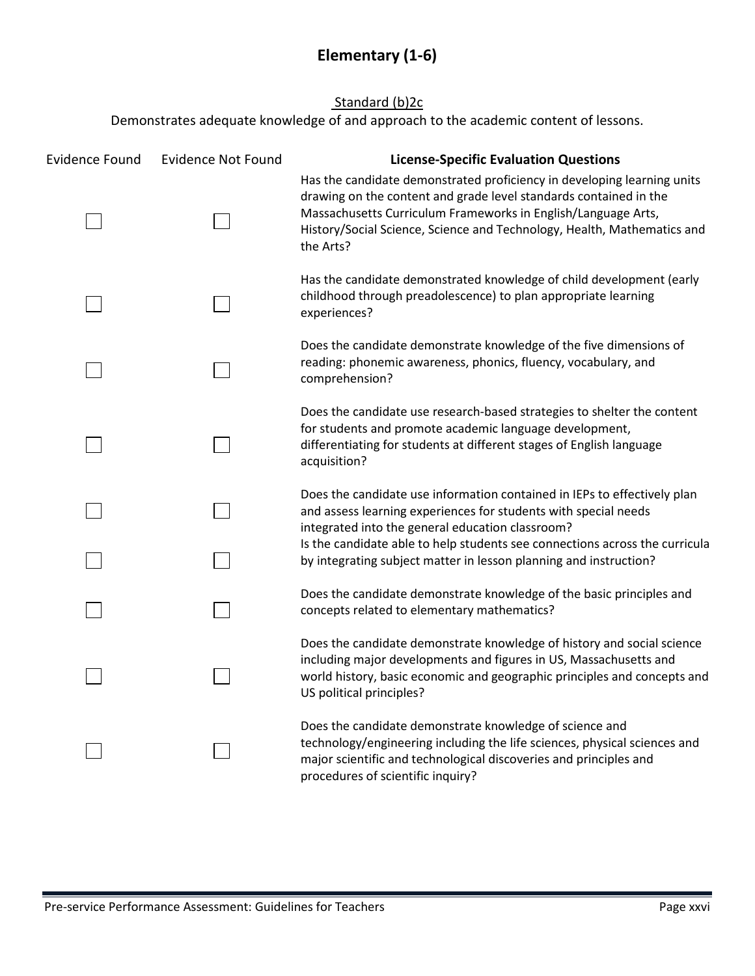## **Elementary (1-6)**

#### Standard (b)<sub>2c</sub>

<span id="page-36-0"></span>

| <b>Evidence Found</b> | <b>Evidence Not Found</b> | <b>License-Specific Evaluation Questions</b>                                                                                                                                                                                                                                                          |
|-----------------------|---------------------------|-------------------------------------------------------------------------------------------------------------------------------------------------------------------------------------------------------------------------------------------------------------------------------------------------------|
|                       |                           | Has the candidate demonstrated proficiency in developing learning units<br>drawing on the content and grade level standards contained in the<br>Massachusetts Curriculum Frameworks in English/Language Arts,<br>History/Social Science, Science and Technology, Health, Mathematics and<br>the Arts? |
|                       |                           | Has the candidate demonstrated knowledge of child development (early<br>childhood through preadolescence) to plan appropriate learning<br>experiences?                                                                                                                                                |
|                       |                           | Does the candidate demonstrate knowledge of the five dimensions of<br>reading: phonemic awareness, phonics, fluency, vocabulary, and<br>comprehension?                                                                                                                                                |
|                       |                           | Does the candidate use research-based strategies to shelter the content<br>for students and promote academic language development,<br>differentiating for students at different stages of English language<br>acquisition?                                                                            |
|                       |                           | Does the candidate use information contained in IEPs to effectively plan<br>and assess learning experiences for students with special needs<br>integrated into the general education classroom?                                                                                                       |
|                       |                           | Is the candidate able to help students see connections across the curricula<br>by integrating subject matter in lesson planning and instruction?                                                                                                                                                      |
|                       |                           | Does the candidate demonstrate knowledge of the basic principles and<br>concepts related to elementary mathematics?                                                                                                                                                                                   |
|                       |                           | Does the candidate demonstrate knowledge of history and social science<br>including major developments and figures in US, Massachusetts and<br>world history, basic economic and geographic principles and concepts and<br>US political principles?                                                   |
|                       |                           | Does the candidate demonstrate knowledge of science and<br>technology/engineering including the life sciences, physical sciences and<br>major scientific and technological discoveries and principles and<br>procedures of scientific inquiry?                                                        |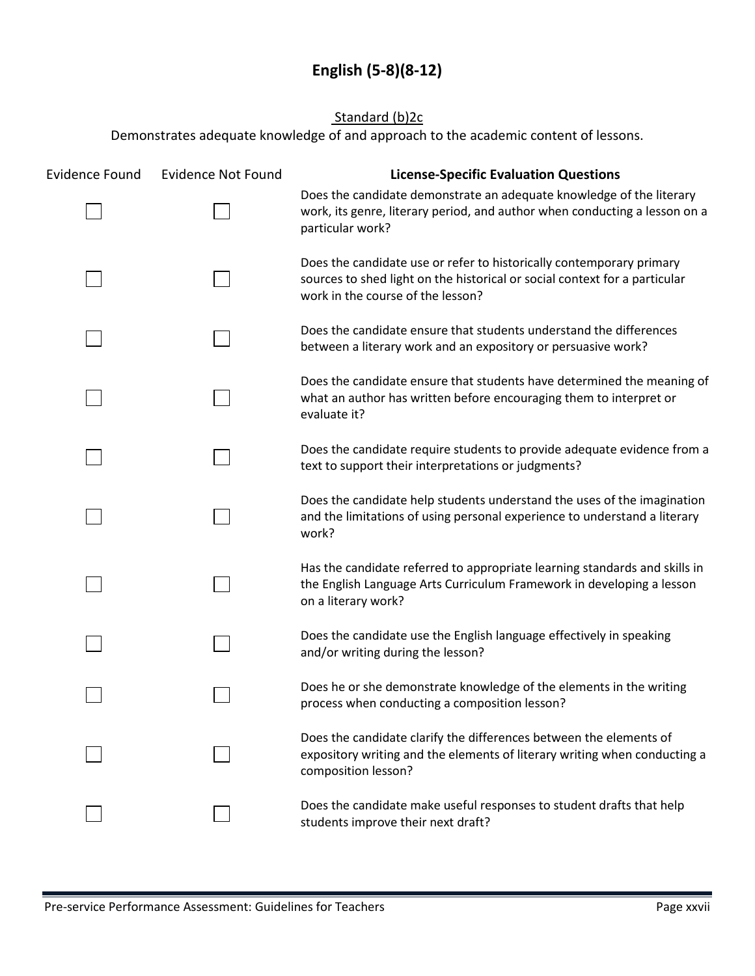## **English (5-8)(8-12)**

### Standard (b)2c

<span id="page-37-0"></span>

| <b>Evidence Found</b> | <b>Evidence Not Found</b> | <b>License-Specific Evaluation Questions</b>                                                                                                                                            |
|-----------------------|---------------------------|-----------------------------------------------------------------------------------------------------------------------------------------------------------------------------------------|
|                       |                           | Does the candidate demonstrate an adequate knowledge of the literary<br>work, its genre, literary period, and author when conducting a lesson on a<br>particular work?                  |
|                       |                           | Does the candidate use or refer to historically contemporary primary<br>sources to shed light on the historical or social context for a particular<br>work in the course of the lesson? |
|                       |                           | Does the candidate ensure that students understand the differences<br>between a literary work and an expository or persuasive work?                                                     |
|                       |                           | Does the candidate ensure that students have determined the meaning of<br>what an author has written before encouraging them to interpret or<br>evaluate it?                            |
|                       |                           | Does the candidate require students to provide adequate evidence from a<br>text to support their interpretations or judgments?                                                          |
|                       |                           | Does the candidate help students understand the uses of the imagination<br>and the limitations of using personal experience to understand a literary<br>work?                           |
|                       |                           | Has the candidate referred to appropriate learning standards and skills in<br>the English Language Arts Curriculum Framework in developing a lesson<br>on a literary work?              |
|                       |                           | Does the candidate use the English language effectively in speaking<br>and/or writing during the lesson?                                                                                |
|                       |                           | Does he or she demonstrate knowledge of the elements in the writing<br>process when conducting a composition lesson?                                                                    |
|                       |                           | Does the candidate clarify the differences between the elements of<br>expository writing and the elements of literary writing when conducting a<br>composition lesson?                  |
|                       |                           | Does the candidate make useful responses to student drafts that help<br>students improve their next draft?                                                                              |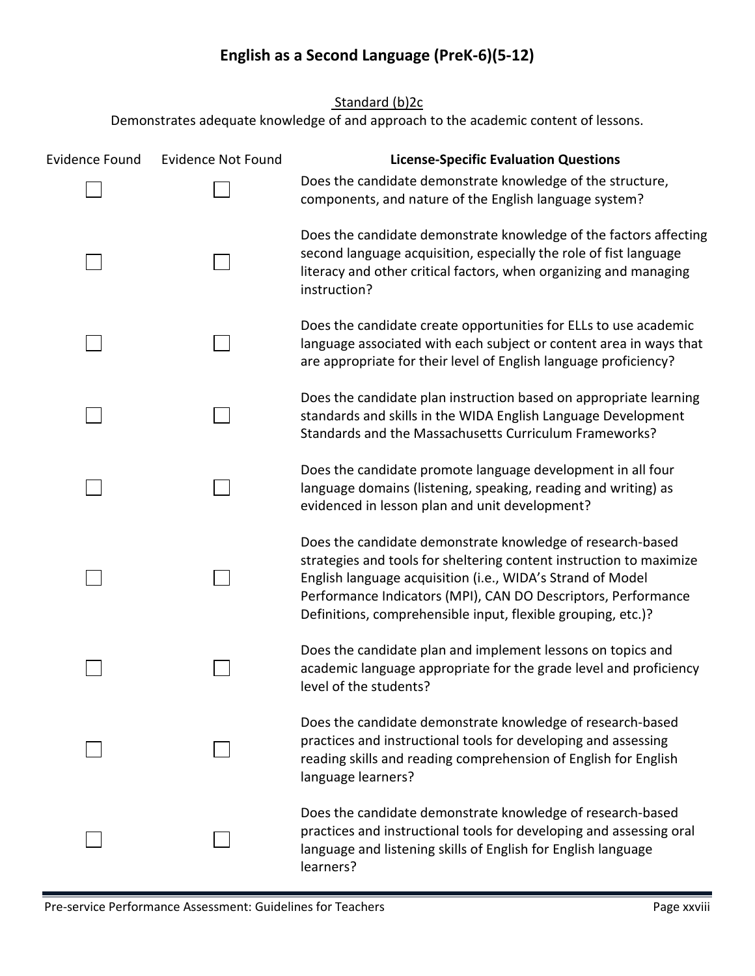## **English as a Second Language (PreK-6)(5-12)**

Standard (b)<sub>2c</sub>

<span id="page-38-0"></span>

| <b>Evidence Found</b> | <b>Evidence Not Found</b> | <b>License-Specific Evaluation Questions</b>                                                                                                                                                                                                                                                                                     |
|-----------------------|---------------------------|----------------------------------------------------------------------------------------------------------------------------------------------------------------------------------------------------------------------------------------------------------------------------------------------------------------------------------|
|                       |                           | Does the candidate demonstrate knowledge of the structure,<br>components, and nature of the English language system?                                                                                                                                                                                                             |
|                       |                           | Does the candidate demonstrate knowledge of the factors affecting<br>second language acquisition, especially the role of fist language<br>literacy and other critical factors, when organizing and managing<br>instruction?                                                                                                      |
|                       |                           | Does the candidate create opportunities for ELLs to use academic<br>language associated with each subject or content area in ways that<br>are appropriate for their level of English language proficiency?                                                                                                                       |
|                       |                           | Does the candidate plan instruction based on appropriate learning<br>standards and skills in the WIDA English Language Development<br>Standards and the Massachusetts Curriculum Frameworks?                                                                                                                                     |
|                       |                           | Does the candidate promote language development in all four<br>language domains (listening, speaking, reading and writing) as<br>evidenced in lesson plan and unit development?                                                                                                                                                  |
|                       |                           | Does the candidate demonstrate knowledge of research-based<br>strategies and tools for sheltering content instruction to maximize<br>English language acquisition (i.e., WIDA's Strand of Model<br>Performance Indicators (MPI), CAN DO Descriptors, Performance<br>Definitions, comprehensible input, flexible grouping, etc.)? |
|                       |                           | Does the candidate plan and implement lessons on topics and<br>academic language appropriate for the grade level and proficiency<br>level of the students?                                                                                                                                                                       |
|                       |                           | Does the candidate demonstrate knowledge of research-based<br>practices and instructional tools for developing and assessing<br>reading skills and reading comprehension of English for English<br>language learners?                                                                                                            |
|                       |                           | Does the candidate demonstrate knowledge of research-based<br>practices and instructional tools for developing and assessing oral<br>language and listening skills of English for English language<br>learners?                                                                                                                  |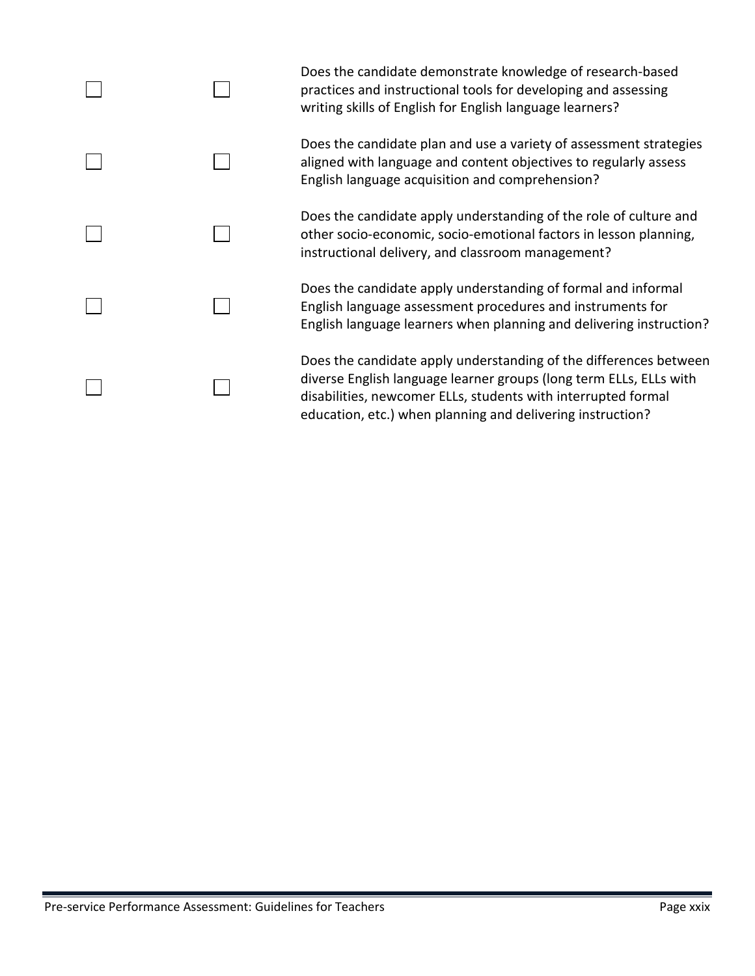|  | Does the candidate demonstrate knowledge of research-based<br>practices and instructional tools for developing and assessing<br>writing skills of English for English language learners?                                                                               |
|--|------------------------------------------------------------------------------------------------------------------------------------------------------------------------------------------------------------------------------------------------------------------------|
|  | Does the candidate plan and use a variety of assessment strategies<br>aligned with language and content objectives to regularly assess<br>English language acquisition and comprehension?                                                                              |
|  | Does the candidate apply understanding of the role of culture and<br>other socio-economic, socio-emotional factors in lesson planning,<br>instructional delivery, and classroom management?                                                                            |
|  | Does the candidate apply understanding of formal and informal<br>English language assessment procedures and instruments for<br>English language learners when planning and delivering instruction?                                                                     |
|  | Does the candidate apply understanding of the differences between<br>diverse English language learner groups (long term ELLs, ELLs with<br>disabilities, newcomer ELLs, students with interrupted formal<br>education, etc.) when planning and delivering instruction? |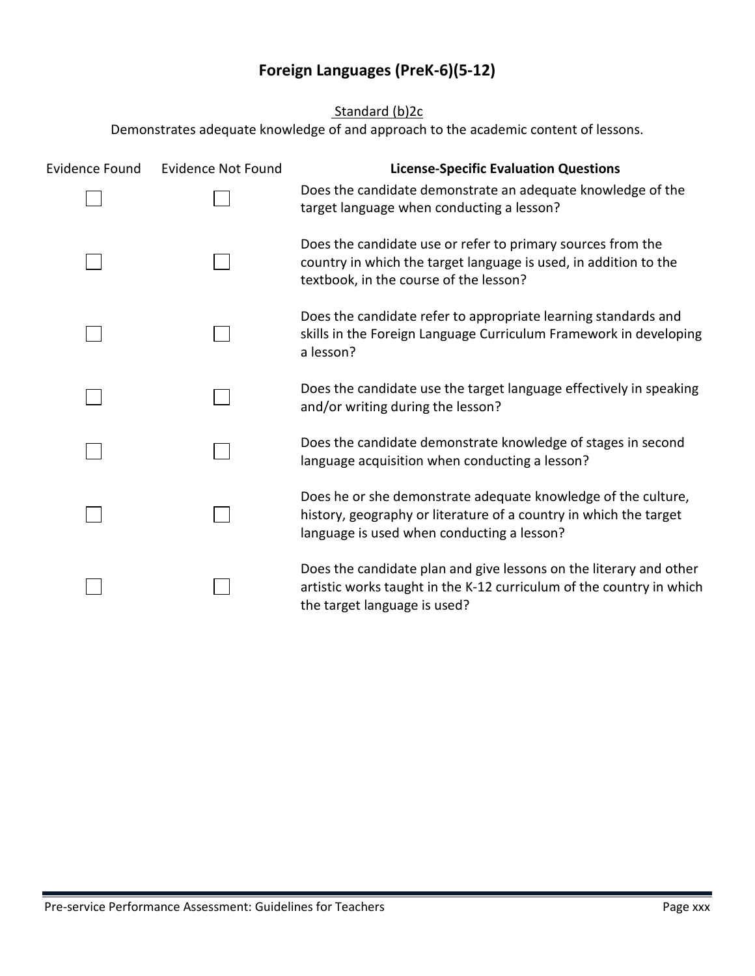## **Foreign Languages (PreK-6)(5-12)**

Standard (b)<sub>2c</sub>

<span id="page-40-0"></span>

| <b>Evidence Found</b> | <b>Evidence Not Found</b> | <b>License-Specific Evaluation Questions</b>                                                                                                                                     |
|-----------------------|---------------------------|----------------------------------------------------------------------------------------------------------------------------------------------------------------------------------|
|                       |                           | Does the candidate demonstrate an adequate knowledge of the<br>target language when conducting a lesson?                                                                         |
|                       |                           | Does the candidate use or refer to primary sources from the<br>country in which the target language is used, in addition to the<br>textbook, in the course of the lesson?        |
|                       |                           | Does the candidate refer to appropriate learning standards and<br>skills in the Foreign Language Curriculum Framework in developing<br>a lesson?                                 |
|                       |                           | Does the candidate use the target language effectively in speaking<br>and/or writing during the lesson?                                                                          |
|                       |                           | Does the candidate demonstrate knowledge of stages in second<br>language acquisition when conducting a lesson?                                                                   |
|                       |                           | Does he or she demonstrate adequate knowledge of the culture,<br>history, geography or literature of a country in which the target<br>language is used when conducting a lesson? |
|                       |                           | Does the candidate plan and give lessons on the literary and other<br>artistic works taught in the K-12 curriculum of the country in which<br>the target language is used?       |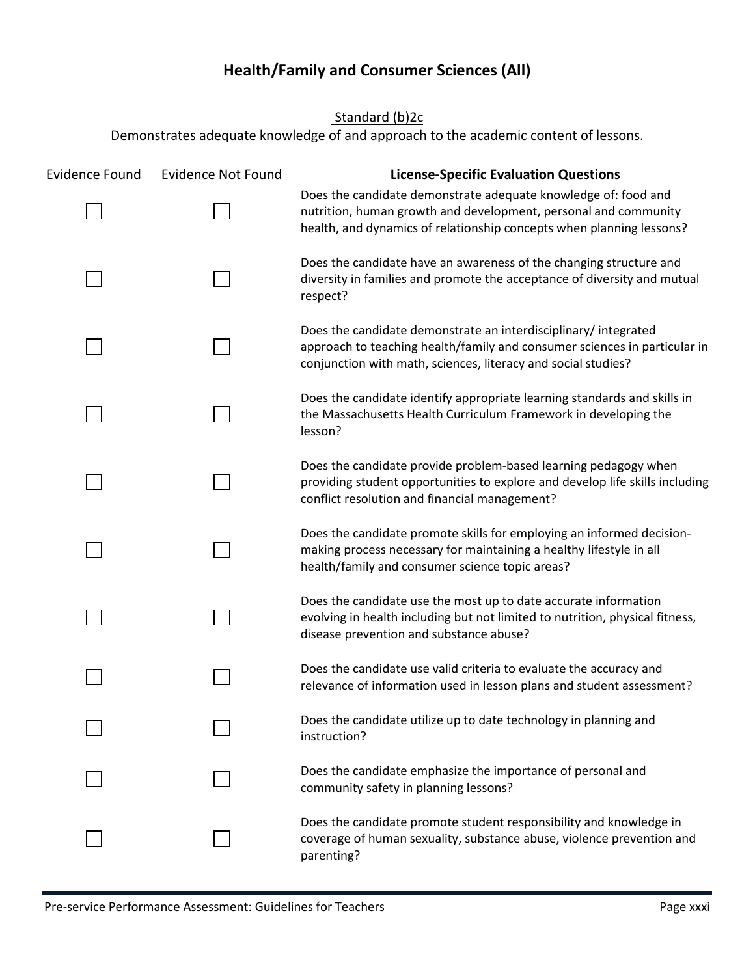## **Health/Family and Consumer Sciences (All)**

Standard (b)2c

<span id="page-41-0"></span>

| <b>Evidence Found</b> | <b>Evidence Not Found</b> | <b>License-Specific Evaluation Questions</b>                                                                                                                                                                 |
|-----------------------|---------------------------|--------------------------------------------------------------------------------------------------------------------------------------------------------------------------------------------------------------|
|                       |                           | Does the candidate demonstrate adequate knowledge of: food and<br>nutrition, human growth and development, personal and community<br>health, and dynamics of relationship concepts when planning lessons?    |
|                       |                           | Does the candidate have an awareness of the changing structure and<br>diversity in families and promote the acceptance of diversity and mutual<br>respect?                                                   |
|                       |                           | Does the candidate demonstrate an interdisciplinary/integrated<br>approach to teaching health/family and consumer sciences in particular in<br>conjunction with math, sciences, literacy and social studies? |
|                       |                           | Does the candidate identify appropriate learning standards and skills in<br>the Massachusetts Health Curriculum Framework in developing the<br>lesson?                                                       |
|                       |                           | Does the candidate provide problem-based learning pedagogy when<br>providing student opportunities to explore and develop life skills including<br>conflict resolution and financial management?             |
|                       |                           | Does the candidate promote skills for employing an informed decision-<br>making process necessary for maintaining a healthy lifestyle in all<br>health/family and consumer science topic areas?              |
|                       |                           | Does the candidate use the most up to date accurate information<br>evolving in health including but not limited to nutrition, physical fitness,<br>disease prevention and substance abuse?                   |
|                       |                           | Does the candidate use valid criteria to evaluate the accuracy and<br>relevance of information used in lesson plans and student assessment?                                                                  |
|                       |                           | Does the candidate utilize up to date technology in planning and<br>instruction?                                                                                                                             |
|                       |                           | Does the candidate emphasize the importance of personal and<br>community safety in planning lessons?                                                                                                         |
|                       |                           | Does the candidate promote student responsibility and knowledge in<br>coverage of human sexuality, substance abuse, violence prevention and<br>parenting?                                                    |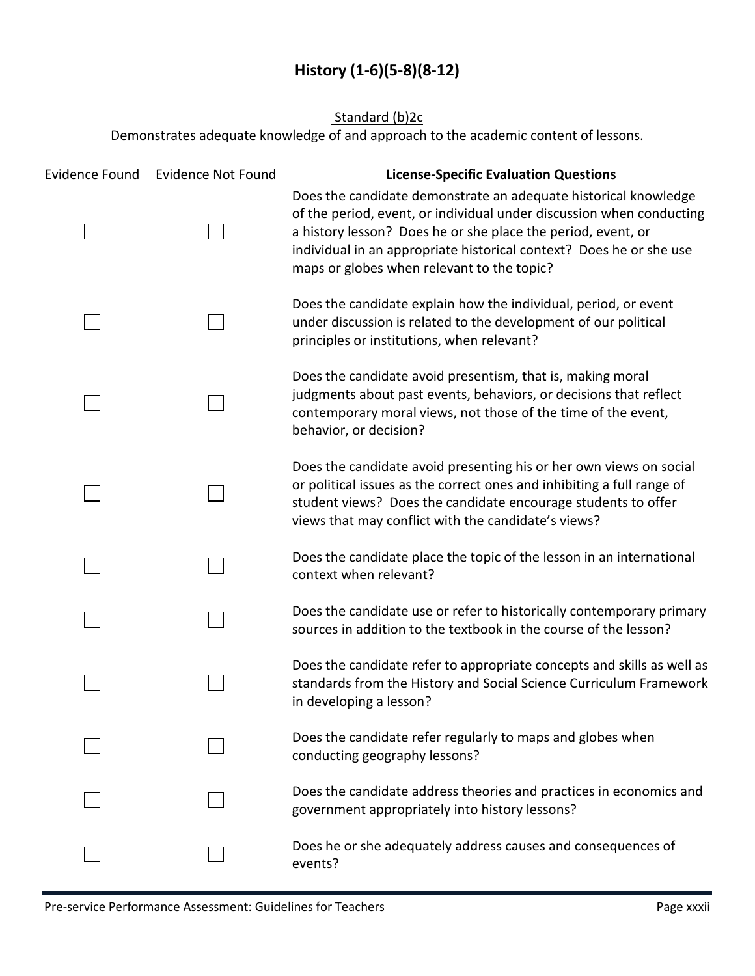## **History (1-6)(5-8)(8-12)**

### Standard (b)2c

<span id="page-42-0"></span>

| <b>Evidence Found</b> | <b>Evidence Not Found</b> | <b>License-Specific Evaluation Questions</b>                                                                                                                                                                                                                                                                                 |
|-----------------------|---------------------------|------------------------------------------------------------------------------------------------------------------------------------------------------------------------------------------------------------------------------------------------------------------------------------------------------------------------------|
|                       |                           | Does the candidate demonstrate an adequate historical knowledge<br>of the period, event, or individual under discussion when conducting<br>a history lesson? Does he or she place the period, event, or<br>individual in an appropriate historical context? Does he or she use<br>maps or globes when relevant to the topic? |
|                       |                           | Does the candidate explain how the individual, period, or event<br>under discussion is related to the development of our political<br>principles or institutions, when relevant?                                                                                                                                             |
|                       |                           | Does the candidate avoid presentism, that is, making moral<br>judgments about past events, behaviors, or decisions that reflect<br>contemporary moral views, not those of the time of the event,<br>behavior, or decision?                                                                                                   |
|                       |                           | Does the candidate avoid presenting his or her own views on social<br>or political issues as the correct ones and inhibiting a full range of<br>student views? Does the candidate encourage students to offer<br>views that may conflict with the candidate's views?                                                         |
|                       |                           | Does the candidate place the topic of the lesson in an international<br>context when relevant?                                                                                                                                                                                                                               |
|                       |                           | Does the candidate use or refer to historically contemporary primary<br>sources in addition to the textbook in the course of the lesson?                                                                                                                                                                                     |
|                       |                           | Does the candidate refer to appropriate concepts and skills as well as<br>standards from the History and Social Science Curriculum Framework<br>in developing a lesson?                                                                                                                                                      |
|                       |                           | Does the candidate refer regularly to maps and globes when<br>conducting geography lessons?                                                                                                                                                                                                                                  |
|                       |                           | Does the candidate address theories and practices in economics and<br>government appropriately into history lessons?                                                                                                                                                                                                         |
|                       |                           | Does he or she adequately address causes and consequences of<br>events?                                                                                                                                                                                                                                                      |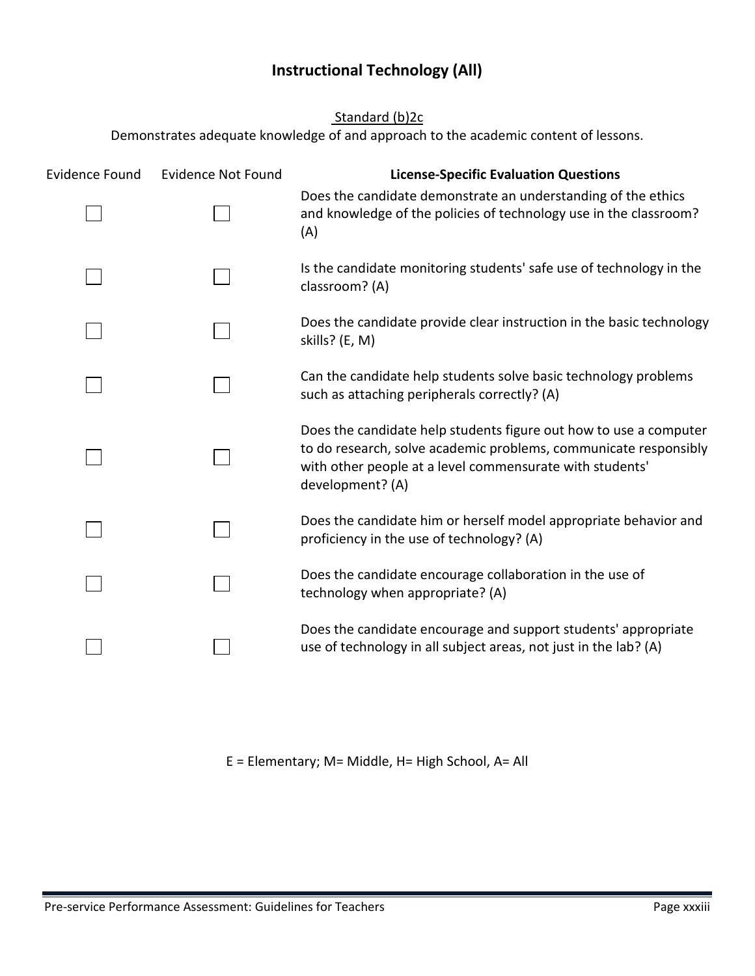## **Instructional Technology (All)**

### Standard (b)2c

<span id="page-43-0"></span>Demonstrates adequate knowledge of and approach to the academic content of lessons.

| <b>Evidence Found</b> | <b>Evidence Not Found</b> | <b>License-Specific Evaluation Questions</b>                                                                                                                                                                          |
|-----------------------|---------------------------|-----------------------------------------------------------------------------------------------------------------------------------------------------------------------------------------------------------------------|
|                       |                           | Does the candidate demonstrate an understanding of the ethics<br>and knowledge of the policies of technology use in the classroom?<br>(A)                                                                             |
|                       |                           | Is the candidate monitoring students' safe use of technology in the<br>classroom? (A)                                                                                                                                 |
|                       |                           | Does the candidate provide clear instruction in the basic technology<br>skills? (E, M)                                                                                                                                |
|                       |                           | Can the candidate help students solve basic technology problems<br>such as attaching peripherals correctly? (A)                                                                                                       |
|                       |                           | Does the candidate help students figure out how to use a computer<br>to do research, solve academic problems, communicate responsibly<br>with other people at a level commensurate with students'<br>development? (A) |
|                       |                           | Does the candidate him or herself model appropriate behavior and<br>proficiency in the use of technology? (A)                                                                                                         |
|                       |                           | Does the candidate encourage collaboration in the use of<br>technology when appropriate? (A)                                                                                                                          |
|                       |                           | Does the candidate encourage and support students' appropriate<br>use of technology in all subject areas, not just in the lab? (A)                                                                                    |

E = Elementary; M= Middle, H= High School, A= All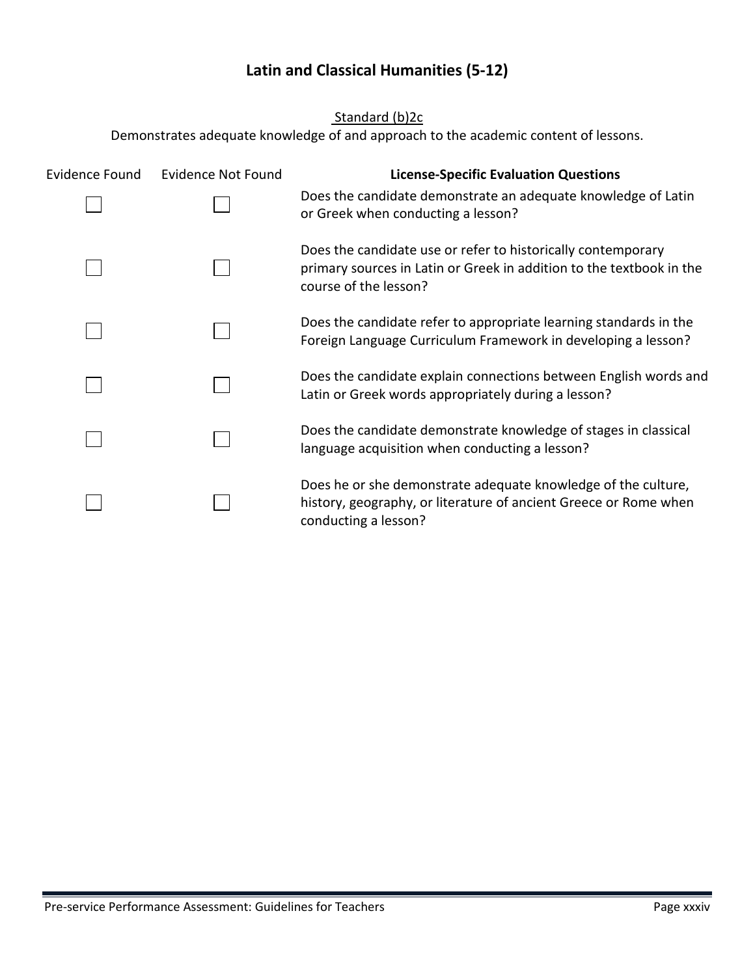## **Latin and Classical Humanities (5-12)**

Standard (b)2c

<span id="page-44-0"></span>

| <b>Evidence Found</b> | <b>Evidence Not Found</b> | <b>License-Specific Evaluation Questions</b>                                                                                                                  |
|-----------------------|---------------------------|---------------------------------------------------------------------------------------------------------------------------------------------------------------|
|                       |                           | Does the candidate demonstrate an adequate knowledge of Latin<br>or Greek when conducting a lesson?                                                           |
|                       |                           | Does the candidate use or refer to historically contemporary<br>primary sources in Latin or Greek in addition to the textbook in the<br>course of the lesson? |
|                       |                           | Does the candidate refer to appropriate learning standards in the<br>Foreign Language Curriculum Framework in developing a lesson?                            |
|                       |                           | Does the candidate explain connections between English words and<br>Latin or Greek words appropriately during a lesson?                                       |
|                       |                           | Does the candidate demonstrate knowledge of stages in classical<br>language acquisition when conducting a lesson?                                             |
|                       |                           | Does he or she demonstrate adequate knowledge of the culture,<br>history, geography, or literature of ancient Greece or Rome when<br>conducting a lesson?     |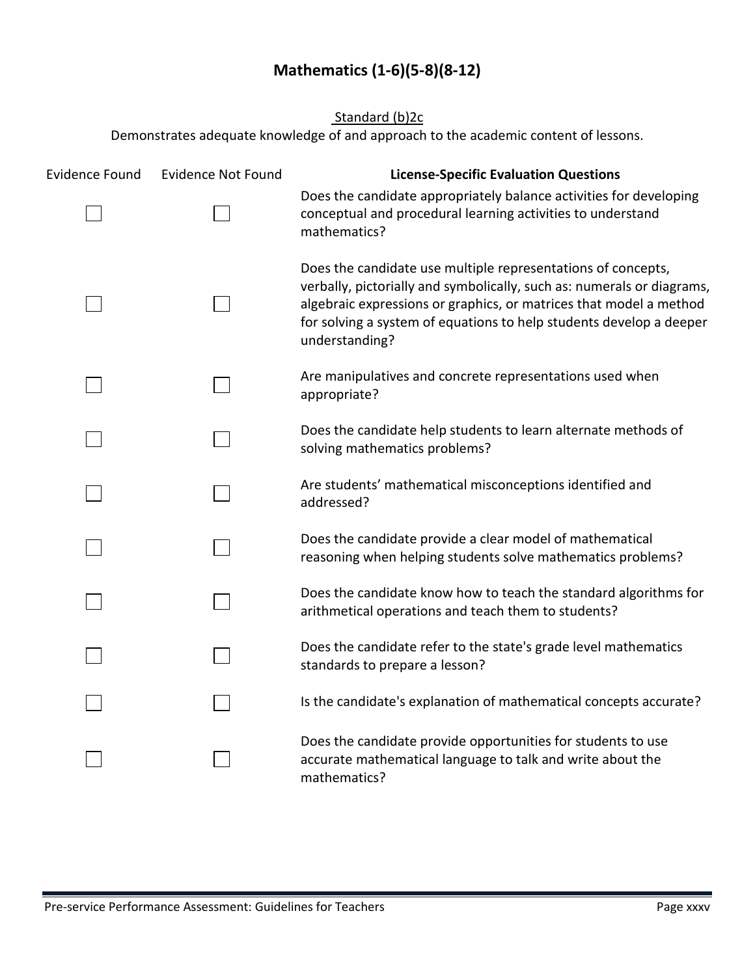## **Mathematics (1-6)(5-8)(8-12)**

### Standard (b)2c

<span id="page-45-0"></span>

| <b>Evidence Found</b> | <b>Evidence Not Found</b> | <b>License-Specific Evaluation Questions</b>                                                                                                                                                                                                                                                          |
|-----------------------|---------------------------|-------------------------------------------------------------------------------------------------------------------------------------------------------------------------------------------------------------------------------------------------------------------------------------------------------|
|                       |                           | Does the candidate appropriately balance activities for developing<br>conceptual and procedural learning activities to understand<br>mathematics?                                                                                                                                                     |
|                       |                           | Does the candidate use multiple representations of concepts,<br>verbally, pictorially and symbolically, such as: numerals or diagrams,<br>algebraic expressions or graphics, or matrices that model a method<br>for solving a system of equations to help students develop a deeper<br>understanding? |
|                       |                           | Are manipulatives and concrete representations used when<br>appropriate?                                                                                                                                                                                                                              |
|                       |                           | Does the candidate help students to learn alternate methods of<br>solving mathematics problems?                                                                                                                                                                                                       |
|                       |                           | Are students' mathematical misconceptions identified and<br>addressed?                                                                                                                                                                                                                                |
|                       |                           | Does the candidate provide a clear model of mathematical<br>reasoning when helping students solve mathematics problems?                                                                                                                                                                               |
|                       |                           | Does the candidate know how to teach the standard algorithms for<br>arithmetical operations and teach them to students?                                                                                                                                                                               |
|                       |                           | Does the candidate refer to the state's grade level mathematics<br>standards to prepare a lesson?                                                                                                                                                                                                     |
|                       |                           | Is the candidate's explanation of mathematical concepts accurate?                                                                                                                                                                                                                                     |
|                       |                           | Does the candidate provide opportunities for students to use<br>accurate mathematical language to talk and write about the<br>mathematics?                                                                                                                                                            |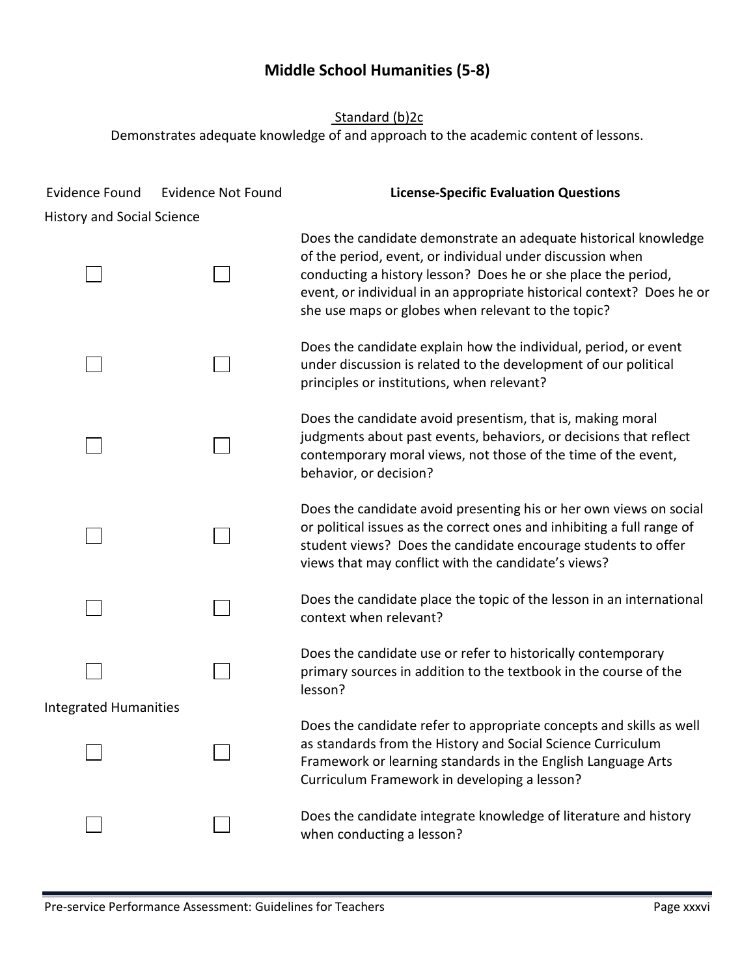## **Middle School Humanities (5-8)**

<span id="page-46-0"></span>

| <b>Evidence Found</b><br><b>History and Social Science</b> | <b>Evidence Not Found</b> | <b>License-Specific Evaluation Questions</b>                                                                                                                                                                                                                                                                                 |
|------------------------------------------------------------|---------------------------|------------------------------------------------------------------------------------------------------------------------------------------------------------------------------------------------------------------------------------------------------------------------------------------------------------------------------|
|                                                            |                           | Does the candidate demonstrate an adequate historical knowledge<br>of the period, event, or individual under discussion when<br>conducting a history lesson? Does he or she place the period,<br>event, or individual in an appropriate historical context? Does he or<br>she use maps or globes when relevant to the topic? |
|                                                            |                           | Does the candidate explain how the individual, period, or event<br>under discussion is related to the development of our political<br>principles or institutions, when relevant?                                                                                                                                             |
|                                                            |                           | Does the candidate avoid presentism, that is, making moral<br>judgments about past events, behaviors, or decisions that reflect<br>contemporary moral views, not those of the time of the event,<br>behavior, or decision?                                                                                                   |
|                                                            |                           | Does the candidate avoid presenting his or her own views on social<br>or political issues as the correct ones and inhibiting a full range of<br>student views? Does the candidate encourage students to offer<br>views that may conflict with the candidate's views?                                                         |
|                                                            |                           | Does the candidate place the topic of the lesson in an international<br>context when relevant?                                                                                                                                                                                                                               |
|                                                            |                           | Does the candidate use or refer to historically contemporary<br>primary sources in addition to the textbook in the course of the<br>lesson?                                                                                                                                                                                  |
| <b>Integrated Humanities</b>                               |                           | Does the candidate refer to appropriate concepts and skills as well<br>as standards from the History and Social Science Curriculum<br>Framework or learning standards in the English Language Arts<br>Curriculum Framework in developing a lesson?                                                                           |
|                                                            |                           | Does the candidate integrate knowledge of literature and history<br>when conducting a lesson?                                                                                                                                                                                                                                |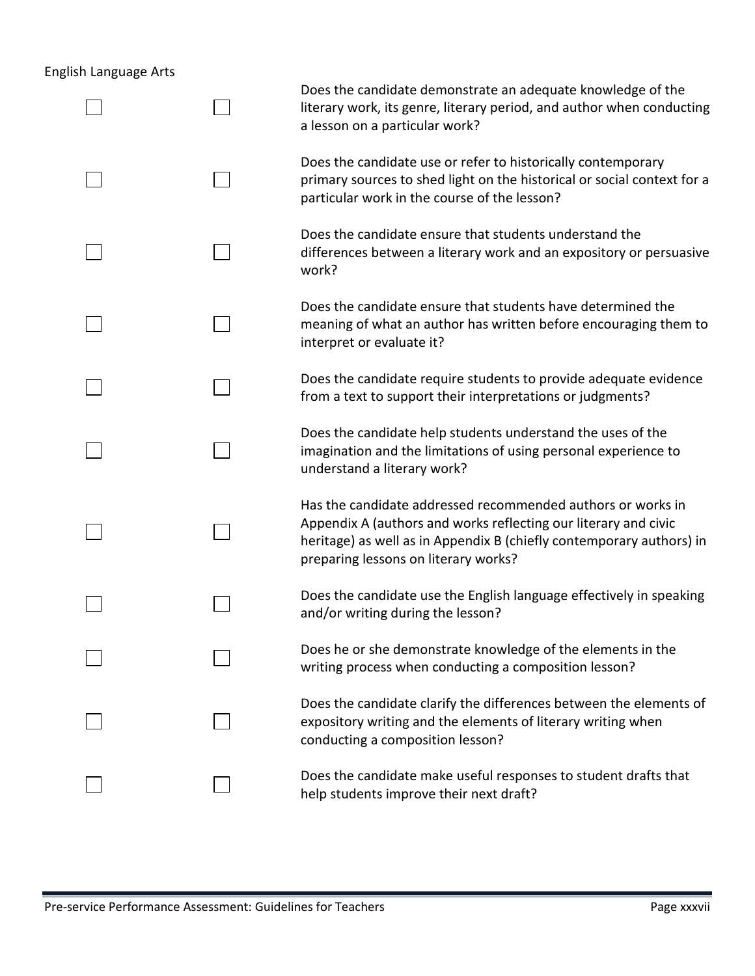## English Language Arts

|  | Does the candidate demonstrate an adequate knowledge of the<br>literary work, its genre, literary period, and author when conducting<br>a lesson on a particular work?                                                                         |
|--|------------------------------------------------------------------------------------------------------------------------------------------------------------------------------------------------------------------------------------------------|
|  | Does the candidate use or refer to historically contemporary<br>primary sources to shed light on the historical or social context for a<br>particular work in the course of the lesson?                                                        |
|  | Does the candidate ensure that students understand the<br>differences between a literary work and an expository or persuasive<br>work?                                                                                                         |
|  | Does the candidate ensure that students have determined the<br>meaning of what an author has written before encouraging them to<br>interpret or evaluate it?                                                                                   |
|  | Does the candidate require students to provide adequate evidence<br>from a text to support their interpretations or judgments?                                                                                                                 |
|  | Does the candidate help students understand the uses of the<br>imagination and the limitations of using personal experience to<br>understand a literary work?                                                                                  |
|  | Has the candidate addressed recommended authors or works in<br>Appendix A (authors and works reflecting our literary and civic<br>heritage) as well as in Appendix B (chiefly contemporary authors) in<br>preparing lessons on literary works? |
|  | Does the candidate use the English language effectively in speaking<br>and/or writing during the lesson?                                                                                                                                       |
|  | Does he or she demonstrate knowledge of the elements in the<br>writing process when conducting a composition lesson?                                                                                                                           |
|  | Does the candidate clarify the differences between the elements of<br>expository writing and the elements of literary writing when<br>conducting a composition lesson?                                                                         |
|  | Does the candidate make useful responses to student drafts that<br>help students improve their next draft?                                                                                                                                     |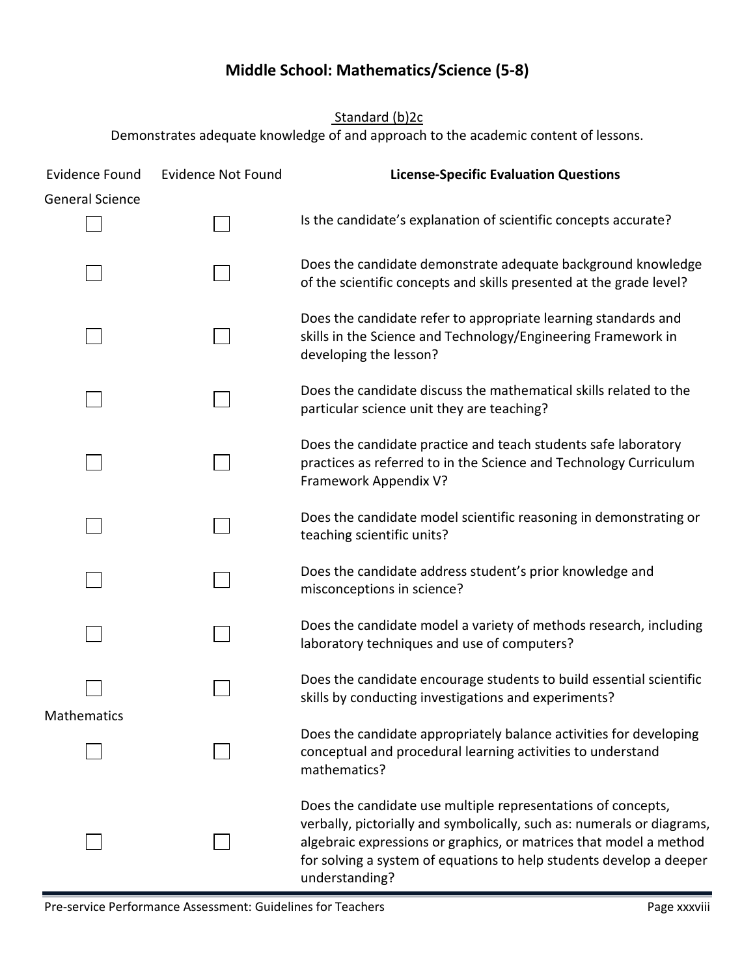## **Middle School: Mathematics/Science (5-8)**

Standard (b)2c

<span id="page-48-0"></span>

| <b>Evidence Found</b>  | <b>Evidence Not Found</b> | <b>License-Specific Evaluation Questions</b>                                                                                                                                                                                                                                                          |
|------------------------|---------------------------|-------------------------------------------------------------------------------------------------------------------------------------------------------------------------------------------------------------------------------------------------------------------------------------------------------|
| <b>General Science</b> |                           | Is the candidate's explanation of scientific concepts accurate?                                                                                                                                                                                                                                       |
|                        |                           | Does the candidate demonstrate adequate background knowledge<br>of the scientific concepts and skills presented at the grade level?                                                                                                                                                                   |
|                        |                           | Does the candidate refer to appropriate learning standards and<br>skills in the Science and Technology/Engineering Framework in<br>developing the lesson?                                                                                                                                             |
|                        |                           | Does the candidate discuss the mathematical skills related to the<br>particular science unit they are teaching?                                                                                                                                                                                       |
|                        |                           | Does the candidate practice and teach students safe laboratory<br>practices as referred to in the Science and Technology Curriculum<br>Framework Appendix V?                                                                                                                                          |
|                        |                           | Does the candidate model scientific reasoning in demonstrating or<br>teaching scientific units?                                                                                                                                                                                                       |
|                        |                           | Does the candidate address student's prior knowledge and<br>misconceptions in science?                                                                                                                                                                                                                |
|                        |                           | Does the candidate model a variety of methods research, including<br>laboratory techniques and use of computers?                                                                                                                                                                                      |
|                        |                           | Does the candidate encourage students to build essential scientific<br>skills by conducting investigations and experiments?                                                                                                                                                                           |
| <b>Mathematics</b>     |                           | Does the candidate appropriately balance activities for developing<br>conceptual and procedural learning activities to understand<br>mathematics?                                                                                                                                                     |
|                        |                           | Does the candidate use multiple representations of concepts,<br>verbally, pictorially and symbolically, such as: numerals or diagrams,<br>algebraic expressions or graphics, or matrices that model a method<br>for solving a system of equations to help students develop a deeper<br>understanding? |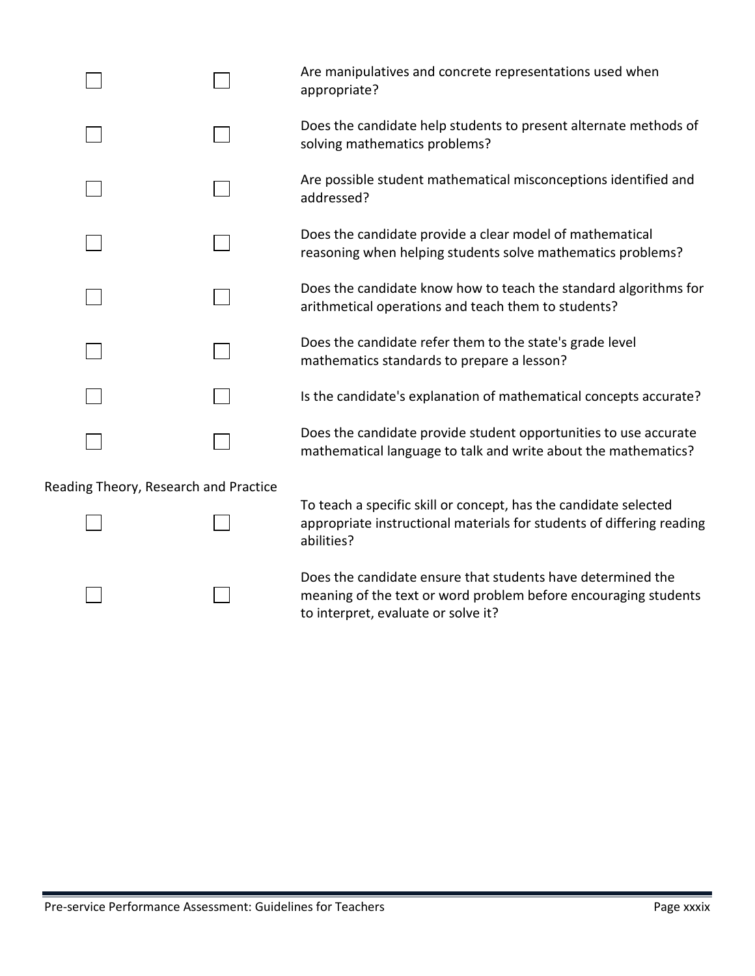|                                    | Are manipulatives and concrete representations used when<br>appropriate?                                                           |
|------------------------------------|------------------------------------------------------------------------------------------------------------------------------------|
|                                    | Does the candidate help students to present alternate methods of<br>solving mathematics problems?                                  |
|                                    | Are possible student mathematical misconceptions identified and<br>addressed?                                                      |
|                                    | Does the candidate provide a clear model of mathematical<br>reasoning when helping students solve mathematics problems?            |
|                                    | Does the candidate know how to teach the standard algorithms for<br>arithmetical operations and teach them to students?            |
|                                    | Does the candidate refer them to the state's grade level<br>mathematics standards to prepare a lesson?                             |
|                                    | Is the candidate's explanation of mathematical concepts accurate?                                                                  |
|                                    | Does the candidate provide student opportunities to use accurate<br>mathematical language to talk and write about the mathematics? |
| ding Theory, Research and Practice |                                                                                                                                    |

Reading Theory, Research and Practice

To teach a specific skill or concept, has the candidate selected appropriate instructional materials for students of differing reading abilities?

Does the candidate ensure that students have determined the meaning of the text or word problem before encouraging students to interpret, evaluate or solve it?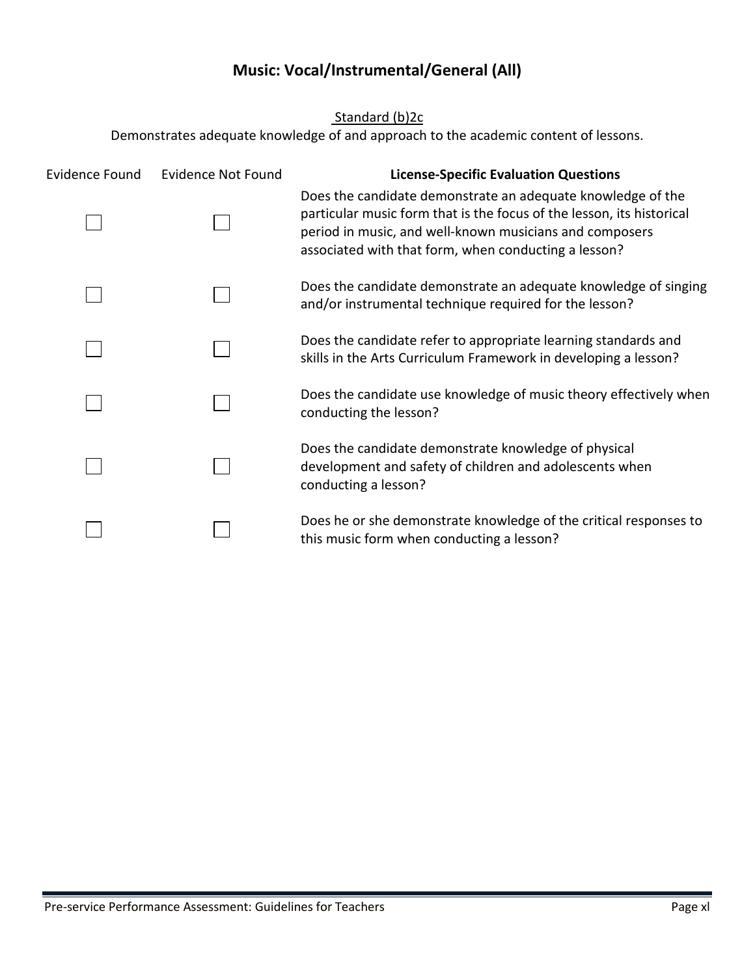### **Music: Vocal/Instrumental/General (All)**

<span id="page-50-0"></span>Standard (b)2c Demonstrates adequate knowledge of and approach to the academic content of lessons. Evidence Found Evidence Not Found **License-Specific Evaluation Questions** Does the candidate demonstrate an adequate knowledge of the particular music form that is the focus of the lesson, its historical period in music, and well-known musicians and composers associated with that form, when conducting a lesson? Does the candidate demonstrate an adequate knowledge of singing and/or instrumental technique required for the lesson? Does the candidate refer to appropriate learning standards and skills in the Arts Curriculum Framework in developing a lesson? Does the candidate use knowledge of music theory effectively when conducting the lesson? Does the candidate demonstrate knowledge of physical development and safety of children and adolescents when conducting a lesson? Does he or she demonstrate knowledge of the critical responses to this music form when conducting a lesson?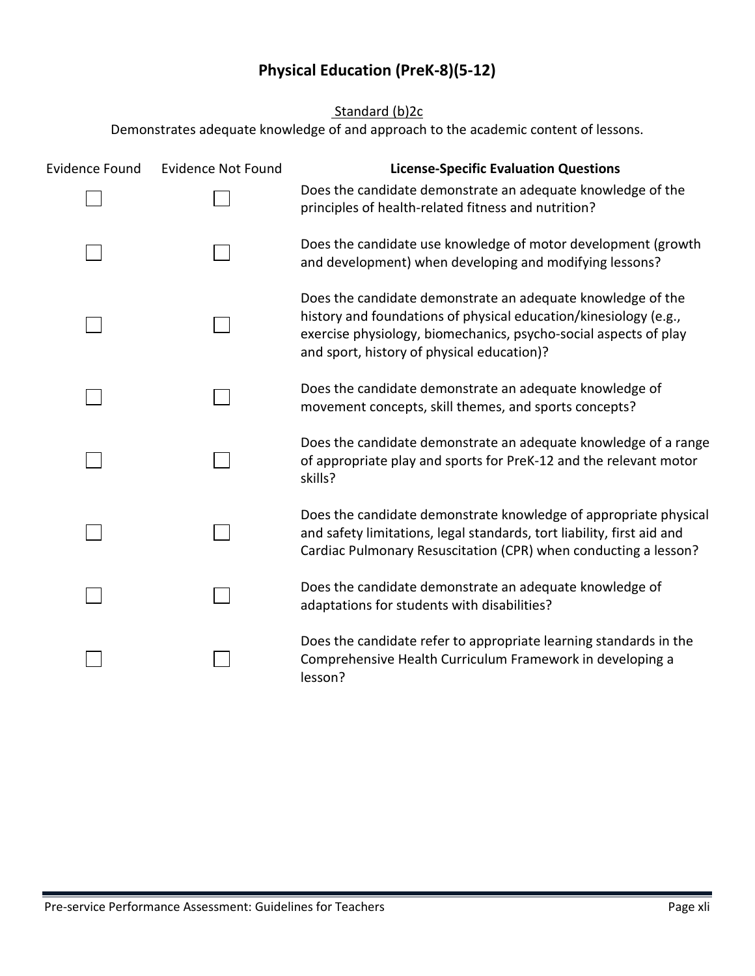## **Physical Education (PreK-8)(5-12)**

Standard (b)2c

<span id="page-51-0"></span>

| <b>Evidence Found</b> | <b>Evidence Not Found</b> | <b>License-Specific Evaluation Questions</b>                                                                                                                                                                                                      |
|-----------------------|---------------------------|---------------------------------------------------------------------------------------------------------------------------------------------------------------------------------------------------------------------------------------------------|
|                       |                           | Does the candidate demonstrate an adequate knowledge of the<br>principles of health-related fitness and nutrition?                                                                                                                                |
|                       |                           | Does the candidate use knowledge of motor development (growth<br>and development) when developing and modifying lessons?                                                                                                                          |
|                       |                           | Does the candidate demonstrate an adequate knowledge of the<br>history and foundations of physical education/kinesiology (e.g.,<br>exercise physiology, biomechanics, psycho-social aspects of play<br>and sport, history of physical education)? |
|                       |                           | Does the candidate demonstrate an adequate knowledge of<br>movement concepts, skill themes, and sports concepts?                                                                                                                                  |
|                       |                           | Does the candidate demonstrate an adequate knowledge of a range<br>of appropriate play and sports for PreK-12 and the relevant motor<br>skills?                                                                                                   |
|                       |                           | Does the candidate demonstrate knowledge of appropriate physical<br>and safety limitations, legal standards, tort liability, first aid and<br>Cardiac Pulmonary Resuscitation (CPR) when conducting a lesson?                                     |
|                       |                           | Does the candidate demonstrate an adequate knowledge of<br>adaptations for students with disabilities?                                                                                                                                            |
|                       |                           | Does the candidate refer to appropriate learning standards in the<br>Comprehensive Health Curriculum Framework in developing a<br>lesson?                                                                                                         |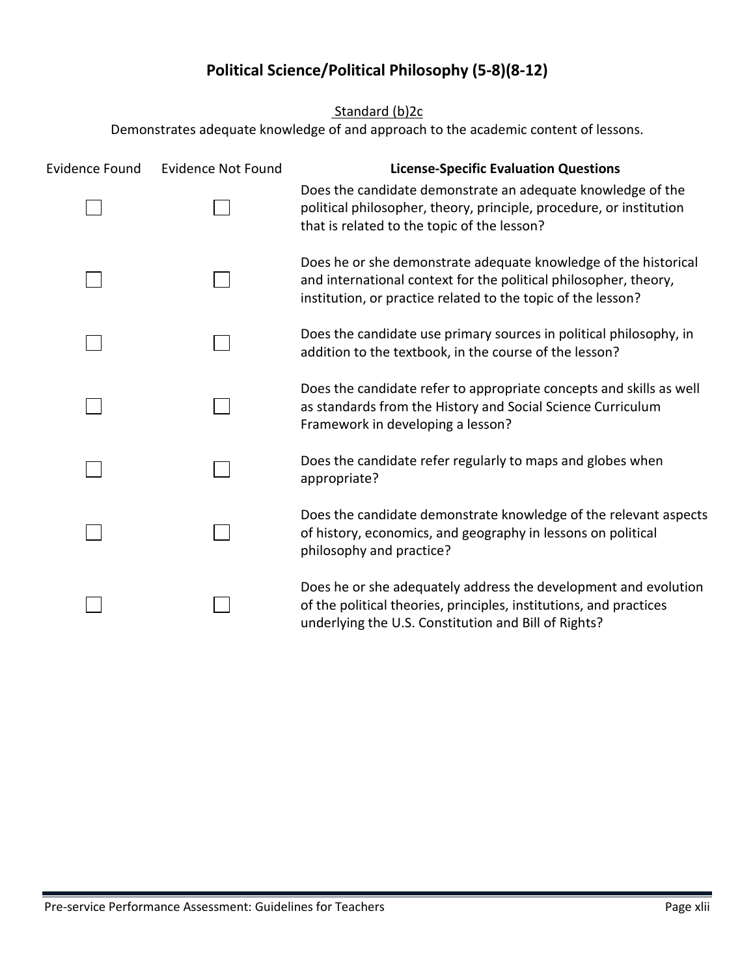## **Political Science/Political Philosophy (5-8)(8-12)**

Standard (b)<sub>2c</sub>

<span id="page-52-0"></span>

| <b>Evidence Found</b> | <b>Evidence Not Found</b> | <b>License-Specific Evaluation Questions</b>                                                                                                                                                        |
|-----------------------|---------------------------|-----------------------------------------------------------------------------------------------------------------------------------------------------------------------------------------------------|
|                       |                           | Does the candidate demonstrate an adequate knowledge of the<br>political philosopher, theory, principle, procedure, or institution<br>that is related to the topic of the lesson?                   |
|                       |                           | Does he or she demonstrate adequate knowledge of the historical<br>and international context for the political philosopher, theory,<br>institution, or practice related to the topic of the lesson? |
|                       |                           | Does the candidate use primary sources in political philosophy, in<br>addition to the textbook, in the course of the lesson?                                                                        |
|                       |                           | Does the candidate refer to appropriate concepts and skills as well<br>as standards from the History and Social Science Curriculum<br>Framework in developing a lesson?                             |
|                       |                           | Does the candidate refer regularly to maps and globes when<br>appropriate?                                                                                                                          |
|                       |                           | Does the candidate demonstrate knowledge of the relevant aspects<br>of history, economics, and geography in lessons on political<br>philosophy and practice?                                        |
|                       |                           | Does he or she adequately address the development and evolution<br>of the political theories, principles, institutions, and practices<br>underlying the U.S. Constitution and Bill of Rights?       |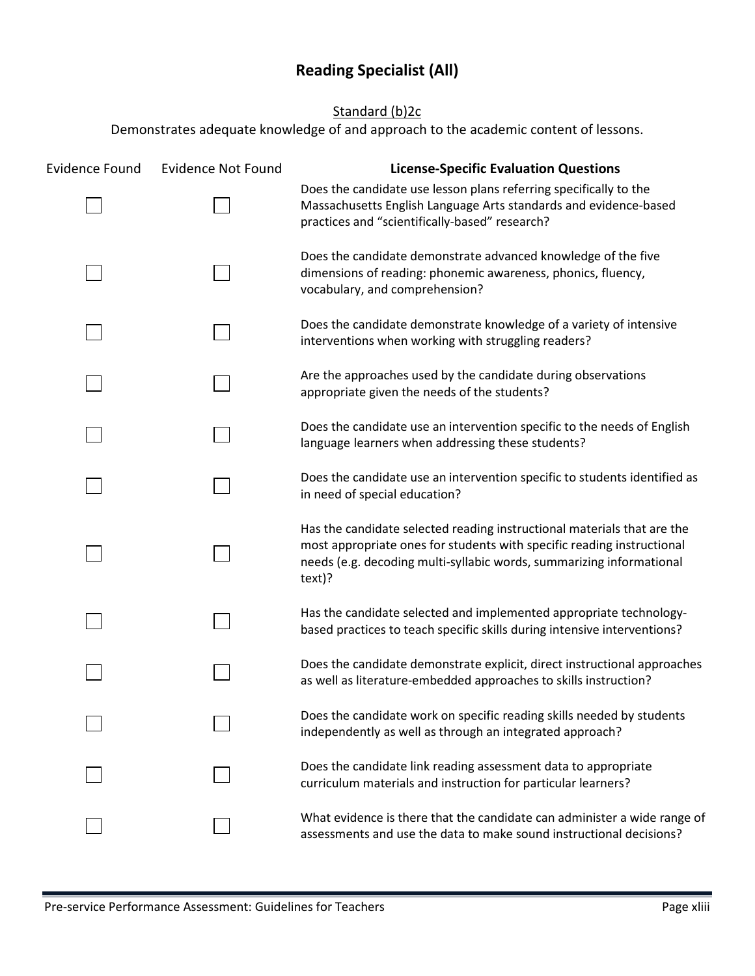## **Reading Specialist (All)**

### Standard (b)<sub>2c</sub>

<span id="page-53-0"></span>

| <b>Evidence Found</b> | <b>Evidence Not Found</b> | <b>License-Specific Evaluation Questions</b>                                                                                                                                                                                        |
|-----------------------|---------------------------|-------------------------------------------------------------------------------------------------------------------------------------------------------------------------------------------------------------------------------------|
|                       |                           | Does the candidate use lesson plans referring specifically to the<br>Massachusetts English Language Arts standards and evidence-based<br>practices and "scientifically-based" research?                                             |
|                       |                           | Does the candidate demonstrate advanced knowledge of the five<br>dimensions of reading: phonemic awareness, phonics, fluency,<br>vocabulary, and comprehension?                                                                     |
|                       |                           | Does the candidate demonstrate knowledge of a variety of intensive<br>interventions when working with struggling readers?                                                                                                           |
|                       |                           | Are the approaches used by the candidate during observations<br>appropriate given the needs of the students?                                                                                                                        |
|                       |                           | Does the candidate use an intervention specific to the needs of English<br>language learners when addressing these students?                                                                                                        |
|                       |                           | Does the candidate use an intervention specific to students identified as<br>in need of special education?                                                                                                                          |
|                       |                           | Has the candidate selected reading instructional materials that are the<br>most appropriate ones for students with specific reading instructional<br>needs (e.g. decoding multi-syllabic words, summarizing informational<br>text)? |
|                       |                           | Has the candidate selected and implemented appropriate technology-<br>based practices to teach specific skills during intensive interventions?                                                                                      |
|                       |                           | Does the candidate demonstrate explicit, direct instructional approaches<br>as well as literature-embedded approaches to skills instruction?                                                                                        |
|                       |                           | Does the candidate work on specific reading skills needed by students<br>independently as well as through an integrated approach?                                                                                                   |
|                       |                           | Does the candidate link reading assessment data to appropriate<br>curriculum materials and instruction for particular learners?                                                                                                     |
|                       |                           | What evidence is there that the candidate can administer a wide range of<br>assessments and use the data to make sound instructional decisions?                                                                                     |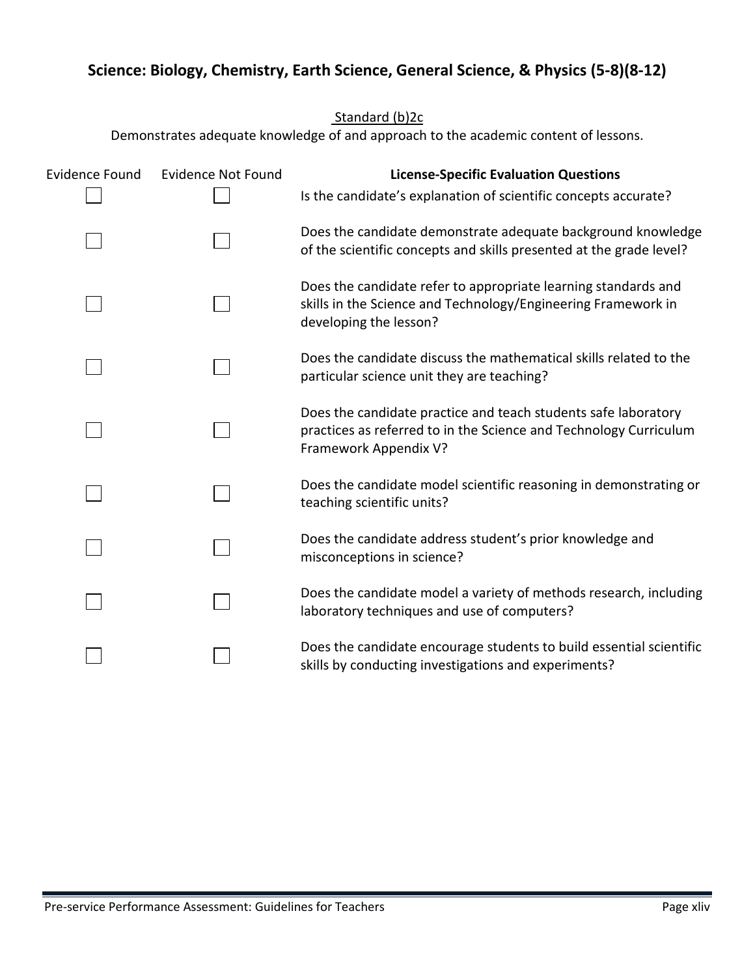## <span id="page-54-0"></span>**Science: Biology, Chemistry, Earth Science, General Science, & Physics (5-8)(8-12)**

Standard (b)2c

| <b>Evidence Found</b> | <b>Evidence Not Found</b> | <b>License-Specific Evaluation Questions</b>                                                                                                                 |
|-----------------------|---------------------------|--------------------------------------------------------------------------------------------------------------------------------------------------------------|
|                       |                           | Is the candidate's explanation of scientific concepts accurate?                                                                                              |
|                       |                           | Does the candidate demonstrate adequate background knowledge<br>of the scientific concepts and skills presented at the grade level?                          |
|                       |                           | Does the candidate refer to appropriate learning standards and<br>skills in the Science and Technology/Engineering Framework in<br>developing the lesson?    |
|                       |                           | Does the candidate discuss the mathematical skills related to the<br>particular science unit they are teaching?                                              |
|                       |                           | Does the candidate practice and teach students safe laboratory<br>practices as referred to in the Science and Technology Curriculum<br>Framework Appendix V? |
|                       |                           | Does the candidate model scientific reasoning in demonstrating or<br>teaching scientific units?                                                              |
|                       |                           | Does the candidate address student's prior knowledge and<br>misconceptions in science?                                                                       |
|                       |                           | Does the candidate model a variety of methods research, including<br>laboratory techniques and use of computers?                                             |
|                       |                           | Does the candidate encourage students to build essential scientific<br>skills by conducting investigations and experiments?                                  |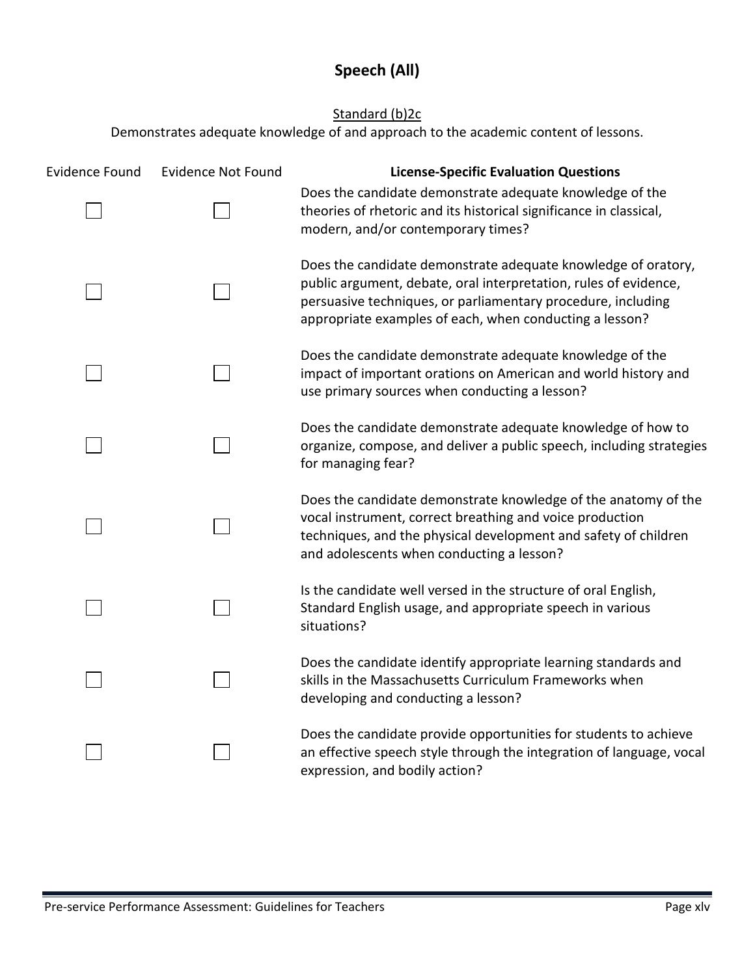## **Speech (All)**

### Standard (b)<sub>2c</sub>

<span id="page-55-0"></span>

| <b>Evidence Found</b> | <b>Evidence Not Found</b> | <b>License-Specific Evaluation Questions</b>                                                                                                                                                                                                                 |
|-----------------------|---------------------------|--------------------------------------------------------------------------------------------------------------------------------------------------------------------------------------------------------------------------------------------------------------|
|                       |                           | Does the candidate demonstrate adequate knowledge of the<br>theories of rhetoric and its historical significance in classical,<br>modern, and/or contemporary times?                                                                                         |
|                       |                           | Does the candidate demonstrate adequate knowledge of oratory,<br>public argument, debate, oral interpretation, rules of evidence,<br>persuasive techniques, or parliamentary procedure, including<br>appropriate examples of each, when conducting a lesson? |
|                       |                           | Does the candidate demonstrate adequate knowledge of the<br>impact of important orations on American and world history and<br>use primary sources when conducting a lesson?                                                                                  |
|                       |                           | Does the candidate demonstrate adequate knowledge of how to<br>organize, compose, and deliver a public speech, including strategies<br>for managing fear?                                                                                                    |
|                       |                           | Does the candidate demonstrate knowledge of the anatomy of the<br>vocal instrument, correct breathing and voice production<br>techniques, and the physical development and safety of children<br>and adolescents when conducting a lesson?                   |
|                       |                           | Is the candidate well versed in the structure of oral English,<br>Standard English usage, and appropriate speech in various<br>situations?                                                                                                                   |
|                       |                           | Does the candidate identify appropriate learning standards and<br>skills in the Massachusetts Curriculum Frameworks when<br>developing and conducting a lesson?                                                                                              |
|                       |                           | Does the candidate provide opportunities for students to achieve<br>an effective speech style through the integration of language, vocal<br>expression, and bodily action?                                                                                   |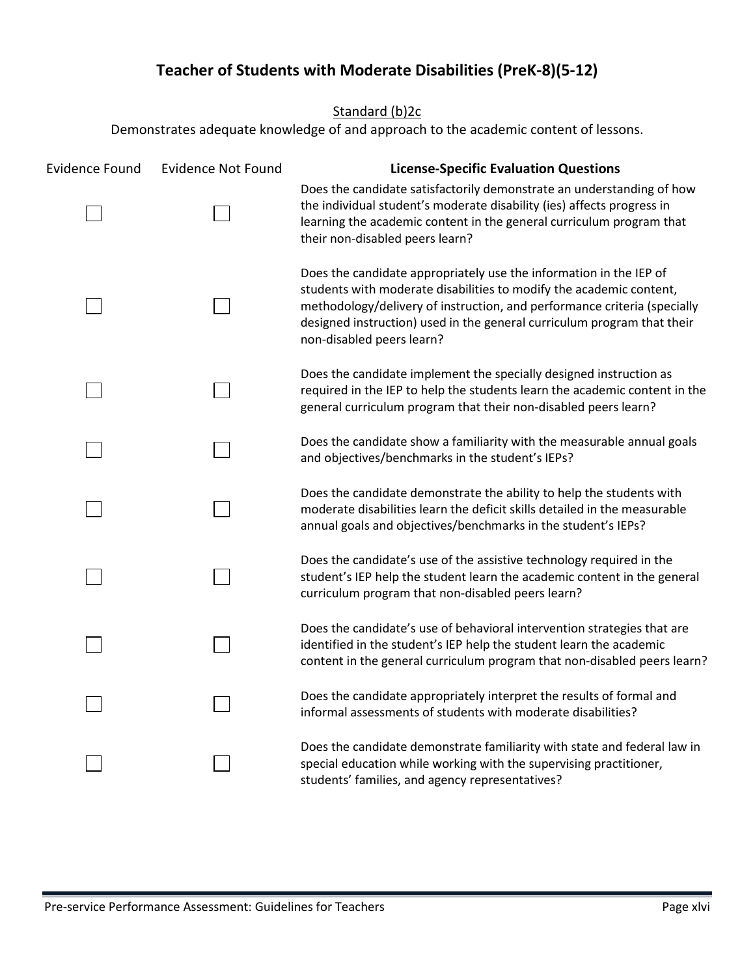## **Teacher of Students with Moderate Disabilities (PreK-8)(5-12)**

Standard (b)<sub>2c</sub>

<span id="page-56-0"></span>

| <b>Evidence Found</b> | <b>Evidence Not Found</b> | <b>License-Specific Evaluation Questions</b>                                                                                                                                                                                                                                                                                  |
|-----------------------|---------------------------|-------------------------------------------------------------------------------------------------------------------------------------------------------------------------------------------------------------------------------------------------------------------------------------------------------------------------------|
|                       |                           | Does the candidate satisfactorily demonstrate an understanding of how<br>the individual student's moderate disability (ies) affects progress in<br>learning the academic content in the general curriculum program that<br>their non-disabled peers learn?                                                                    |
|                       |                           | Does the candidate appropriately use the information in the IEP of<br>students with moderate disabilities to modify the academic content,<br>methodology/delivery of instruction, and performance criteria (specially<br>designed instruction) used in the general curriculum program that their<br>non-disabled peers learn? |
|                       |                           | Does the candidate implement the specially designed instruction as<br>required in the IEP to help the students learn the academic content in the<br>general curriculum program that their non-disabled peers learn?                                                                                                           |
|                       |                           | Does the candidate show a familiarity with the measurable annual goals<br>and objectives/benchmarks in the student's IEPs?                                                                                                                                                                                                    |
|                       |                           | Does the candidate demonstrate the ability to help the students with<br>moderate disabilities learn the deficit skills detailed in the measurable<br>annual goals and objectives/benchmarks in the student's IEPs?                                                                                                            |
|                       |                           | Does the candidate's use of the assistive technology required in the<br>student's IEP help the student learn the academic content in the general<br>curriculum program that non-disabled peers learn?                                                                                                                         |
|                       |                           | Does the candidate's use of behavioral intervention strategies that are<br>identified in the student's IEP help the student learn the academic<br>content in the general curriculum program that non-disabled peers learn?                                                                                                    |
|                       |                           | Does the candidate appropriately interpret the results of formal and<br>informal assessments of students with moderate disabilities?                                                                                                                                                                                          |
|                       |                           | Does the candidate demonstrate familiarity with state and federal law in<br>special education while working with the supervising practitioner,<br>students' families, and agency representatives?                                                                                                                             |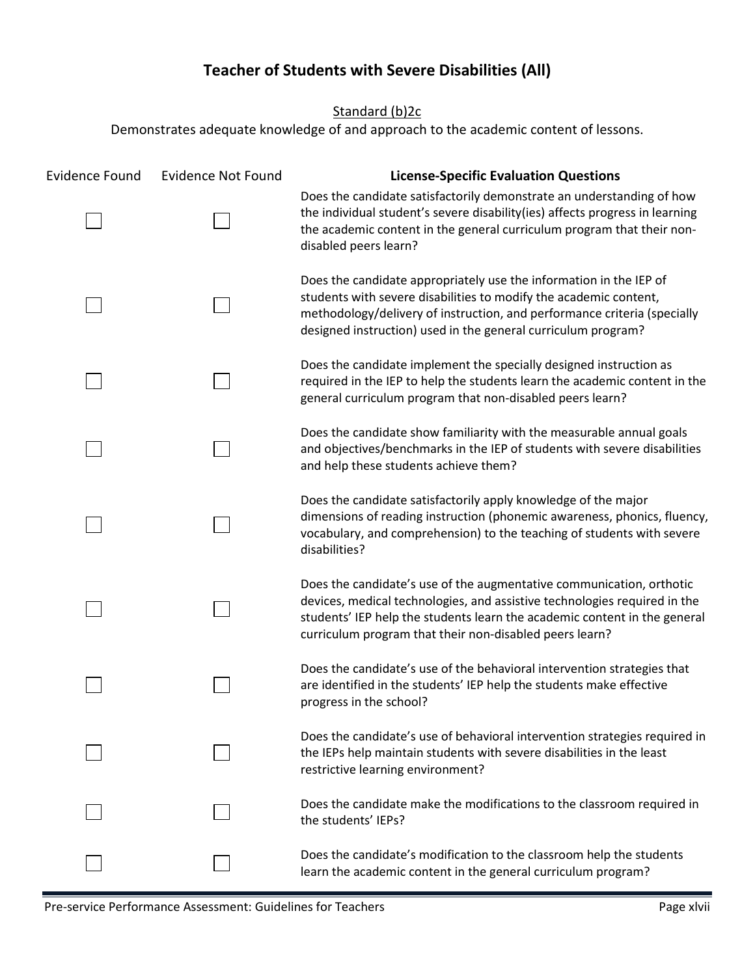## **Teacher of Students with Severe Disabilities (All)**

Standard (b)<sub>2c</sub>

<span id="page-57-0"></span>

| <b>Evidence Found</b> | <b>Evidence Not Found</b> | <b>License-Specific Evaluation Questions</b>                                                                                                                                                                                                                                              |
|-----------------------|---------------------------|-------------------------------------------------------------------------------------------------------------------------------------------------------------------------------------------------------------------------------------------------------------------------------------------|
|                       |                           | Does the candidate satisfactorily demonstrate an understanding of how<br>the individual student's severe disability(ies) affects progress in learning<br>the academic content in the general curriculum program that their non-<br>disabled peers learn?                                  |
|                       |                           | Does the candidate appropriately use the information in the IEP of<br>students with severe disabilities to modify the academic content,<br>methodology/delivery of instruction, and performance criteria (specially<br>designed instruction) used in the general curriculum program?      |
|                       |                           | Does the candidate implement the specially designed instruction as<br>required in the IEP to help the students learn the academic content in the<br>general curriculum program that non-disabled peers learn?                                                                             |
|                       |                           | Does the candidate show familiarity with the measurable annual goals<br>and objectives/benchmarks in the IEP of students with severe disabilities<br>and help these students achieve them?                                                                                                |
|                       |                           | Does the candidate satisfactorily apply knowledge of the major<br>dimensions of reading instruction (phonemic awareness, phonics, fluency,<br>vocabulary, and comprehension) to the teaching of students with severe<br>disabilities?                                                     |
|                       |                           | Does the candidate's use of the augmentative communication, orthotic<br>devices, medical technologies, and assistive technologies required in the<br>students' IEP help the students learn the academic content in the general<br>curriculum program that their non-disabled peers learn? |
|                       |                           | Does the candidate's use of the behavioral intervention strategies that<br>are identified in the students' IEP help the students make effective<br>progress in the school?                                                                                                                |
|                       |                           | Does the candidate's use of behavioral intervention strategies required in<br>the IEPs help maintain students with severe disabilities in the least<br>restrictive learning environment?                                                                                                  |
|                       |                           | Does the candidate make the modifications to the classroom required in<br>the students' IEPs?                                                                                                                                                                                             |
|                       |                           | Does the candidate's modification to the classroom help the students<br>learn the academic content in the general curriculum program?                                                                                                                                                     |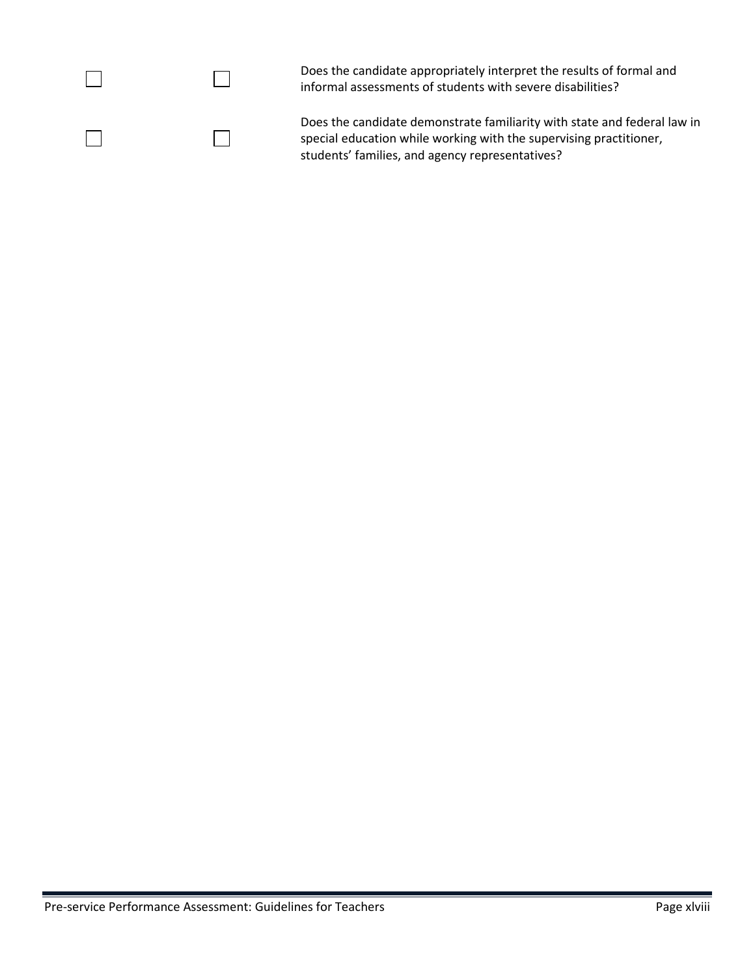|  | Does the candidate appropriately interpret the results of formal and<br>informal assessments of students with severe disabilities?                                                                |
|--|---------------------------------------------------------------------------------------------------------------------------------------------------------------------------------------------------|
|  | Does the candidate demonstrate familiarity with state and federal law in<br>special education while working with the supervising practitioner,<br>students' families, and agency representatives? |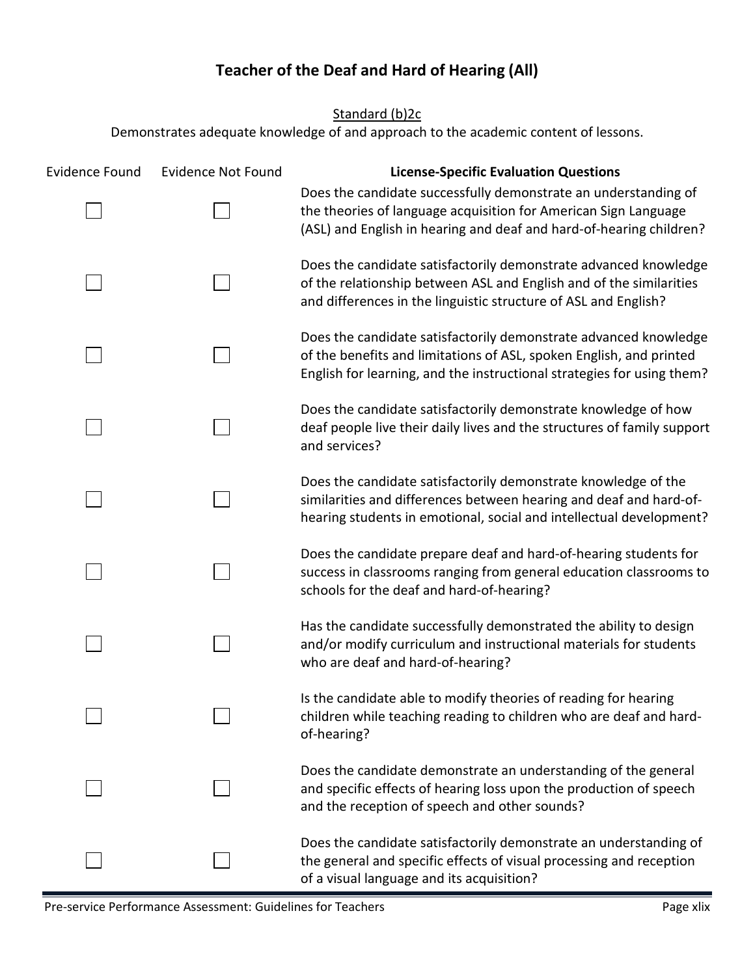## **Teacher of the Deaf and Hard of Hearing (All)**

Standard (b)<sub>2c</sub>

<span id="page-59-0"></span>

| <b>Evidence Found</b> | <b>Evidence Not Found</b> | <b>License-Specific Evaluation Questions</b>                                                                                                                                                                      |
|-----------------------|---------------------------|-------------------------------------------------------------------------------------------------------------------------------------------------------------------------------------------------------------------|
|                       |                           | Does the candidate successfully demonstrate an understanding of<br>the theories of language acquisition for American Sign Language<br>(ASL) and English in hearing and deaf and hard-of-hearing children?         |
|                       |                           | Does the candidate satisfactorily demonstrate advanced knowledge<br>of the relationship between ASL and English and of the similarities<br>and differences in the linguistic structure of ASL and English?        |
|                       |                           | Does the candidate satisfactorily demonstrate advanced knowledge<br>of the benefits and limitations of ASL, spoken English, and printed<br>English for learning, and the instructional strategies for using them? |
|                       |                           | Does the candidate satisfactorily demonstrate knowledge of how<br>deaf people live their daily lives and the structures of family support<br>and services?                                                        |
|                       |                           | Does the candidate satisfactorily demonstrate knowledge of the<br>similarities and differences between hearing and deaf and hard-of-<br>hearing students in emotional, social and intellectual development?       |
|                       |                           | Does the candidate prepare deaf and hard-of-hearing students for<br>success in classrooms ranging from general education classrooms to<br>schools for the deaf and hard-of-hearing?                               |
|                       |                           | Has the candidate successfully demonstrated the ability to design<br>and/or modify curriculum and instructional materials for students<br>who are deaf and hard-of-hearing?                                       |
|                       |                           | Is the candidate able to modify theories of reading for hearing<br>children while teaching reading to children who are deaf and hard-<br>of-hearing?                                                              |
|                       |                           | Does the candidate demonstrate an understanding of the general<br>and specific effects of hearing loss upon the production of speech<br>and the reception of speech and other sounds?                             |
|                       |                           | Does the candidate satisfactorily demonstrate an understanding of<br>the general and specific effects of visual processing and reception<br>of a visual language and its acquisition?                             |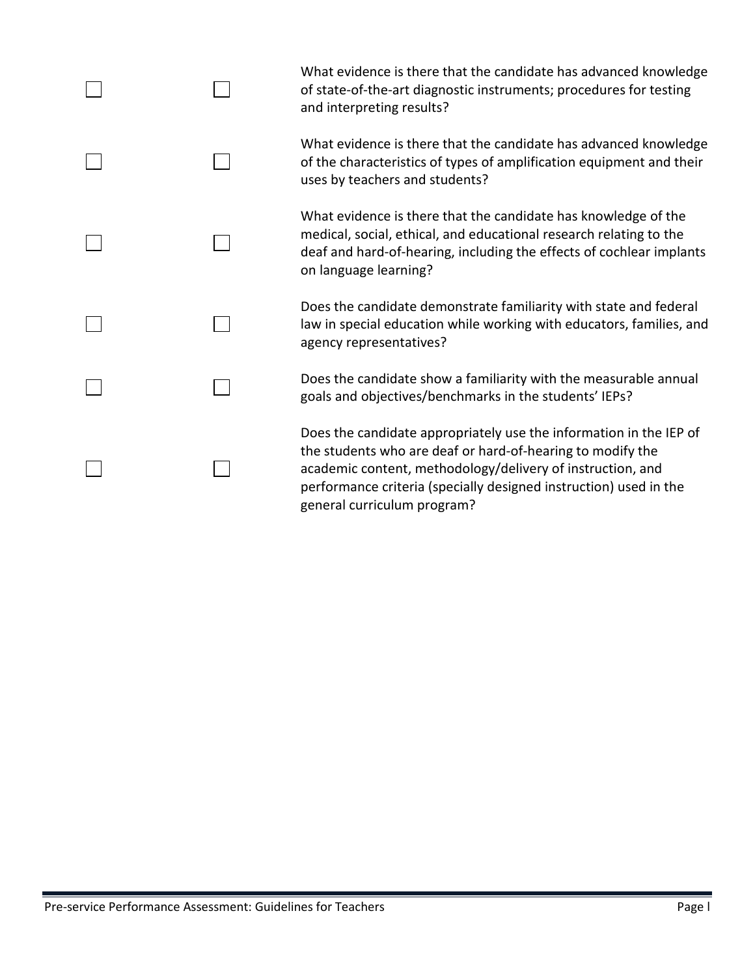|  | What evidence is there that the candidate has advanced knowledge<br>of state-of-the-art diagnostic instruments; procedures for testing<br>and interpreting results?                                                                                                                                |
|--|----------------------------------------------------------------------------------------------------------------------------------------------------------------------------------------------------------------------------------------------------------------------------------------------------|
|  | What evidence is there that the candidate has advanced knowledge<br>of the characteristics of types of amplification equipment and their<br>uses by teachers and students?                                                                                                                         |
|  | What evidence is there that the candidate has knowledge of the<br>medical, social, ethical, and educational research relating to the<br>deaf and hard-of-hearing, including the effects of cochlear implants<br>on language learning?                                                              |
|  | Does the candidate demonstrate familiarity with state and federal<br>law in special education while working with educators, families, and<br>agency representatives?                                                                                                                               |
|  | Does the candidate show a familiarity with the measurable annual<br>goals and objectives/benchmarks in the students' IEPs?                                                                                                                                                                         |
|  | Does the candidate appropriately use the information in the IEP of<br>the students who are deaf or hard-of-hearing to modify the<br>academic content, methodology/delivery of instruction, and<br>performance criteria (specially designed instruction) used in the<br>general curriculum program? |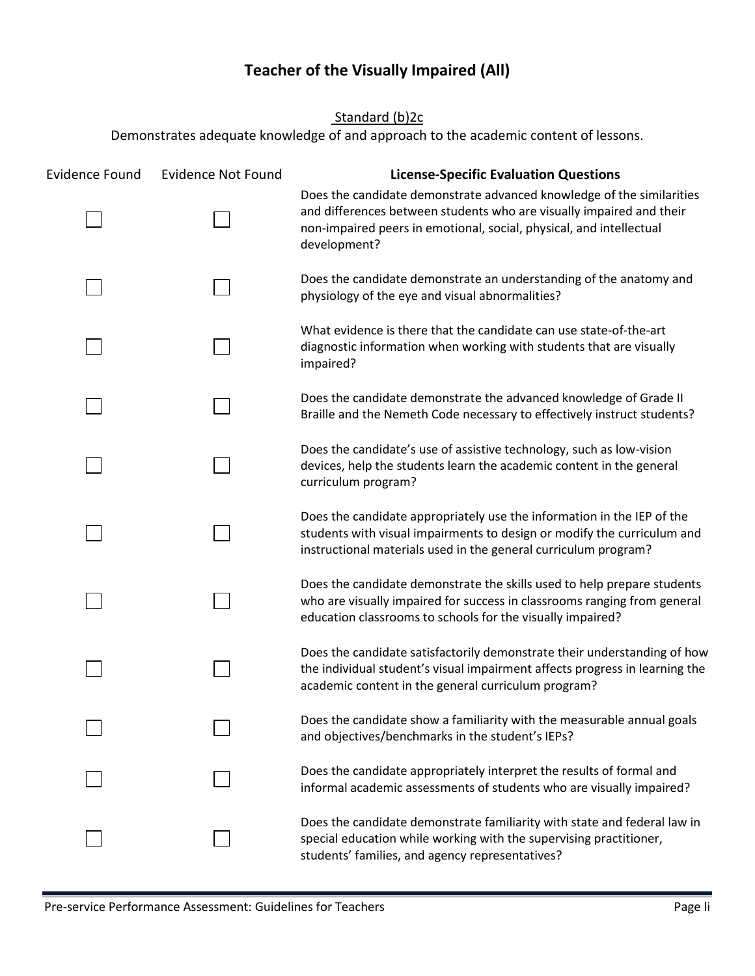## **Teacher of the Visually Impaired (All)**

Standard (b)2c

<span id="page-61-0"></span>

| <b>Evidence Found</b> | <b>Evidence Not Found</b> | <b>License-Specific Evaluation Questions</b>                                                                                                                                                                                         |
|-----------------------|---------------------------|--------------------------------------------------------------------------------------------------------------------------------------------------------------------------------------------------------------------------------------|
|                       |                           | Does the candidate demonstrate advanced knowledge of the similarities<br>and differences between students who are visually impaired and their<br>non-impaired peers in emotional, social, physical, and intellectual<br>development? |
|                       |                           | Does the candidate demonstrate an understanding of the anatomy and<br>physiology of the eye and visual abnormalities?                                                                                                                |
|                       |                           | What evidence is there that the candidate can use state-of-the-art<br>diagnostic information when working with students that are visually<br>impaired?                                                                               |
|                       |                           | Does the candidate demonstrate the advanced knowledge of Grade II<br>Braille and the Nemeth Code necessary to effectively instruct students?                                                                                         |
|                       |                           | Does the candidate's use of assistive technology, such as low-vision<br>devices, help the students learn the academic content in the general<br>curriculum program?                                                                  |
|                       |                           | Does the candidate appropriately use the information in the IEP of the<br>students with visual impairments to design or modify the curriculum and<br>instructional materials used in the general curriculum program?                 |
|                       |                           | Does the candidate demonstrate the skills used to help prepare students<br>who are visually impaired for success in classrooms ranging from general<br>education classrooms to schools for the visually impaired?                    |
|                       |                           | Does the candidate satisfactorily demonstrate their understanding of how<br>the individual student's visual impairment affects progress in learning the<br>academic content in the general curriculum program?                       |
|                       |                           | Does the candidate show a familiarity with the measurable annual goals<br>and objectives/benchmarks in the student's IEPs?                                                                                                           |
|                       |                           | Does the candidate appropriately interpret the results of formal and<br>informal academic assessments of students who are visually impaired?                                                                                         |
|                       |                           | Does the candidate demonstrate familiarity with state and federal law in<br>special education while working with the supervising practitioner,<br>students' families, and agency representatives?                                    |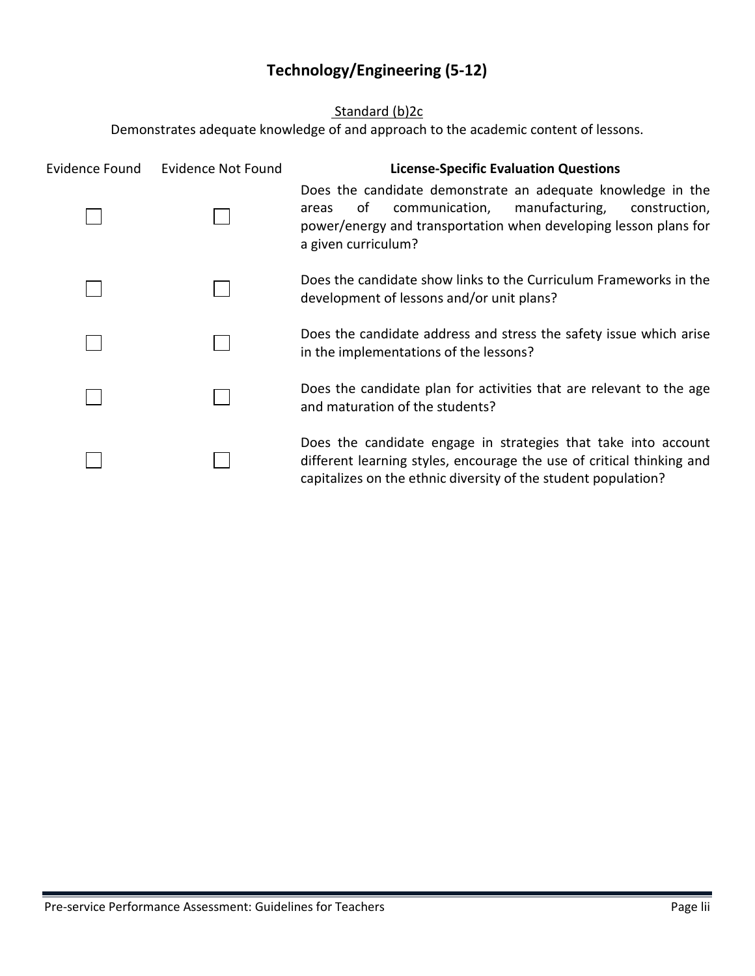## **Technology/Engineering (5-12)**

### Standard (b)<sub>2c</sub>

<span id="page-62-0"></span>

| Evidence Found | Evidence Not Found | <b>License-Specific Evaluation Questions</b>                                                                                                                                                                               |
|----------------|--------------------|----------------------------------------------------------------------------------------------------------------------------------------------------------------------------------------------------------------------------|
|                |                    | Does the candidate demonstrate an adequate knowledge in the<br>communication,<br>manufacturing,<br>οf<br>construction,<br>areas<br>power/energy and transportation when developing lesson plans for<br>a given curriculum? |
|                |                    | Does the candidate show links to the Curriculum Frameworks in the<br>development of lessons and/or unit plans?                                                                                                             |
|                |                    | Does the candidate address and stress the safety issue which arise<br>in the implementations of the lessons?                                                                                                               |
|                |                    | Does the candidate plan for activities that are relevant to the age<br>and maturation of the students?                                                                                                                     |
|                |                    | Does the candidate engage in strategies that take into account<br>different learning styles, encourage the use of critical thinking and<br>capitalizes on the ethnic diversity of the student population?                  |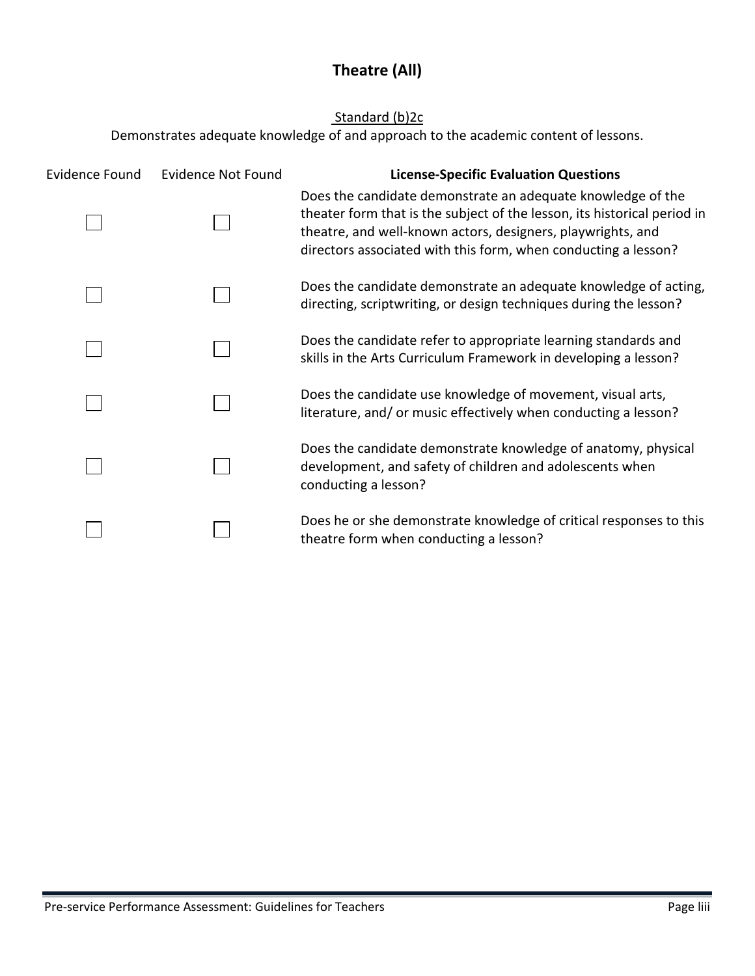## **Theatre (All)**

### Standard (b)2c

<span id="page-63-0"></span>

| Evidence Found | <b>Evidence Not Found</b> | <b>License-Specific Evaluation Questions</b>                                                                                                                                                                                                                             |
|----------------|---------------------------|--------------------------------------------------------------------------------------------------------------------------------------------------------------------------------------------------------------------------------------------------------------------------|
|                |                           | Does the candidate demonstrate an adequate knowledge of the<br>theater form that is the subject of the lesson, its historical period in<br>theatre, and well-known actors, designers, playwrights, and<br>directors associated with this form, when conducting a lesson? |
|                |                           | Does the candidate demonstrate an adequate knowledge of acting,<br>directing, scriptwriting, or design techniques during the lesson?                                                                                                                                     |
|                |                           | Does the candidate refer to appropriate learning standards and<br>skills in the Arts Curriculum Framework in developing a lesson?                                                                                                                                        |
|                |                           | Does the candidate use knowledge of movement, visual arts,<br>literature, and/ or music effectively when conducting a lesson?                                                                                                                                            |
|                |                           | Does the candidate demonstrate knowledge of anatomy, physical<br>development, and safety of children and adolescents when<br>conducting a lesson?                                                                                                                        |
|                |                           | Does he or she demonstrate knowledge of critical responses to this<br>theatre form when conducting a lesson?                                                                                                                                                             |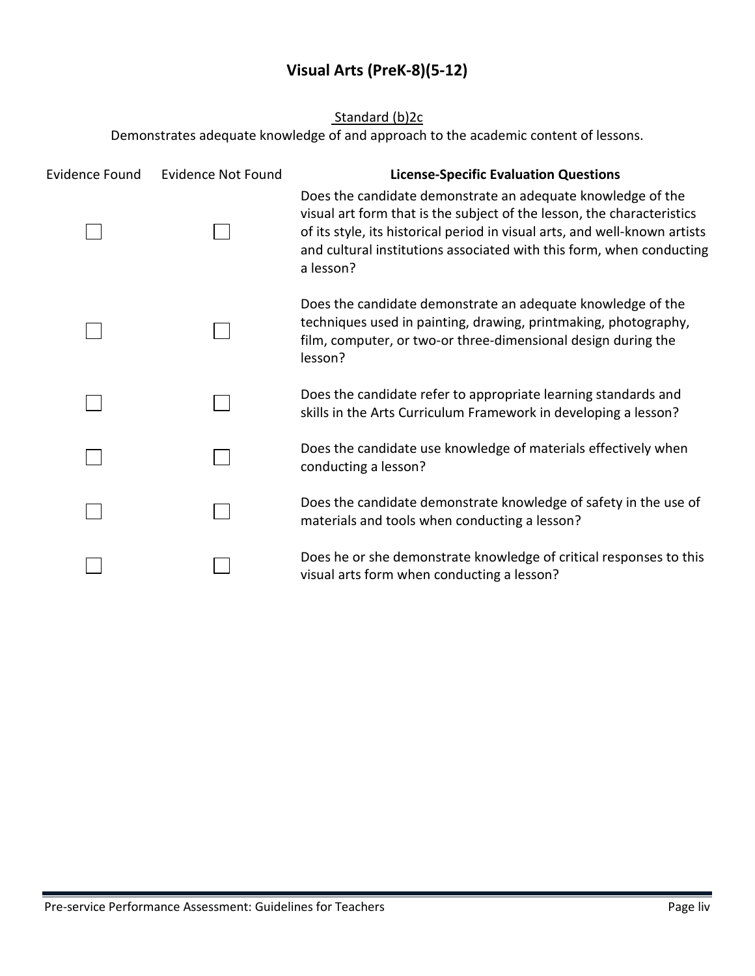## **Visual Arts (PreK-8)(5-12)**

### Standard (b)2c

<span id="page-64-0"></span>

| <b>Evidence Found</b> | <b>Evidence Not Found</b> | <b>License-Specific Evaluation Questions</b>                                                                                                                                                                                                                                                             |
|-----------------------|---------------------------|----------------------------------------------------------------------------------------------------------------------------------------------------------------------------------------------------------------------------------------------------------------------------------------------------------|
|                       |                           | Does the candidate demonstrate an adequate knowledge of the<br>visual art form that is the subject of the lesson, the characteristics<br>of its style, its historical period in visual arts, and well-known artists<br>and cultural institutions associated with this form, when conducting<br>a lesson? |
|                       |                           | Does the candidate demonstrate an adequate knowledge of the<br>techniques used in painting, drawing, printmaking, photography,<br>film, computer, or two-or three-dimensional design during the<br>lesson?                                                                                               |
|                       |                           | Does the candidate refer to appropriate learning standards and<br>skills in the Arts Curriculum Framework in developing a lesson?                                                                                                                                                                        |
|                       |                           | Does the candidate use knowledge of materials effectively when<br>conducting a lesson?                                                                                                                                                                                                                   |
|                       |                           | Does the candidate demonstrate knowledge of safety in the use of<br>materials and tools when conducting a lesson?                                                                                                                                                                                        |
|                       |                           | Does he or she demonstrate knowledge of critical responses to this<br>visual arts form when conducting a lesson?                                                                                                                                                                                         |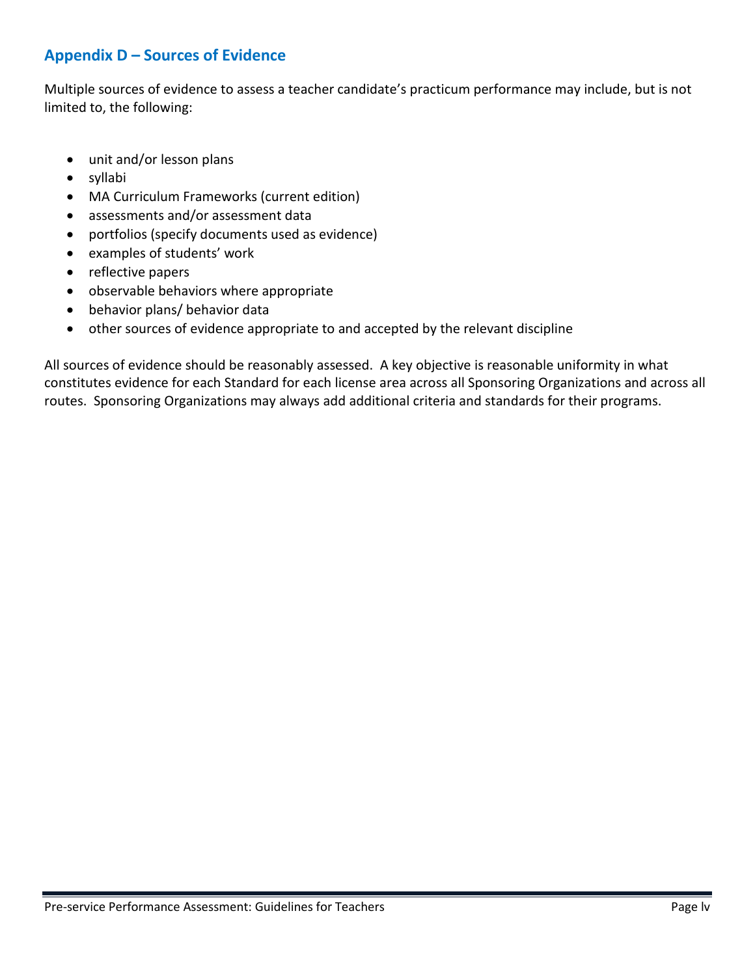### **Appendix D – Sources of Evidence**

Multiple sources of evidence to assess a teacher candidate's practicum performance may include, but is not limited to, the following:

- unit and/or lesson plans
- syllabi
- MA Curriculum Frameworks (current edition)
- assessments and/or assessment data
- portfolios (specify documents used as evidence)
- examples of students' work
- reflective papers
- observable behaviors where appropriate
- behavior plans/ behavior data
- other sources of evidence appropriate to and accepted by the relevant discipline

All sources of evidence should be reasonably assessed. A key objective is reasonable uniformity in what constitutes evidence for each Standard for each license area across all Sponsoring Organizations and across all routes. Sponsoring Organizations may always add additional criteria and standards for their programs.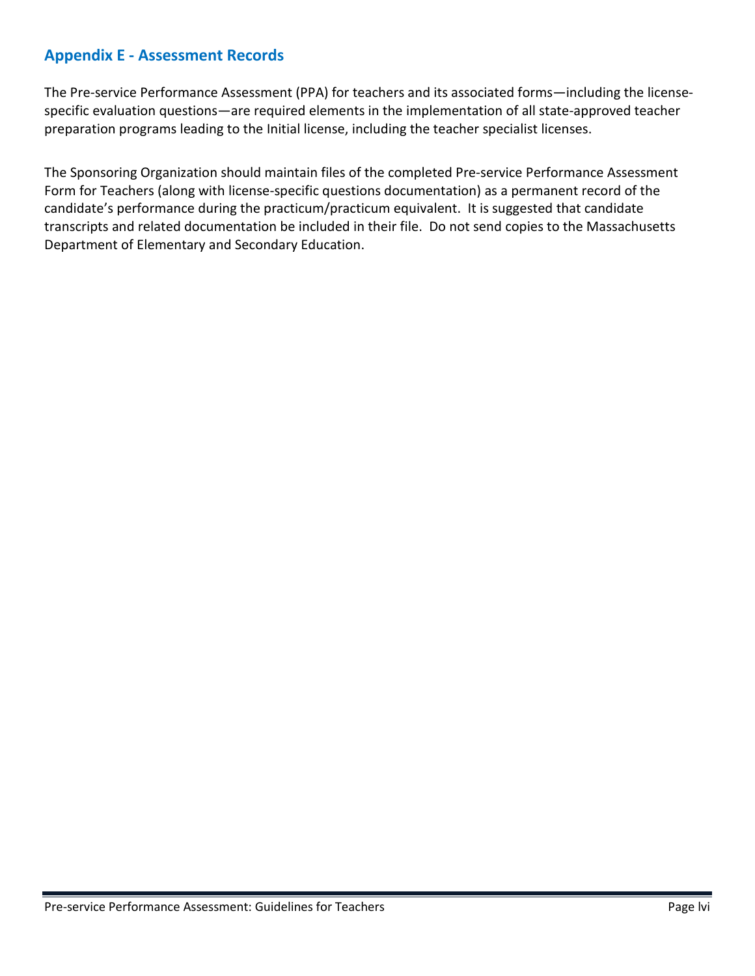### <span id="page-66-0"></span>**Appendix E - Assessment Records**

The Pre-service Performance Assessment (PPA) for teachers and its associated forms—including the licensespecific evaluation questions—are required elements in the implementation of all state-approved teacher preparation programs leading to the Initial license, including the teacher specialist licenses.

The Sponsoring Organization should maintain files of the completed Pre-service Performance Assessment Form for Teachers (along with license-specific questions documentation) as a permanent record of the candidate's performance during the practicum/practicum equivalent. It is suggested that candidate transcripts and related documentation be included in their file. Do not send copies to the Massachusetts Department of Elementary and Secondary Education.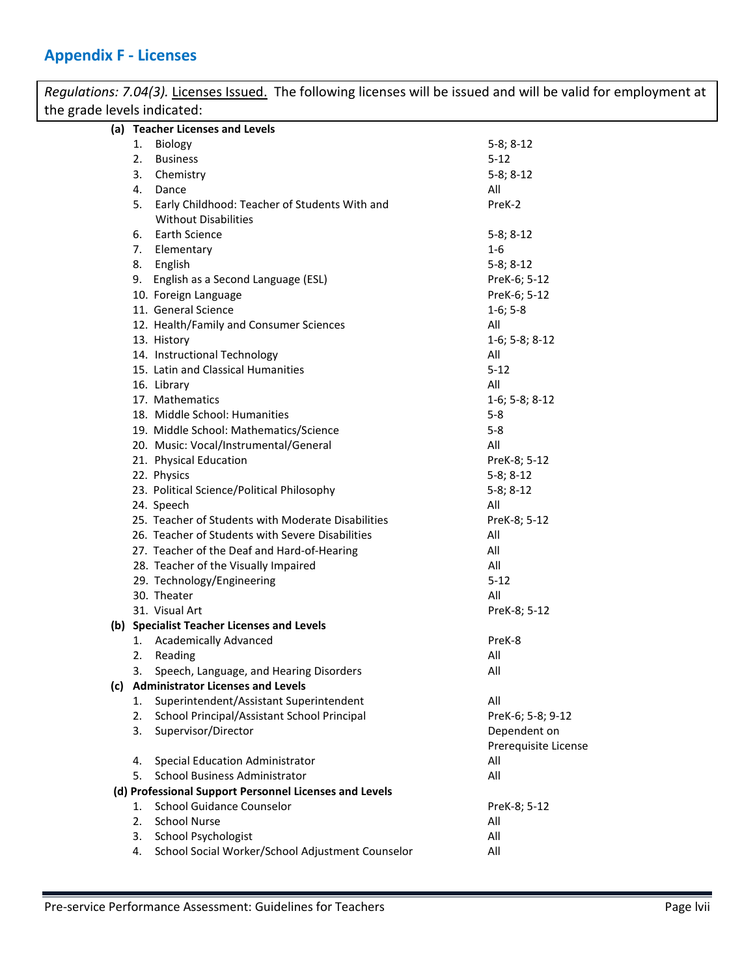## <span id="page-67-0"></span>**Appendix F - Licenses**

| Regulations: 7.04(3). Licenses Issued. The following licenses will be issued and will be valid for employment at |                                                        |                      |  |
|------------------------------------------------------------------------------------------------------------------|--------------------------------------------------------|----------------------|--|
| the grade levels indicated:                                                                                      |                                                        |                      |  |
| (a) Teacher Licenses and Levels                                                                                  |                                                        |                      |  |
|                                                                                                                  | 1. Biology                                             | $5-8; 8-12$          |  |
|                                                                                                                  | 2.<br><b>Business</b>                                  | $5 - 12$             |  |
|                                                                                                                  | Chemistry<br>3.                                        | $5-8; 8-12$          |  |
|                                                                                                                  | Dance<br>4.                                            | All                  |  |
|                                                                                                                  | 5. Early Childhood: Teacher of Students With and       | PreK-2               |  |
|                                                                                                                  | <b>Without Disabilities</b>                            |                      |  |
|                                                                                                                  | 6. Earth Science                                       | $5-8; 8-12$          |  |
|                                                                                                                  | 7. Elementary                                          | $1 - 6$              |  |
|                                                                                                                  | 8. English                                             | $5-8; 8-12$          |  |
|                                                                                                                  | 9. English as a Second Language (ESL)                  | PreK-6; 5-12         |  |
|                                                                                                                  | 10. Foreign Language                                   | PreK-6; 5-12         |  |
|                                                                                                                  | 11. General Science                                    | $1-6; 5-8$           |  |
|                                                                                                                  | 12. Health/Family and Consumer Sciences                | All                  |  |
|                                                                                                                  | 13. History                                            | $1-6; 5-8; 8-12$     |  |
|                                                                                                                  | 14. Instructional Technology                           | All                  |  |
|                                                                                                                  | 15. Latin and Classical Humanities                     | $5 - 12$             |  |
|                                                                                                                  | 16. Library                                            | All                  |  |
|                                                                                                                  | 17. Mathematics                                        | $1-6; 5-8; 8-12$     |  |
|                                                                                                                  | 18. Middle School: Humanities                          | $5 - 8$              |  |
|                                                                                                                  | 19. Middle School: Mathematics/Science                 | $5 - 8$              |  |
|                                                                                                                  | 20. Music: Vocal/Instrumental/General                  | All                  |  |
|                                                                                                                  | 21. Physical Education                                 | PreK-8; 5-12         |  |
|                                                                                                                  | 22. Physics                                            | $5-8; 8-12$          |  |
|                                                                                                                  | 23. Political Science/Political Philosophy             | $5-8; 8-12$          |  |
|                                                                                                                  | 24. Speech                                             | All                  |  |
|                                                                                                                  | 25. Teacher of Students with Moderate Disabilities     | PreK-8; 5-12         |  |
|                                                                                                                  | 26. Teacher of Students with Severe Disabilities       | All                  |  |
|                                                                                                                  | 27. Teacher of the Deaf and Hard-of-Hearing            | All                  |  |
|                                                                                                                  | 28. Teacher of the Visually Impaired                   | All                  |  |
|                                                                                                                  | 29. Technology/Engineering                             | $5 - 12$             |  |
|                                                                                                                  | 30. Theater                                            | All                  |  |
|                                                                                                                  | 31. Visual Art                                         | PreK-8; 5-12         |  |
|                                                                                                                  | (b) Specialist Teacher Licenses and Levels             |                      |  |
|                                                                                                                  | 1. Academically Advanced                               | PreK-8               |  |
|                                                                                                                  | Reading<br>2.                                          | All                  |  |
|                                                                                                                  | Speech, Language, and Hearing Disorders<br>3.          | All                  |  |
|                                                                                                                  | (c) Administrator Licenses and Levels                  |                      |  |
|                                                                                                                  | Superintendent/Assistant Superintendent<br>1.          | All                  |  |
|                                                                                                                  | School Principal/Assistant School Principal<br>2.      | PreK-6; 5-8; 9-12    |  |
|                                                                                                                  | Supervisor/Director<br>3.                              | Dependent on         |  |
|                                                                                                                  |                                                        | Prerequisite License |  |
|                                                                                                                  | Special Education Administrator<br>4.                  | All                  |  |
|                                                                                                                  | <b>School Business Administrator</b><br>5.             | All                  |  |
|                                                                                                                  | (d) Professional Support Personnel Licenses and Levels |                      |  |
|                                                                                                                  | <b>School Guidance Counselor</b><br>1.                 | PreK-8; 5-12         |  |
|                                                                                                                  | <b>School Nurse</b><br>2.                              | All                  |  |
|                                                                                                                  | <b>School Psychologist</b><br>3.                       | All                  |  |
|                                                                                                                  | School Social Worker/School Adjustment Counselor<br>4. | All                  |  |
|                                                                                                                  |                                                        |                      |  |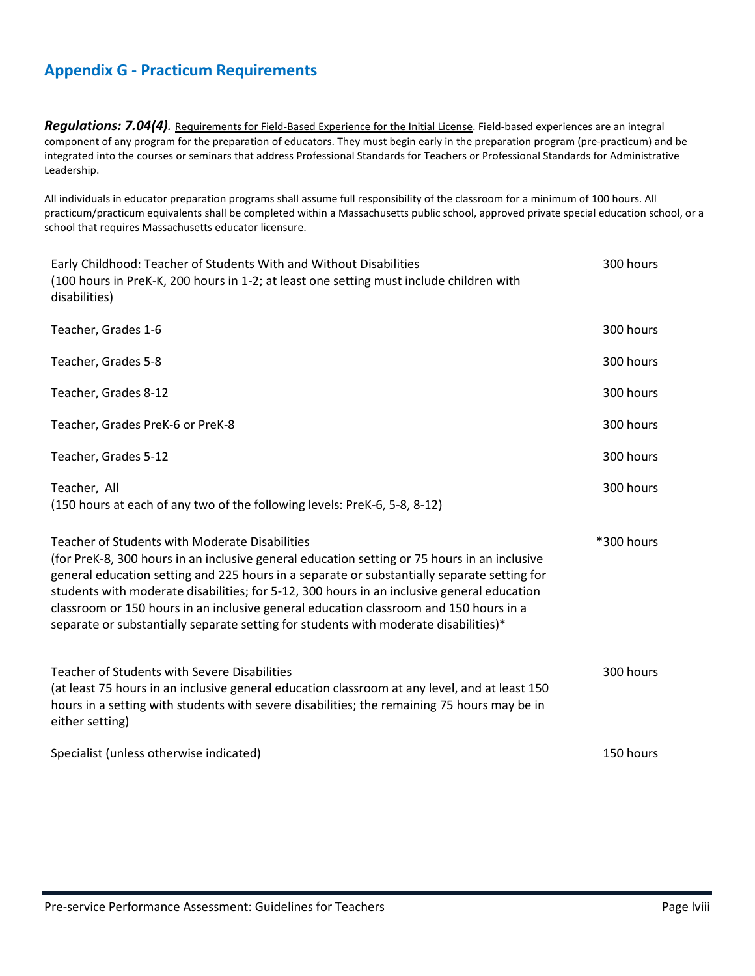### <span id="page-68-0"></span>**Appendix G - Practicum Requirements**

*Regulations: 7.04(4).* Requirements for Field-Based Experience for the Initial License. Field-based experiences are an integral component of any program for the preparation of educators. They must begin early in the preparation program (pre-practicum) and be integrated into the courses or seminars that address Professional Standards for Teachers or Professional Standards for Administrative Leadership.

All individuals in educator preparation programs shall assume full responsibility of the classroom for a minimum of 100 hours. All practicum/practicum equivalents shall be completed within a Massachusetts public school, approved private special education school, or a school that requires Massachusetts educator licensure.

| Early Childhood: Teacher of Students With and Without Disabilities<br>(100 hours in PreK-K, 200 hours in 1-2; at least one setting must include children with<br>disabilities)                                                                                                                                                                                                                                                                                                                                                      | 300 hours  |
|-------------------------------------------------------------------------------------------------------------------------------------------------------------------------------------------------------------------------------------------------------------------------------------------------------------------------------------------------------------------------------------------------------------------------------------------------------------------------------------------------------------------------------------|------------|
| Teacher, Grades 1-6                                                                                                                                                                                                                                                                                                                                                                                                                                                                                                                 | 300 hours  |
| Teacher, Grades 5-8                                                                                                                                                                                                                                                                                                                                                                                                                                                                                                                 | 300 hours  |
| Teacher, Grades 8-12                                                                                                                                                                                                                                                                                                                                                                                                                                                                                                                | 300 hours  |
| Teacher, Grades PreK-6 or PreK-8                                                                                                                                                                                                                                                                                                                                                                                                                                                                                                    | 300 hours  |
| Teacher, Grades 5-12                                                                                                                                                                                                                                                                                                                                                                                                                                                                                                                | 300 hours  |
| Teacher, All<br>(150 hours at each of any two of the following levels: PreK-6, 5-8, 8-12)                                                                                                                                                                                                                                                                                                                                                                                                                                           | 300 hours  |
| <b>Teacher of Students with Moderate Disabilities</b><br>(for PreK-8, 300 hours in an inclusive general education setting or 75 hours in an inclusive<br>general education setting and 225 hours in a separate or substantially separate setting for<br>students with moderate disabilities; for 5-12, 300 hours in an inclusive general education<br>classroom or 150 hours in an inclusive general education classroom and 150 hours in a<br>separate or substantially separate setting for students with moderate disabilities)* | *300 hours |
| <b>Teacher of Students with Severe Disabilities</b><br>(at least 75 hours in an inclusive general education classroom at any level, and at least 150<br>hours in a setting with students with severe disabilities; the remaining 75 hours may be in<br>either setting)                                                                                                                                                                                                                                                              | 300 hours  |
| Specialist (unless otherwise indicated)                                                                                                                                                                                                                                                                                                                                                                                                                                                                                             | 150 hours  |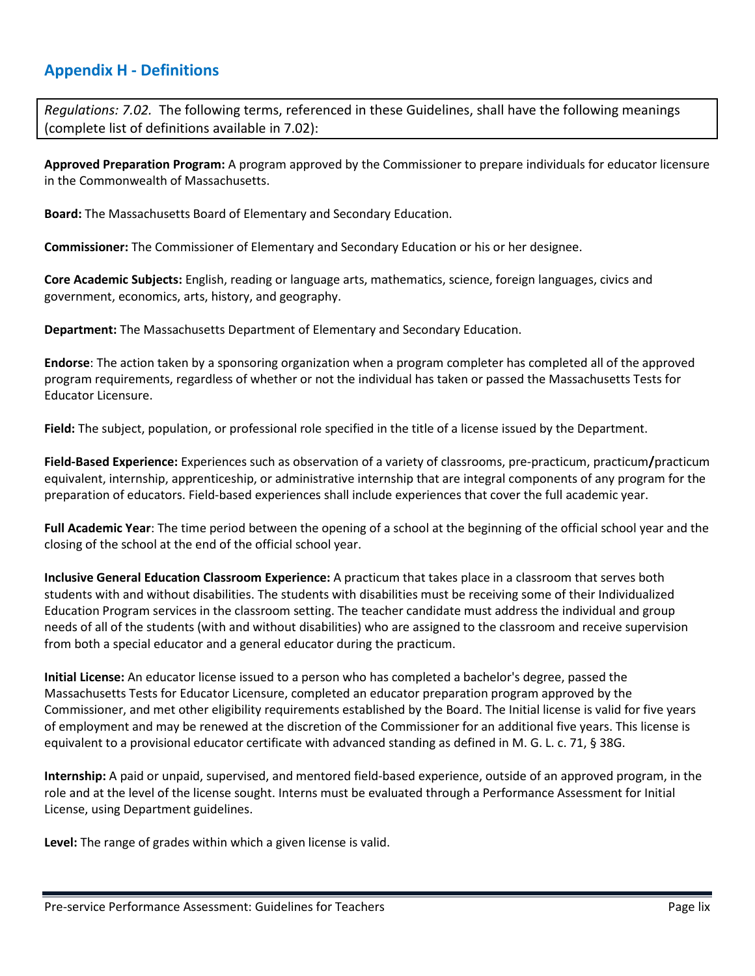### <span id="page-69-0"></span>**Appendix H - Definitions**

*Regulations: 7.02.* The following terms, referenced in these Guidelines, shall have the following meanings (complete list of definitions available in 7.02):

**Approved Preparation Program:** A program approved by the Commissioner to prepare individuals for educator licensure in the Commonwealth of Massachusetts.

**Board:** The Massachusetts Board of Elementary and Secondary Education.

**Commissioner:** The Commissioner of Elementary and Secondary Education or his or her designee.

**Core Academic Subjects:** English, reading or language arts, mathematics, science, foreign languages, civics and government, economics, arts, history, and geography.

**Department:** The Massachusetts Department of Elementary and Secondary Education.

**Endorse**: The action taken by a sponsoring organization when a program completer has completed all of the approved program requirements, regardless of whether or not the individual has taken or passed the Massachusetts Tests for Educator Licensure.

**Field:** The subject, population, or professional role specified in the title of a license issued by the Department.

**Field-Based Experience:** Experiences such as observation of a variety of classrooms, pre-practicum, practicum**/**practicum equivalent, internship, apprenticeship, or administrative internship that are integral components of any program for the preparation of educators. Field-based experiences shall include experiences that cover the full academic year.

**Full Academic Year**: The time period between the opening of a school at the beginning of the official school year and the closing of the school at the end of the official school year.

**Inclusive General Education Classroom Experience:** A practicum that takes place in a classroom that serves both students with and without disabilities. The students with disabilities must be receiving some of their Individualized Education Program services in the classroom setting. The teacher candidate must address the individual and group needs of all of the students (with and without disabilities) who are assigned to the classroom and receive supervision from both a special educator and a general educator during the practicum.

**Initial License:** An educator license issued to a person who has completed a bachelor's degree, passed the Massachusetts Tests for Educator Licensure, completed an educator preparation program approved by the Commissioner, and met other eligibility requirements established by the Board. The Initial license is valid for five years of employment and may be renewed at the discretion of the Commissioner for an additional five years. This license is equivalent to a provisional educator certificate with advanced standing as defined in M. G. L. c. 71, § 38G.

**Internship:** A paid or unpaid, supervised, and mentored field-based experience, outside of an approved program, in the role and at the level of the license sought. Interns must be evaluated through a Performance Assessment for Initial License, using Department guidelines.

**Level:** The range of grades within which a given license is valid.